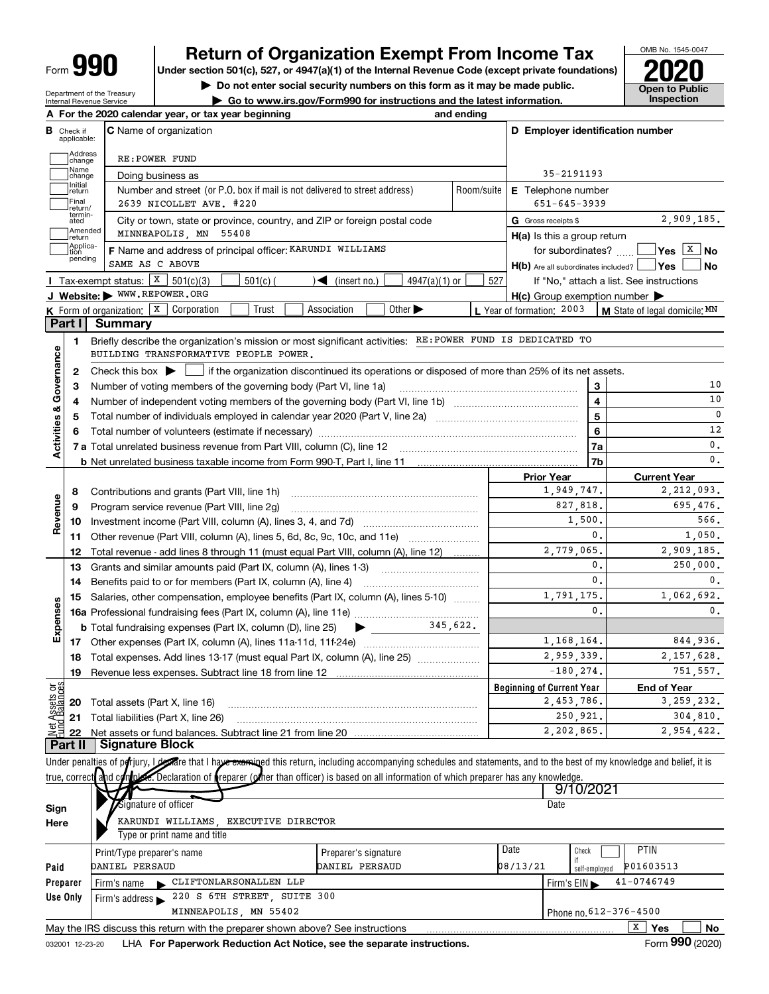| Ш<br>Form |
|-----------|
|-----------|

Department of the Treasury Internal Revenue Service

# Return of Organization Exempt From Income Tax  $\overline{\textbf{P}}$   $\text{P}$   $\text{P}$  is section 501(c), 527, or 4947(a)(1) of the Internal Revenue Code (except private foundations)

Under section 501(c), 527, or 4947(a)(1) of the Internal Revenue Code (except private foundations)

• Do not enter social security numbers on this form as it may be made public. Open to Public<br>• Go to www.irs.gov/Form990 for instructions and the latest information. Inspection

| Go to www.irs.gov/Form990 for instructions and the latest information. Inspection



|                         |                                  | A For the 2020 calendar year, or tax year beginning                                                                                                                                                                                                                                                                    |                                                                                                 | and ending |                                                     |                |                                          |  |
|-------------------------|----------------------------------|------------------------------------------------------------------------------------------------------------------------------------------------------------------------------------------------------------------------------------------------------------------------------------------------------------------------|-------------------------------------------------------------------------------------------------|------------|-----------------------------------------------------|----------------|------------------------------------------|--|
|                         | <b>B</b> Check if<br>applicable: | <b>C</b> Name of organization                                                                                                                                                                                                                                                                                          |                                                                                                 |            | D Employer identification number                    |                |                                          |  |
|                         | Address<br>change                | RE: POWER FUND                                                                                                                                                                                                                                                                                                         |                                                                                                 |            |                                                     |                |                                          |  |
|                         | Name<br>change                   | Doing business as                                                                                                                                                                                                                                                                                                      |                                                                                                 |            | 35-2191193                                          |                |                                          |  |
|                         | Initial<br>return<br>Final       | Number and street (or P.O. box if mail is not delivered to street address)<br>2639 NICOLLET AVE. #220                                                                                                                                                                                                                  |                                                                                                 | Room/suite | E Telephone number<br>$651 - 645 - 3939$            |                |                                          |  |
|                         | return/<br>termin-<br>ated       | City or town, state or province, country, and ZIP or foreign postal code                                                                                                                                                                                                                                               |                                                                                                 |            | G Gross receipts \$                                 |                | 2,909,185.                               |  |
|                         | Amended<br>return                | MINNEAPOLIS, MN 55408                                                                                                                                                                                                                                                                                                  |                                                                                                 |            | $H(a)$ is this a group return                       |                |                                          |  |
|                         | Applica-<br>tion                 | F Name and address of principal officer: KARUNDI WILLIAMS                                                                                                                                                                                                                                                              |                                                                                                 |            | for subordinates?                                   |                | │Yes │ <sup>X</sup> │No                  |  |
|                         | pending                          | SAME AS C ABOVE                                                                                                                                                                                                                                                                                                        |                                                                                                 |            | $H(b)$ Are all subordinates included? $\Box$ Yes    |                | No.                                      |  |
|                         |                                  | Tax-exempt status: $X$ 501(c)(3)<br>$501(c)$ (                                                                                                                                                                                                                                                                         | $4947(a)(1)$ or<br>$\sqrt{\bullet}$ (insert no.)                                                | 527        |                                                     |                | If "No," attach a list. See instructions |  |
|                         |                                  | J Website: WWW.REPOWER.ORG                                                                                                                                                                                                                                                                                             |                                                                                                 |            | $H(c)$ Group exemption number $\blacktriangleright$ |                |                                          |  |
|                         |                                  | K Form of organization: X Corporation<br>Trust                                                                                                                                                                                                                                                                         | Association<br>Other $\blacktriangleright$                                                      |            | L Year of formation: 2003                           |                | <b>M</b> State of legal domicile: $MN$   |  |
|                         | Part I                           | <b>Summary</b>                                                                                                                                                                                                                                                                                                         |                                                                                                 |            |                                                     |                |                                          |  |
|                         | 1                                | Briefly describe the organization's mission or most significant activities: RE: POWER FUND IS DEDICATED TO                                                                                                                                                                                                             |                                                                                                 |            |                                                     |                |                                          |  |
| Governance              |                                  | BUILDING TRANSFORMATIVE PEOPLE POWER.                                                                                                                                                                                                                                                                                  |                                                                                                 |            |                                                     |                |                                          |  |
|                         | 2                                | Check this box $\blacktriangleright$                                                                                                                                                                                                                                                                                   | if the organization discontinued its operations or disposed of more than 25% of its net assets. |            |                                                     |                |                                          |  |
|                         | з                                | Number of voting members of the governing body (Part VI, line 1a)                                                                                                                                                                                                                                                      |                                                                                                 |            |                                                     | 3              | 10                                       |  |
|                         | 4                                |                                                                                                                                                                                                                                                                                                                        |                                                                                                 |            |                                                     | 4              | 10                                       |  |
|                         | 5                                |                                                                                                                                                                                                                                                                                                                        |                                                                                                 |            |                                                     | 5              | $\mathbf 0$                              |  |
|                         | 6                                |                                                                                                                                                                                                                                                                                                                        |                                                                                                 |            |                                                     | 6              | 12                                       |  |
| <b>Activities &amp;</b> |                                  |                                                                                                                                                                                                                                                                                                                        |                                                                                                 |            |                                                     | 7a             | 0.                                       |  |
|                         |                                  |                                                                                                                                                                                                                                                                                                                        |                                                                                                 |            |                                                     | 7b             | 0.                                       |  |
|                         |                                  |                                                                                                                                                                                                                                                                                                                        |                                                                                                 |            | <b>Prior Year</b>                                   |                | <b>Current Year</b>                      |  |
|                         | 8                                | Contributions and grants (Part VIII, line 1h)                                                                                                                                                                                                                                                                          | 1,949,747.                                                                                      |            | 2,212,093.                                          |                |                                          |  |
|                         | 9                                | Program service revenue (Part VIII, line 2g)                                                                                                                                                                                                                                                                           |                                                                                                 |            | 827,818.                                            |                | 695,476.                                 |  |
| Revenue                 | 10                               |                                                                                                                                                                                                                                                                                                                        |                                                                                                 | 1,500,     |                                                     | 566.           |                                          |  |
|                         | 11                               | Other revenue (Part VIII, column (A), lines 5, 6d, 8c, 9c, 10c, and 11e)                                                                                                                                                                                                                                               |                                                                                                 |            |                                                     | $\mathbf{0}$ . | 1,050.                                   |  |
|                         | 12                               | Total revenue - add lines 8 through 11 (must equal Part VIII, column (A), line 12)                                                                                                                                                                                                                                     |                                                                                                 | 2,779,065. |                                                     | 2,909,185.     |                                          |  |
|                         | 13                               | Grants and similar amounts paid (Part IX, column (A), lines 1-3)                                                                                                                                                                                                                                                       |                                                                                                 |            | 0.                                                  | 250,000.       |                                          |  |
|                         | 14                               | Benefits paid to or for members (Part IX, column (A), line 4)                                                                                                                                                                                                                                                          |                                                                                                 |            |                                                     | $\mathbf{0}$ . | $\mathbf{0}$ .                           |  |
|                         | 15                               | Salaries, other compensation, employee benefits (Part IX, column (A), lines 5-10)                                                                                                                                                                                                                                      |                                                                                                 | 1,791,175. |                                                     | 1,062,692.     |                                          |  |
| Expenses                |                                  |                                                                                                                                                                                                                                                                                                                        |                                                                                                 |            |                                                     | 0.             | 0.                                       |  |
|                         |                                  |                                                                                                                                                                                                                                                                                                                        |                                                                                                 |            |                                                     |                |                                          |  |
|                         |                                  |                                                                                                                                                                                                                                                                                                                        |                                                                                                 |            | 1, 168, 164.                                        |                | 844,936.                                 |  |
|                         |                                  | 18 Total expenses. Add lines 13-17 (must equal Part IX, column (A), line 25)                                                                                                                                                                                                                                           |                                                                                                 |            | 2,959,339.                                          |                | 2,157,628.                               |  |
|                         |                                  | 19 Revenue less expenses. Subtract line 18 from line 12                                                                                                                                                                                                                                                                |                                                                                                 |            | $-180.274$                                          |                | 751,557.                                 |  |
| Net Assets or           |                                  |                                                                                                                                                                                                                                                                                                                        |                                                                                                 |            | <b>Beginning of Current Year</b>                    |                | <b>End of Year</b>                       |  |
|                         | 20                               | Total assets (Part X, line 16)                                                                                                                                                                                                                                                                                         |                                                                                                 |            | 2,453,786.                                          |                | 3, 259, 232.                             |  |
|                         | 21                               | Total liabilities (Part X, line 26)                                                                                                                                                                                                                                                                                    |                                                                                                 |            | 250,921.                                            |                | 304,810.                                 |  |
|                         | 22<br>Part II                    | <b>Signature Block</b>                                                                                                                                                                                                                                                                                                 |                                                                                                 |            | 2,202,865.                                          |                | 2,954,422.                               |  |
|                         |                                  |                                                                                                                                                                                                                                                                                                                        |                                                                                                 |            |                                                     |                |                                          |  |
|                         |                                  | Under penalties of porjury, I dentise that I have examined this return, including accompanying schedules and statements, and to the best of my knowledge and belief, it is<br>true, correct and complete. Declaration of reparer (other than officer) is based on all information of which preparer has any knowledge. |                                                                                                 |            |                                                     |                |                                          |  |
|                         |                                  |                                                                                                                                                                                                                                                                                                                        |                                                                                                 |            | 9/10/2021                                           |                |                                          |  |
|                         |                                  | Signature of officer                                                                                                                                                                                                                                                                                                   |                                                                                                 |            | Date                                                |                |                                          |  |
| Sign                    |                                  | KARUNDI WILLIAMS, EXECUTIVE DIRECTOR                                                                                                                                                                                                                                                                                   |                                                                                                 |            |                                                     |                |                                          |  |
| Here                    |                                  | Type or print name and title                                                                                                                                                                                                                                                                                           |                                                                                                 |            |                                                     |                |                                          |  |
|                         |                                  |                                                                                                                                                                                                                                                                                                                        |                                                                                                 |            | Date<br>Check                                       |                | <b>PTIN</b>                              |  |
| Paid                    |                                  | Print/Type preparer's name<br>DANIEL PERSAUD                                                                                                                                                                                                                                                                           | Preparer's signature<br>DANIEL PERSAUD                                                          |            | if<br>08/13/21                                      |                | P01603513                                |  |
|                         |                                  | CLIFTONLARSONALLEN LLP                                                                                                                                                                                                                                                                                                 |                                                                                                 |            |                                                     | self-employed  | $41 - 0746749$                           |  |
|                         | Preparer<br>Use Only             | Firm's name<br>220 S 6TH STREET, SUITE 300<br>Firm's address                                                                                                                                                                                                                                                           |                                                                                                 |            | Firm's $EIN$                                        |                |                                          |  |
|                         |                                  | MINNEAPOLIS, MN 55402                                                                                                                                                                                                                                                                                                  |                                                                                                 |            |                                                     |                | Phone no. 612-376-4500                   |  |
|                         |                                  | May the IRS discuss this return with the preparer shown above? See instructions                                                                                                                                                                                                                                        |                                                                                                 |            |                                                     |                | $\overline{X}$ Yes<br>No                 |  |
|                         |                                  |                                                                                                                                                                                                                                                                                                                        |                                                                                                 |            |                                                     |                |                                          |  |

 $\overline{\phantom{a}}$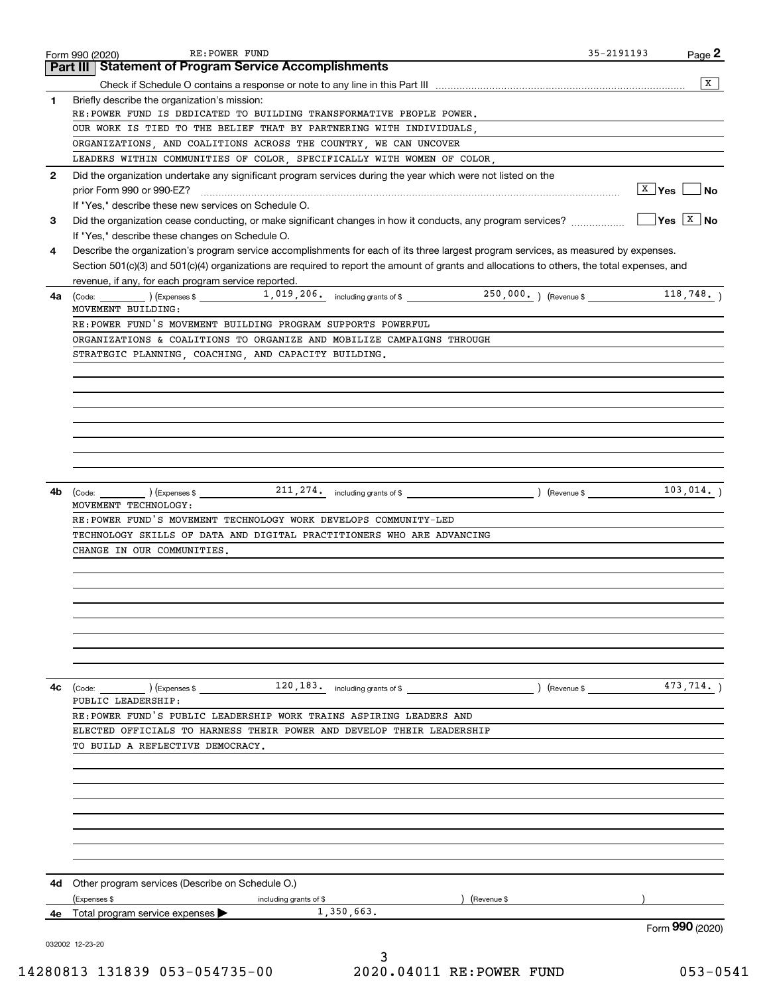|              | RE: POWER FUND<br>Form 990 (2020)                                                                                                                                                                 | 35-2191193<br>Page 2    |                |
|--------------|---------------------------------------------------------------------------------------------------------------------------------------------------------------------------------------------------|-------------------------|----------------|
|              | Part III   Statement of Program Service Accomplishments                                                                                                                                           |                         |                |
|              |                                                                                                                                                                                                   |                         | $\overline{X}$ |
| 1            | Briefly describe the organization's mission:                                                                                                                                                      |                         |                |
|              | RE:POWER FUND IS DEDICATED TO BUILDING TRANSFORMATIVE PEOPLE POWER.                                                                                                                               |                         |                |
|              | OUR WORK IS TIED TO THE BELIEF THAT BY PARTNERING WITH INDIVIDUALS.                                                                                                                               |                         |                |
|              | ORGANIZATIONS, AND COALITIONS ACROSS THE COUNTRY, WE CAN UNCOVER                                                                                                                                  |                         |                |
|              | LEADERS WITHIN COMMUNITIES OF COLOR, SPECIFICALLY WITH WOMEN OF COLOR,                                                                                                                            |                         |                |
| $\mathbf{2}$ | Did the organization undertake any significant program services during the year which were not listed on the                                                                                      |                         |                |
|              | prior Form 990 or 990-EZ?                                                                                                                                                                         | $X \mid Y$ es $\Box$ No |                |
|              | If "Yes," describe these new services on Schedule O.                                                                                                                                              |                         |                |
| 3            |                                                                                                                                                                                                   | $Yes \quad X \quad No$  |                |
|              | If "Yes," describe these changes on Schedule O.                                                                                                                                                   |                         |                |
| 4            | Describe the organization's program service accomplishments for each of its three largest program services, as measured by expenses.                                                              |                         |                |
|              | Section 501(c)(3) and 501(c)(4) organizations are required to report the amount of grants and allocations to others, the total expenses, and                                                      |                         |                |
|              | revenue, if any, for each program service reported.                                                                                                                                               |                         |                |
| 4a l         | $\left(\text{Code:}\_\_\_\_\_\_\$ $\right)$ $\left(\text{Expenses $}\_\_\_\_\_\_\_\_\_\_\_$ 1, 019, 206. including grants of \$ $\_\_\_\_\_\_\_\_\_$ 250, 000. $\right)$ $\left(\text{Revenue $}$ | 118,748.                |                |
|              | MOVEMENT BUILDING:                                                                                                                                                                                |                         |                |
|              | RE: POWER FUND'S MOVEMENT BUILDING PROGRAM SUPPORTS POWERFUL                                                                                                                                      |                         |                |
|              | ORGANIZATIONS & COALITIONS TO ORGANIZE AND MOBILIZE CAMPAIGNS THROUGH                                                                                                                             |                         |                |
|              | STRATEGIC PLANNING, COACHING, AND CAPACITY BUILDING.                                                                                                                                              |                         |                |
|              |                                                                                                                                                                                                   |                         |                |
|              |                                                                                                                                                                                                   |                         |                |
|              |                                                                                                                                                                                                   |                         |                |
|              |                                                                                                                                                                                                   |                         |                |
|              |                                                                                                                                                                                                   |                         |                |
|              |                                                                                                                                                                                                   |                         |                |
|              |                                                                                                                                                                                                   |                         |                |
|              |                                                                                                                                                                                                   |                         |                |
| 4b           | $\left(\text{Code:}\right)$ $\left(\text{Expenses $}\right)$                                                                                                                                      | 103,014.                |                |
|              | MOVEMENT TECHNOLOGY:<br>RE: POWER FUND'S MOVEMENT TECHNOLOGY WORK DEVELOPS COMMUNITY-LED                                                                                                          |                         |                |
|              | TECHNOLOGY SKILLS OF DATA AND DIGITAL PRACTITIONERS WHO ARE ADVANCING                                                                                                                             |                         |                |
|              | CHANGE IN OUR COMMUNITIES.                                                                                                                                                                        |                         |                |
|              |                                                                                                                                                                                                   |                         |                |
|              |                                                                                                                                                                                                   |                         |                |
|              |                                                                                                                                                                                                   |                         |                |
|              |                                                                                                                                                                                                   |                         |                |
|              |                                                                                                                                                                                                   |                         |                |
|              |                                                                                                                                                                                                   |                         |                |
|              |                                                                                                                                                                                                   |                         |                |
|              |                                                                                                                                                                                                   |                         |                |
|              |                                                                                                                                                                                                   | (Revenue \$473, 714.)   |                |
| 4c           | $(\text{Code:})$ $(\text{Expenses} \$ $120, 183 \text{ .}$ including grants of \$<br>PUBLIC LEADERSHIP:                                                                                           |                         |                |
|              | RE:POWER FUND'S PUBLIC LEADERSHIP WORK TRAINS ASPIRING LEADERS AND                                                                                                                                |                         |                |
|              | ELECTED OFFICIALS TO HARNESS THEIR POWER AND DEVELOP THEIR LEADERSHIP                                                                                                                             |                         |                |
|              | TO BUILD A REFLECTIVE DEMOCRACY.                                                                                                                                                                  |                         |                |
|              |                                                                                                                                                                                                   |                         |                |
|              |                                                                                                                                                                                                   |                         |                |
|              |                                                                                                                                                                                                   |                         |                |
|              |                                                                                                                                                                                                   |                         |                |
|              |                                                                                                                                                                                                   |                         |                |
|              |                                                                                                                                                                                                   |                         |                |
|              |                                                                                                                                                                                                   |                         |                |
|              |                                                                                                                                                                                                   |                         |                |
|              |                                                                                                                                                                                                   |                         |                |
| 4d           | Other program services (Describe on Schedule O.)                                                                                                                                                  |                         |                |
|              | (Expenses \$<br>(Revenue \$<br>including grants of \$                                                                                                                                             |                         |                |
| 4е           | 1,350,663.<br>Total program service expenses                                                                                                                                                      | Form 990 (2020)         |                |
|              |                                                                                                                                                                                                   |                         |                |
|              | 032002 12-23-20                                                                                                                                                                                   |                         |                |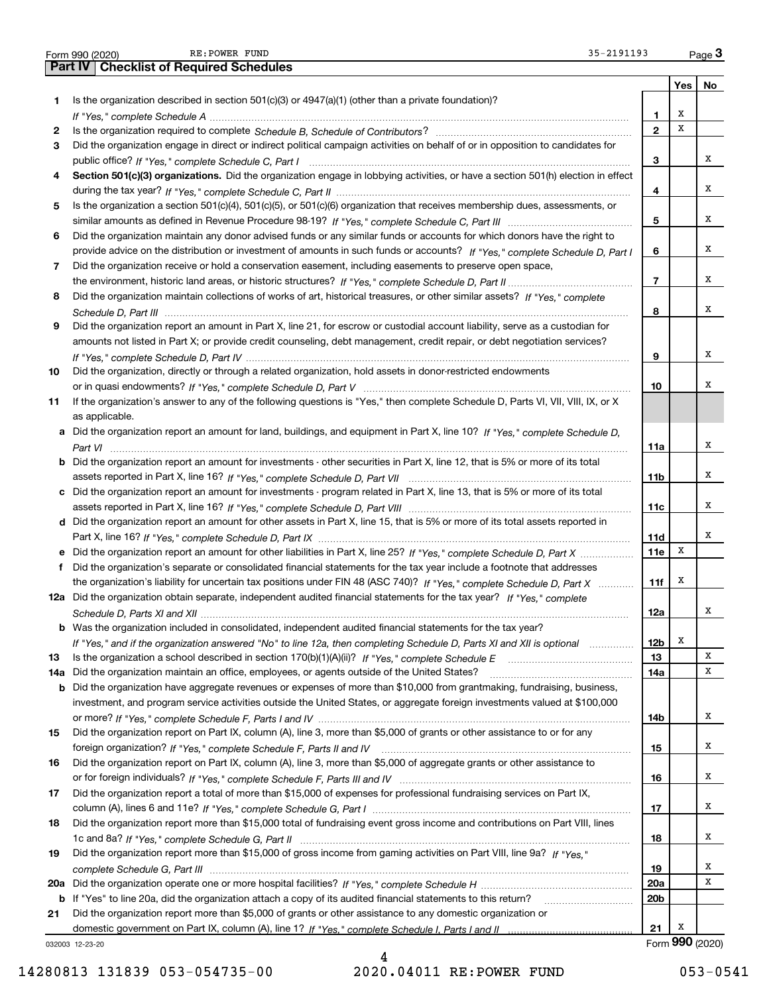|     | Part IV   Checklist of Required Schedules                                                                                             |                          |     |                 |
|-----|---------------------------------------------------------------------------------------------------------------------------------------|--------------------------|-----|-----------------|
|     |                                                                                                                                       |                          | Yes | No              |
| 1.  | Is the organization described in section $501(c)(3)$ or $4947(a)(1)$ (other than a private foundation)?                               |                          |     |                 |
|     |                                                                                                                                       | 1                        | х   |                 |
| 2   |                                                                                                                                       | $\mathbf{z}$             | X   |                 |
| З   | Did the organization engage in direct or indirect political campaign activities on behalf of or in opposition to candidates for       |                          |     |                 |
|     |                                                                                                                                       | 3                        |     | х               |
|     | Section 501(c)(3) organizations. Did the organization engage in lobbying activities, or have a section 501(h) election in effect      |                          |     |                 |
|     |                                                                                                                                       | 4                        |     | х               |
|     | Is the organization a section 501(c)(4), 501(c)(5), or 501(c)(6) organization that receives membership dues, assessments, or          |                          |     |                 |
| 5   |                                                                                                                                       | 5                        |     | х               |
|     |                                                                                                                                       |                          |     |                 |
| 6   | Did the organization maintain any donor advised funds or any similar funds or accounts for which donors have the right to             |                          |     | х               |
|     | provide advice on the distribution or investment of amounts in such funds or accounts? If "Yes," complete Schedule D, Part I          | 6                        |     |                 |
| 7   | Did the organization receive or hold a conservation easement, including easements to preserve open space,                             |                          |     |                 |
|     |                                                                                                                                       | $\overline{\phantom{a}}$ |     | х               |
| 8   | Did the organization maintain collections of works of art, historical treasures, or other similar assets? If "Yes," complete          |                          |     |                 |
|     |                                                                                                                                       | 8                        |     | х               |
| 9   | Did the organization report an amount in Part X, line 21, for escrow or custodial account liability, serve as a custodian for         |                          |     |                 |
|     | amounts not listed in Part X; or provide credit counseling, debt management, credit repair, or debt negotiation services?             |                          |     |                 |
|     |                                                                                                                                       | 9                        |     | х               |
| 10  | Did the organization, directly or through a related organization, hold assets in donor-restricted endowments                          |                          |     |                 |
|     |                                                                                                                                       | 10                       |     | х               |
| 11  | If the organization's answer to any of the following questions is "Yes," then complete Schedule D, Parts VI, VII, VIII, IX, or X      |                          |     |                 |
|     | as applicable.                                                                                                                        |                          |     |                 |
|     | a Did the organization report an amount for land, buildings, and equipment in Part X, line 10? If "Yes," complete Schedule D,         |                          |     |                 |
|     |                                                                                                                                       | 11a                      |     | х               |
|     | <b>b</b> Did the organization report an amount for investments - other securities in Part X, line 12, that is 5% or more of its total |                          |     |                 |
|     |                                                                                                                                       | 11 <sub>b</sub>          |     | х               |
|     | c Did the organization report an amount for investments - program related in Part X, line 13, that is 5% or more of its total         |                          |     |                 |
|     |                                                                                                                                       | 11c                      |     | х               |
|     | d Did the organization report an amount for other assets in Part X, line 15, that is 5% or more of its total assets reported in       |                          |     |                 |
|     |                                                                                                                                       | 11d                      |     | х               |
|     | e Did the organization report an amount for other liabilities in Part X, line 25? If "Yes," complete Schedule D, Part X               | 11e                      | X   |                 |
| f   | Did the organization's separate or consolidated financial statements for the tax year include a footnote that addresses               |                          |     |                 |
|     | the organization's liability for uncertain tax positions under FIN 48 (ASC 740)? If "Yes," complete Schedule D, Part X                | 11f                      | X   |                 |
|     | 12a Did the organization obtain separate, independent audited financial statements for the tax year? If "Yes," complete               |                          |     |                 |
|     |                                                                                                                                       | 12a                      |     | x               |
|     | <b>b</b> Was the organization included in consolidated, independent audited financial statements for the tax year?                    |                          |     |                 |
|     | If "Yes," and if the organization answered "No" to line 12a, then completing Schedule D, Parts XI and XII is optional                 | 12 <sub>b</sub>          | Х   |                 |
| 13  |                                                                                                                                       | 13                       |     | x               |
| 14a | Did the organization maintain an office, employees, or agents outside of the United States?                                           | 14a                      |     | x               |
|     | b Did the organization have aggregate revenues or expenses of more than \$10,000 from grantmaking, fundraising, business,             |                          |     |                 |
|     | investment, and program service activities outside the United States, or aggregate foreign investments valued at \$100,000            |                          |     |                 |
|     |                                                                                                                                       | 14b                      |     | x               |
| 15  | Did the organization report on Part IX, column (A), line 3, more than \$5,000 of grants or other assistance to or for any             |                          |     |                 |
|     |                                                                                                                                       | 15                       |     | x               |
| 16  | Did the organization report on Part IX, column (A), line 3, more than \$5,000 of aggregate grants or other assistance to              |                          |     |                 |
|     |                                                                                                                                       | 16                       |     | x               |
| 17  | Did the organization report a total of more than \$15,000 of expenses for professional fundraising services on Part IX,               |                          |     |                 |
|     |                                                                                                                                       |                          |     | x               |
|     |                                                                                                                                       | 17                       |     |                 |
| 18  | Did the organization report more than \$15,000 total of fundraising event gross income and contributions on Part VIII, lines          |                          |     | x               |
|     |                                                                                                                                       | 18                       |     |                 |
| 19  | Did the organization report more than \$15,000 of gross income from gaming activities on Part VIII, line 9a? If "Yes."                |                          |     |                 |
|     |                                                                                                                                       | 19                       |     | x               |
|     |                                                                                                                                       | 20a                      |     | x               |
|     | b If "Yes" to line 20a, did the organization attach a copy of its audited financial statements to this return?                        | 20 <sub>b</sub>          |     |                 |
| 21  | Did the organization report more than \$5,000 of grants or other assistance to any domestic organization or                           |                          |     |                 |
|     |                                                                                                                                       | 21                       | X   |                 |
|     | 032003 12-23-20                                                                                                                       |                          |     | Form 990 (2020) |

Form 990 (2020) RE: POWER FUND 35-2191193

RE: POWER FUND

032003 12-23-20

 $Page 3$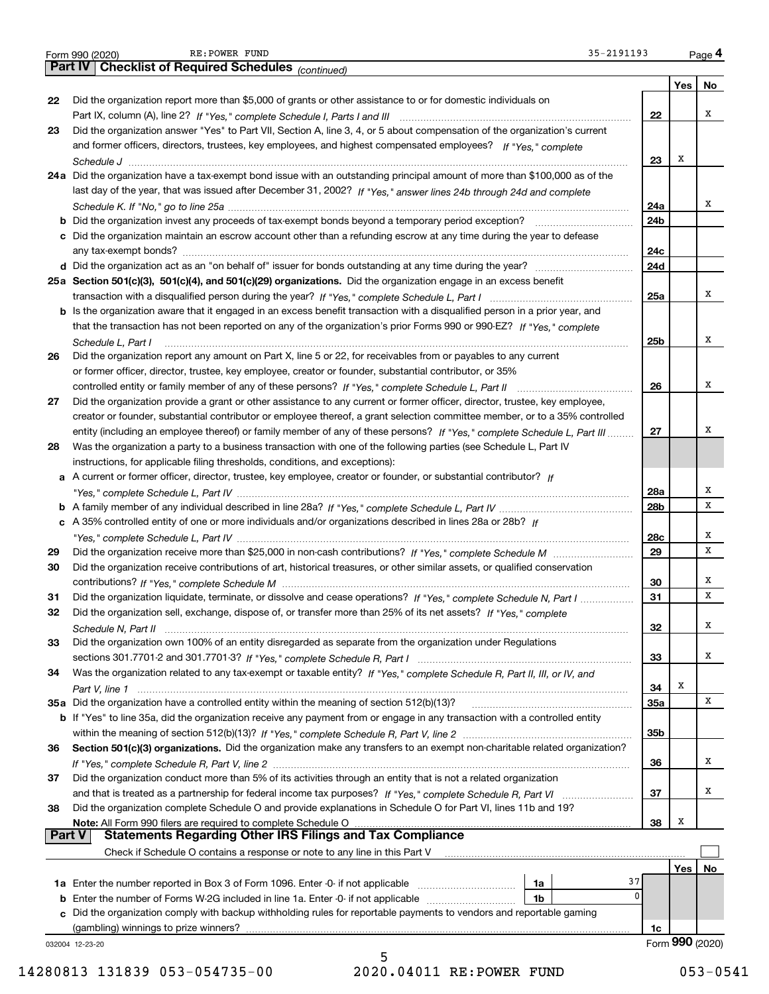|               | 35-2191193<br>RE: POWER FUND<br>Form 990 (2020)                                                                                       |                 |     | Page 4          |
|---------------|---------------------------------------------------------------------------------------------------------------------------------------|-----------------|-----|-----------------|
|               | <b>Part IV   Checklist of Required Schedules</b> (continued)                                                                          |                 |     |                 |
|               |                                                                                                                                       |                 | Yes | No              |
| 22            | Did the organization report more than \$5,000 of grants or other assistance to or for domestic individuals on                         |                 |     |                 |
|               |                                                                                                                                       | 22              |     | x               |
| 23            | Did the organization answer "Yes" to Part VII, Section A, line 3, 4, or 5 about compensation of the organization's current            |                 |     |                 |
|               | and former officers, directors, trustees, key employees, and highest compensated employees? If "Yes," complete                        |                 |     |                 |
|               |                                                                                                                                       | 23              | Х   |                 |
|               | 24a Did the organization have a tax-exempt bond issue with an outstanding principal amount of more than \$100,000 as of the           |                 |     |                 |
|               | last day of the year, that was issued after December 31, 2002? If "Yes," answer lines 24b through 24d and complete                    |                 |     |                 |
|               |                                                                                                                                       | 24a             |     | x               |
|               | <b>b</b> Did the organization invest any proceeds of tax-exempt bonds beyond a temporary period exception? <i>marrouummannen</i>      | 24b             |     |                 |
|               | c Did the organization maintain an escrow account other than a refunding escrow at any time during the year to defease                |                 |     |                 |
|               |                                                                                                                                       | 24c             |     |                 |
|               |                                                                                                                                       | 24d             |     |                 |
|               | 25a Section 501(c)(3), 501(c)(4), and 501(c)(29) organizations. Did the organization engage in an excess benefit                      |                 |     |                 |
|               |                                                                                                                                       | 25a             |     | x               |
|               | b Is the organization aware that it engaged in an excess benefit transaction with a disqualified person in a prior year, and          |                 |     |                 |
|               | that the transaction has not been reported on any of the organization's prior Forms 990 or 990-EZ? If "Yes," complete                 |                 |     |                 |
|               |                                                                                                                                       | 25b             |     | x               |
| 26            | Schedule L, Part I<br>Did the organization report any amount on Part X, line 5 or 22, for receivables from or payables to any current |                 |     |                 |
|               | or former officer, director, trustee, key employee, creator or founder, substantial contributor, or 35%                               |                 |     |                 |
|               |                                                                                                                                       | 26              |     | x               |
|               | controlled entity or family member of any of these persons? If "Yes," complete Schedule L, Part II                                    |                 |     |                 |
| 27            | Did the organization provide a grant or other assistance to any current or former officer, director, trustee, key employee,           |                 |     |                 |
|               | creator or founder, substantial contributor or employee thereof, a grant selection committee member, or to a 35% controlled           |                 |     | х               |
|               | entity (including an employee thereof) or family member of any of these persons? If "Yes," complete Schedule L, Part III              | 27              |     |                 |
| 28            | Was the organization a party to a business transaction with one of the following parties (see Schedule L, Part IV                     |                 |     |                 |
|               | instructions, for applicable filing thresholds, conditions, and exceptions):                                                          |                 |     |                 |
|               | a A current or former officer, director, trustee, key employee, creator or founder, or substantial contributor? If                    |                 |     |                 |
|               |                                                                                                                                       | 28a             |     | х               |
|               |                                                                                                                                       | 28 <sub>b</sub> |     | x               |
|               | c A 35% controlled entity of one or more individuals and/or organizations described in lines 28a or 28b? If                           |                 |     |                 |
|               |                                                                                                                                       | 28c             |     | X               |
| 29            |                                                                                                                                       | 29              |     | x               |
| 30            | Did the organization receive contributions of art, historical treasures, or other similar assets, or qualified conservation           |                 |     |                 |
|               |                                                                                                                                       | 30              |     | x               |
| 31            | Did the organization liquidate, terminate, or dissolve and cease operations? If "Yes," complete Schedule N, Part I                    | 31              |     | x               |
|               | Did the organization sell, exchange, dispose of, or transfer more than 25% of its net assets? If "Yes," complete                      |                 |     |                 |
|               |                                                                                                                                       | 32              |     | х               |
| 33            | Did the organization own 100% of an entity disregarded as separate from the organization under Regulations                            |                 |     |                 |
|               |                                                                                                                                       | 33              |     | x               |
| 34            | Was the organization related to any tax-exempt or taxable entity? If "Yes," complete Schedule R, Part II, III, or IV, and             |                 |     |                 |
|               |                                                                                                                                       | 34              | х   |                 |
|               | 35a Did the organization have a controlled entity within the meaning of section 512(b)(13)?                                           | <b>35a</b>      |     | x               |
|               | b If "Yes" to line 35a, did the organization receive any payment from or engage in any transaction with a controlled entity           |                 |     |                 |
|               |                                                                                                                                       | 35b             |     |                 |
| 36            | Section 501(c)(3) organizations. Did the organization make any transfers to an exempt non-charitable related organization?            |                 |     |                 |
|               |                                                                                                                                       | 36              |     | x               |
| 37            | Did the organization conduct more than 5% of its activities through an entity that is not a related organization                      |                 |     |                 |
|               |                                                                                                                                       | 37              |     | x               |
| 38            | Did the organization complete Schedule O and provide explanations in Schedule O for Part VI, lines 11b and 19?                        |                 |     |                 |
|               | Note: All Form 990 filers are required to complete Schedule O                                                                         | 38              | х   |                 |
| <b>Part V</b> | <b>Statements Regarding Other IRS Filings and Tax Compliance</b>                                                                      |                 |     |                 |
|               | Check if Schedule O contains a response or note to any line in this Part V                                                            |                 |     |                 |
|               |                                                                                                                                       |                 | Yes | No              |
|               | 37<br>1a                                                                                                                              |                 |     |                 |
|               | $\mathbf{0}$<br>1b                                                                                                                    |                 |     |                 |
|               | c Did the organization comply with backup withholding rules for reportable payments to vendors and reportable gaming                  |                 |     |                 |
|               | (gambling) winnings to prize winners?                                                                                                 |                 |     |                 |
|               |                                                                                                                                       | 1c              |     | Form 990 (2020) |
|               | 032004 12-23-20                                                                                                                       |                 |     |                 |

RE:POWER FUND 35-2191193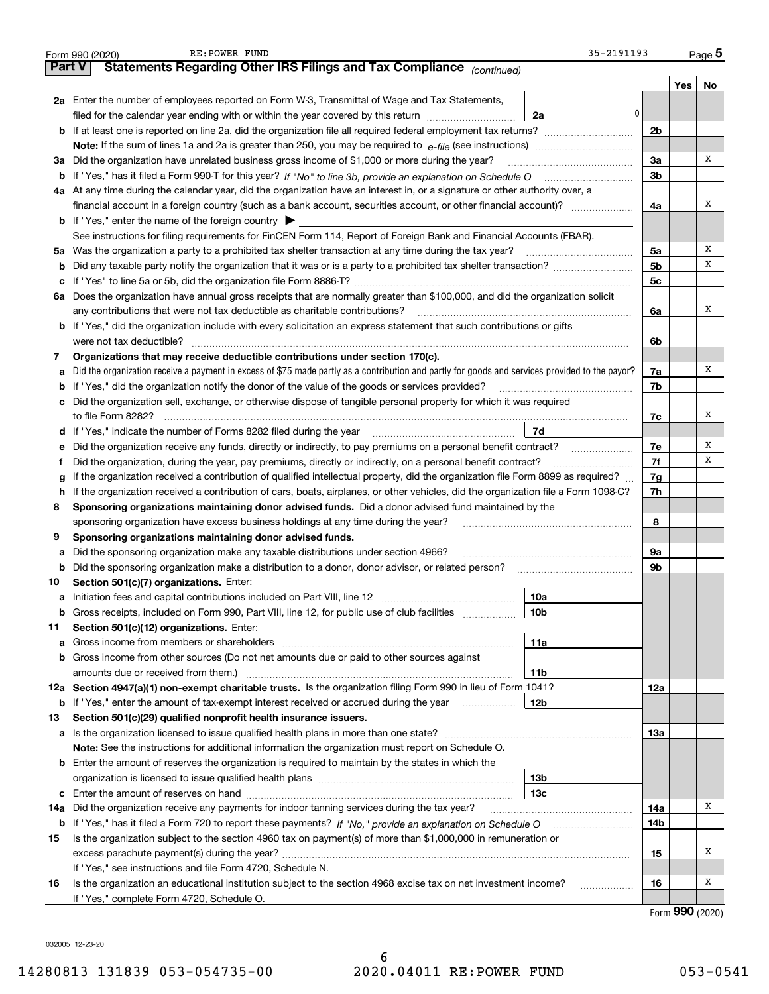|               | RE: POWER FUND<br>35-2191193<br>Form 990 (2020)                                                                                                                                          |     |                  | Page $5$ |  |  |  |  |  |  |  |
|---------------|------------------------------------------------------------------------------------------------------------------------------------------------------------------------------------------|-----|------------------|----------|--|--|--|--|--|--|--|
| <b>Part V</b> | Statements Regarding Other IRS Filings and Tax Compliance (continued)                                                                                                                    |     |                  |          |  |  |  |  |  |  |  |
|               |                                                                                                                                                                                          |     | Yes              | No       |  |  |  |  |  |  |  |
|               | 2a Enter the number of employees reported on Form W-3, Transmittal of Wage and Tax Statements,                                                                                           |     |                  |          |  |  |  |  |  |  |  |
|               | 0<br>filed for the calendar year ending with or within the year covered by this return [11] [11] filed for the calendar year ending with or within the year covered by this return<br>2a |     |                  |          |  |  |  |  |  |  |  |
|               | 2 <sub>b</sub>                                                                                                                                                                           |     |                  |          |  |  |  |  |  |  |  |
|               |                                                                                                                                                                                          |     |                  |          |  |  |  |  |  |  |  |
| За            | Did the organization have unrelated business gross income of \$1,000 or more during the year?                                                                                            |     |                  |          |  |  |  |  |  |  |  |
|               |                                                                                                                                                                                          |     |                  |          |  |  |  |  |  |  |  |
|               | 4a At any time during the calendar year, did the organization have an interest in, or a signature or other authority over, a                                                             |     |                  |          |  |  |  |  |  |  |  |
|               | financial account in a foreign country (such as a bank account, securities account, or other financial account)?                                                                         | 4a  |                  | X        |  |  |  |  |  |  |  |
|               | <b>b</b> If "Yes," enter the name of the foreign country $\blacktriangleright$                                                                                                           |     |                  |          |  |  |  |  |  |  |  |
|               | See instructions for filing requirements for FinCEN Form 114, Report of Foreign Bank and Financial Accounts (FBAR).                                                                      |     |                  |          |  |  |  |  |  |  |  |
| 5a            |                                                                                                                                                                                          | 5a  |                  | X        |  |  |  |  |  |  |  |
| b             | Did any taxable party notify the organization that it was or is a party to a prohibited tax shelter transaction?                                                                         | 5b  |                  | х        |  |  |  |  |  |  |  |
|               |                                                                                                                                                                                          | 5c  |                  |          |  |  |  |  |  |  |  |
|               | 6a Does the organization have annual gross receipts that are normally greater than \$100,000, and did the organization solicit                                                           |     |                  |          |  |  |  |  |  |  |  |
|               | any contributions that were not tax deductible as charitable contributions?                                                                                                              | 6a  |                  | X        |  |  |  |  |  |  |  |
|               | b If "Yes," did the organization include with every solicitation an express statement that such contributions or gifts                                                                   |     |                  |          |  |  |  |  |  |  |  |
|               | were not tax deductible?                                                                                                                                                                 | 6b  |                  |          |  |  |  |  |  |  |  |
| 7             | Organizations that may receive deductible contributions under section 170(c).                                                                                                            |     |                  |          |  |  |  |  |  |  |  |
| а             | Did the organization receive a payment in excess of \$75 made partly as a contribution and partly for goods and services provided to the payor?                                          | 7a  |                  | x        |  |  |  |  |  |  |  |
| b             | If "Yes," did the organization notify the donor of the value of the goods or services provided?                                                                                          | 7b  |                  |          |  |  |  |  |  |  |  |
|               | c Did the organization sell, exchange, or otherwise dispose of tangible personal property for which it was required                                                                      |     |                  |          |  |  |  |  |  |  |  |
|               |                                                                                                                                                                                          | 7c  |                  | X        |  |  |  |  |  |  |  |
|               | 7d                                                                                                                                                                                       |     |                  |          |  |  |  |  |  |  |  |
| е             |                                                                                                                                                                                          | 7e  |                  | х        |  |  |  |  |  |  |  |
|               | Did the organization, during the year, pay premiums, directly or indirectly, on a personal benefit contract?                                                                             | 7f  |                  | х        |  |  |  |  |  |  |  |
| g             | If the organization received a contribution of qualified intellectual property, did the organization file Form 8899 as required?                                                         | 7g  |                  |          |  |  |  |  |  |  |  |
| h             | If the organization received a contribution of cars, boats, airplanes, or other vehicles, did the organization file a Form 1098-C?                                                       | 7h  |                  |          |  |  |  |  |  |  |  |
| 8             | Sponsoring organizations maintaining donor advised funds. Did a donor advised fund maintained by the                                                                                     |     |                  |          |  |  |  |  |  |  |  |
|               | sponsoring organization have excess business holdings at any time during the year?                                                                                                       | 8   |                  |          |  |  |  |  |  |  |  |
| 9             | Sponsoring organizations maintaining donor advised funds.                                                                                                                                |     |                  |          |  |  |  |  |  |  |  |
| а             | Did the sponsoring organization make any taxable distributions under section 4966?                                                                                                       | 9a  |                  |          |  |  |  |  |  |  |  |
| b             | Did the sponsoring organization make a distribution to a donor, donor advisor, or related person?                                                                                        | 9b  |                  |          |  |  |  |  |  |  |  |
| 10            | Section 501(c)(7) organizations. Enter:                                                                                                                                                  |     |                  |          |  |  |  |  |  |  |  |
| а             | 10a                                                                                                                                                                                      |     |                  |          |  |  |  |  |  |  |  |
| b             | Gross receipts, included on Form 990, Part VIII, line 12, for public use of club facilities<br>10 <sub>b</sub>                                                                           |     |                  |          |  |  |  |  |  |  |  |
| 11            | Section 501(c)(12) organizations. Enter:                                                                                                                                                 |     |                  |          |  |  |  |  |  |  |  |
| а             | Gross income from members or shareholders<br>11a                                                                                                                                         |     |                  |          |  |  |  |  |  |  |  |
|               | <b>b</b> Gross income from other sources (Do not net amounts due or paid to other sources against                                                                                        |     |                  |          |  |  |  |  |  |  |  |
|               | amounts due or received from them.)<br>11b<br>12a Section 4947(a)(1) non-exempt charitable trusts. Is the organization filing Form 990 in lieu of Form 1041?                             |     |                  |          |  |  |  |  |  |  |  |
|               |                                                                                                                                                                                          | 12a |                  |          |  |  |  |  |  |  |  |
|               | 12 <sub>b</sub><br><b>b</b> If "Yes," enter the amount of tax-exempt interest received or accrued during the year                                                                        |     |                  |          |  |  |  |  |  |  |  |
| 13            | Section 501(c)(29) qualified nonprofit health insurance issuers.                                                                                                                         |     |                  |          |  |  |  |  |  |  |  |
|               | a Is the organization licensed to issue qualified health plans in more than one state?                                                                                                   | 13а |                  |          |  |  |  |  |  |  |  |
|               | Note: See the instructions for additional information the organization must report on Schedule O.                                                                                        |     |                  |          |  |  |  |  |  |  |  |
|               | <b>b</b> Enter the amount of reserves the organization is required to maintain by the states in which the                                                                                |     |                  |          |  |  |  |  |  |  |  |
|               | 13b<br>13 <sub>c</sub>                                                                                                                                                                   |     |                  |          |  |  |  |  |  |  |  |
|               | Did the organization receive any payments for indoor tanning services during the tax year?                                                                                               | 14a |                  | x        |  |  |  |  |  |  |  |
| 14a           | <b>b</b> If "Yes," has it filed a Form 720 to report these payments? If "No," provide an explanation on Schedule O                                                                       | 14b |                  |          |  |  |  |  |  |  |  |
| 15            | Is the organization subject to the section 4960 tax on payment(s) of more than \$1,000,000 in remuneration or                                                                            |     |                  |          |  |  |  |  |  |  |  |
|               |                                                                                                                                                                                          | 15  |                  | x        |  |  |  |  |  |  |  |
|               | If "Yes," see instructions and file Form 4720, Schedule N.                                                                                                                               |     |                  |          |  |  |  |  |  |  |  |
| 16            | Is the organization an educational institution subject to the section 4968 excise tax on net investment income?                                                                          | 16  |                  | x        |  |  |  |  |  |  |  |
|               | If "Yes," complete Form 4720, Schedule O.                                                                                                                                                |     |                  |          |  |  |  |  |  |  |  |
|               |                                                                                                                                                                                          |     | <u>nnn 10000</u> |          |  |  |  |  |  |  |  |

032005 12-23-20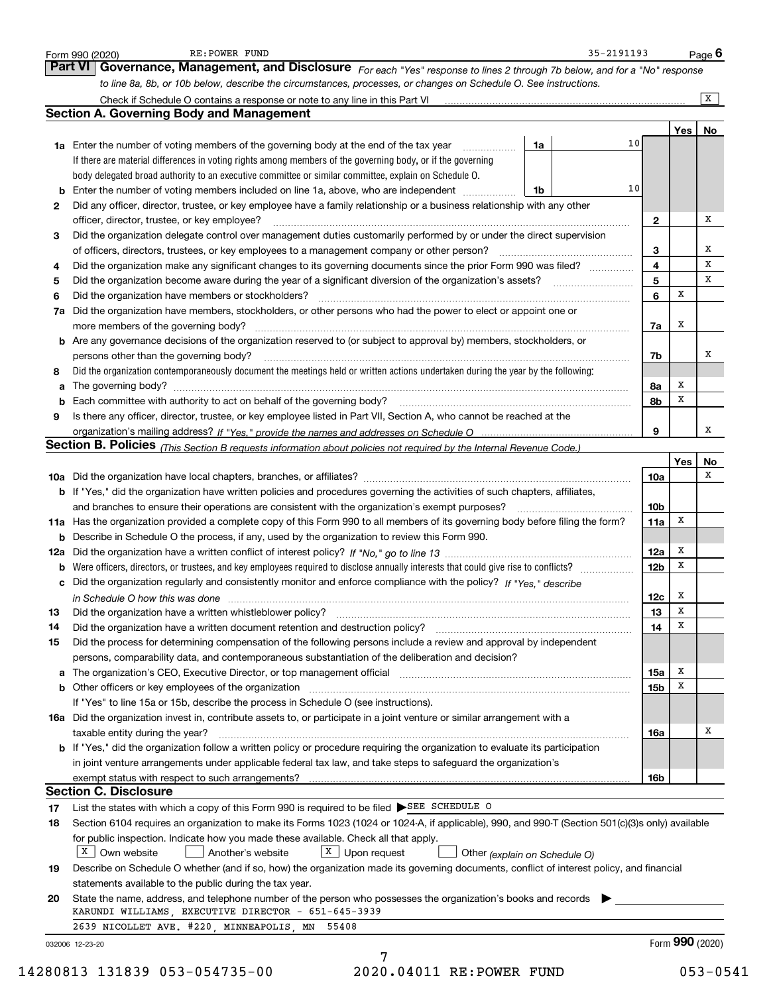|    | RE: POWER FUND<br>Form 990 (2020)                                                                                                                                       | 35-2191193 |                 |     | Page $6$        |
|----|-------------------------------------------------------------------------------------------------------------------------------------------------------------------------|------------|-----------------|-----|-----------------|
|    | Governance, Management, and Disclosure For each "Yes" response to lines 2 through 7b below, and for a "No" response<br><b>Part VI</b>                                   |            |                 |     |                 |
|    | to line 8a, 8b, or 10b below, describe the circumstances, processes, or changes on Schedule O. See instructions.                                                        |            |                 |     |                 |
|    |                                                                                                                                                                         |            |                 |     | $\overline{X}$  |
|    | <b>Section A. Governing Body and Management</b>                                                                                                                         |            |                 |     |                 |
|    |                                                                                                                                                                         |            |                 | Yes | No              |
|    | 1a<br><b>1a</b> Enter the number of voting members of the governing body at the end of the tax year <i>manumum</i>                                                      | 10         |                 |     |                 |
|    | If there are material differences in voting rights among members of the governing body, or if the governing                                                             |            |                 |     |                 |
|    | body delegated broad authority to an executive committee or similar committee, explain on Schedule O.                                                                   |            |                 |     |                 |
|    | <b>b</b> Enter the number of voting members included on line 1a, above, who are independent <i>manumum</i><br>1b                                                        | 10         |                 |     |                 |
|    | Did any officer, director, trustee, or key employee have a family relationship or a business relationship with any other                                                |            |                 |     |                 |
|    | officer, director, trustee, or key employee?                                                                                                                            |            | $\mathbf{2}$    |     | х               |
|    | Did the organization delegate control over management duties customarily performed by or under the direct supervision                                                   |            |                 |     |                 |
|    | of officers, directors, trustees, or key employees to a management company or other person?                                                                             |            | 3               |     | х               |
|    | Did the organization make any significant changes to its governing documents since the prior Form 990 was filed?                                                        |            | 4               |     | х               |
|    | Did the organization become aware during the year of a significant diversion of the organization's assets?                                                              |            | 5               |     | x               |
|    |                                                                                                                                                                         |            | 6               | х   |                 |
|    | 7a Did the organization have members, stockholders, or other persons who had the power to elect or appoint one or                                                       |            |                 |     |                 |
|    | more members of the governing body?                                                                                                                                     |            | 7а              | x   |                 |
|    | b Are any governance decisions of the organization reserved to (or subject to approval by) members, stockholders, or                                                    |            |                 |     |                 |
|    | persons other than the governing body?                                                                                                                                  |            | 7b              |     | х               |
| 8  | Did the organization contemporaneously document the meetings held or written actions undertaken during the year by the following:                                       |            |                 |     |                 |
|    |                                                                                                                                                                         |            | 8а              | x   |                 |
| b  | Each committee with authority to act on behalf of the governing body?<br>Fach committee with authority to act on behalf of the governing body?                          |            | 8b              | х   |                 |
| 9  | Is there any officer, director, trustee, or key employee listed in Part VII, Section A, who cannot be reached at the                                                    |            |                 |     |                 |
|    |                                                                                                                                                                         |            | 9               |     | x               |
|    | Section B. Policies (This Section B requests information about policies not required by the Internal Revenue Code.)                                                     |            |                 |     |                 |
|    |                                                                                                                                                                         |            |                 | Yes | No              |
|    |                                                                                                                                                                         |            | 10a             |     | x               |
|    | b If "Yes," did the organization have written policies and procedures governing the activities of such chapters, affiliates,                                            |            |                 |     |                 |
|    | and branches to ensure their operations are consistent with the organization's exempt purposes?                                                                         |            | 10b             |     |                 |
|    | 11a Has the organization provided a complete copy of this Form 990 to all members of its governing body before filing the form?                                         |            | 11a             | X   |                 |
|    | <b>b</b> Describe in Schedule O the process, if any, used by the organization to review this Form 990.                                                                  |            |                 |     |                 |
|    |                                                                                                                                                                         |            | 12a             | X   |                 |
|    | <b>b</b> Were officers, directors, or trustees, and key employees required to disclose annually interests that could give rise to conflicts?                            |            | 12 <sub>b</sub> | x   |                 |
|    | c Did the organization regularly and consistently monitor and enforce compliance with the policy? If "Yes," describe                                                    |            |                 |     |                 |
|    | in Schedule O how this was done manufactured and contain an according of the state of the state of the state o                                                          |            | 12c             | x   |                 |
|    | Did the organization have a written whistleblower policy?                                                                                                               |            | 13              | x   |                 |
| 14 | Did the organization have a written document retention and destruction policy?                                                                                          |            | 14              | x   |                 |
| 15 | Did the process for determining compensation of the following persons include a review and approval by independent                                                      |            |                 |     |                 |
|    | persons, comparability data, and contemporaneous substantiation of the deliberation and decision?                                                                       |            |                 |     |                 |
|    | a The organization's CEO, Executive Director, or top management official manufactured content of the organization's CEO, Executive Director, or top management official |            | 15a             | х   |                 |
|    |                                                                                                                                                                         |            | 15b             | х   |                 |
|    | If "Yes" to line 15a or 15b, describe the process in Schedule O (see instructions).                                                                                     |            |                 |     |                 |
|    | 16a Did the organization invest in, contribute assets to, or participate in a joint venture or similar arrangement with a                                               |            |                 |     |                 |
|    | taxable entity during the year?                                                                                                                                         |            | 16a             |     | х               |
|    | b If "Yes," did the organization follow a written policy or procedure requiring the organization to evaluate its participation                                          |            |                 |     |                 |
|    | in joint venture arrangements under applicable federal tax law, and take steps to safeguard the organization's                                                          |            |                 |     |                 |
|    | exempt status with respect to such arrangements?                                                                                                                        |            | 16b             |     |                 |
|    | <b>Section C. Disclosure</b>                                                                                                                                            |            |                 |     |                 |
|    | List the states with which a copy of this Form 990 is required to be filed SEE SCHEDULE O                                                                               |            |                 |     |                 |
|    | Section 6104 requires an organization to make its Forms 1023 (1024 or 1024-A, if applicable), 990, and 990-T (Section 501(c)(3)s only) available                        |            |                 |     |                 |
|    | for public inspection. Indicate how you made these available. Check all that apply.                                                                                     |            |                 |     |                 |
|    | $X$ Own website<br>$X$ Upon request<br>Another's website<br>Other (explain on Schedule O)                                                                               |            |                 |     |                 |
|    | Describe on Schedule O whether (and if so, how) the organization made its governing documents, conflict of interest policy, and financial                               |            |                 |     |                 |
|    | statements available to the public during the tax year.                                                                                                                 |            |                 |     |                 |
| 20 |                                                                                                                                                                         |            |                 |     |                 |
|    | State the name, address, and telephone number of the person who possesses the organization's books and records<br>KARUNDI WILLIAMS, EXECUTIVE DIRECTOR - 651-645-3939   |            |                 |     |                 |
|    | 2639 NICOLLET AVE. #220, MINNEAPOLIS, MN 55408                                                                                                                          |            |                 |     |                 |
|    |                                                                                                                                                                         |            |                 |     |                 |
|    | 032006 12-23-20                                                                                                                                                         |            |                 |     | Form 990 (2020) |
|    | 7<br>80813 131839 053-054735-00<br>2020.04011 RE: POWER FUND                                                                                                            |            |                 |     | $053 - 0541$    |
|    |                                                                                                                                                                         |            |                 |     |                 |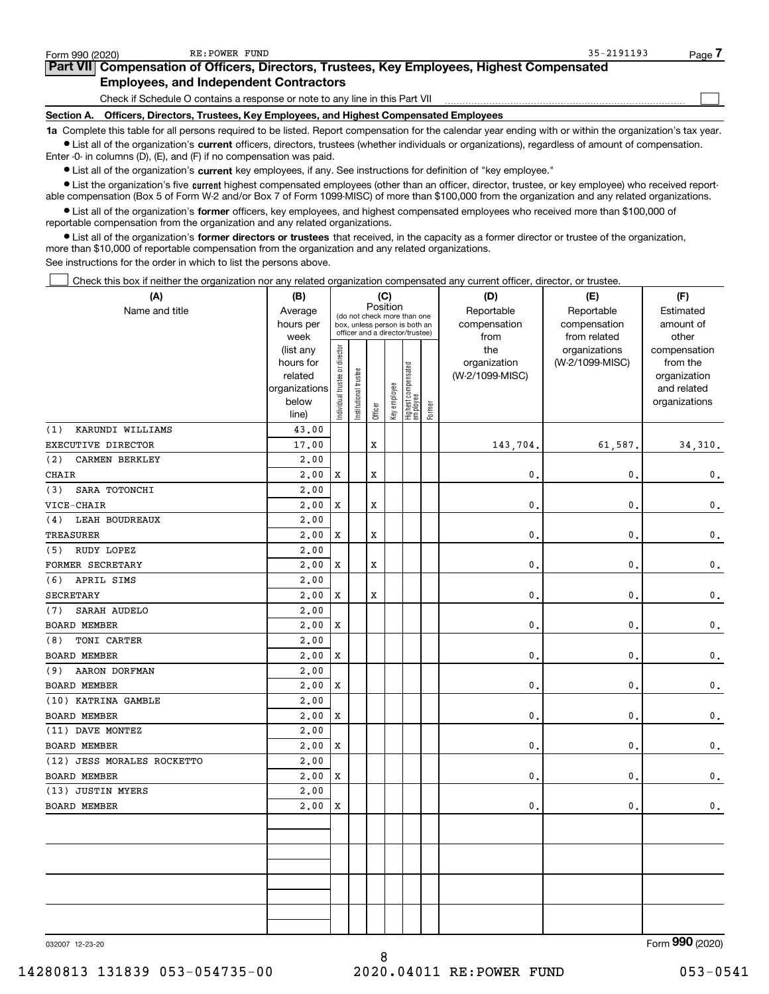| Form 990 (2020)   | RE:POWER FUND                                                                                                                                              | $35 - 2191193$ | Page |
|-------------------|------------------------------------------------------------------------------------------------------------------------------------------------------------|----------------|------|
|                   | <b>Part VII</b> Compensation of Officers, Directors, Trustees, Key Employees, Highest Compensated                                                          |                |      |
|                   | <b>Employees, and Independent Contractors</b>                                                                                                              |                |      |
|                   | Check if Schedule O contains a response or note to any line in this Part VII                                                                               |                |      |
| <b>Section A.</b> | Officers, Directors, Trustees, Key Employees, and Highest Compensated Employees                                                                            |                |      |
|                   | 1a Complete this table for all persons required to be listed. Report compensation for the calendar year ending with or within the organization's tax year. |                |      |

Ist all of the organization's current officers, directors, trustees (whether individuals or organizations), regardless of amount of compensation. Enter -0- in columns (D), (E), and (F) if no compensation was paid.

 $\bullet$  List all of the organization's current key employees, if any. See instructions for definition of "key employee."

● List the organization's five current highest compensated employees (other than an officer, director, trustee, or key employee) who received reportable compensation (Box 5 of Form W-2 and/or Box 7 of Form 1099-MISC) of more than \$100,000 from the organization and any related organizations.

List all of the organization's former officers, key employees, and highest compensated employees who received more than \$100,000 of reportable compensation from the organization and any related organizations.

• List all of the organization's former directors or trustees that received, in the capacity as a former director or trustee of the organization, more than \$10,000 of reportable compensation from the organization and any related organizations.

See instructions for the order in which to list the persons above.

Check this box if neither the organization nor any related organization compensated any current officer, director, or trustee.  $\Box$ 

| (A)                          | (B)                      |                                |                       | (C)      |              |                                                                  |        | (D)             | (E)             | (F)                         |
|------------------------------|--------------------------|--------------------------------|-----------------------|----------|--------------|------------------------------------------------------------------|--------|-----------------|-----------------|-----------------------------|
| Name and title               | Average                  |                                |                       | Position |              | (do not check more than one                                      |        | Reportable      | Reportable      | Estimated                   |
|                              | hours per                |                                |                       |          |              | box, unless person is both an<br>officer and a director/trustee) |        | compensation    | compensation    | amount of                   |
|                              | week                     |                                |                       |          |              |                                                                  |        | from            | from related    | other                       |
|                              | (list any                |                                |                       |          |              |                                                                  |        | the             | organizations   | compensation                |
|                              | hours for                |                                |                       |          |              |                                                                  |        | organization    | (W-2/1099-MISC) | from the                    |
|                              | related<br>organizations |                                |                       |          |              |                                                                  |        | (W-2/1099-MISC) |                 | organization<br>and related |
|                              | below                    |                                |                       |          |              |                                                                  |        |                 |                 | organizations               |
|                              | line)                    | Individual trustee or director | Institutional trustee | Officer  | Key employee | Highest compensated<br>employee                                  | Former |                 |                 |                             |
| (1)<br>KARUNDI WILLIAMS      | 43.00                    |                                |                       |          |              |                                                                  |        |                 |                 |                             |
| EXECUTIVE DIRECTOR           | 17.00                    |                                |                       | X        |              |                                                                  |        | 143,704.        | 61,587.         | 34, 310.                    |
| (2)<br><b>CARMEN BERKLEY</b> | 2,00                     |                                |                       |          |              |                                                                  |        |                 |                 |                             |
| CHAIR                        | 2,00                     | X                              |                       | X        |              |                                                                  |        | 0.              | $\mathbf{0}$ .  | $\mathbf 0$ .               |
| SARA TOTONCHI<br>(3)         | 2.00                     |                                |                       |          |              |                                                                  |        |                 |                 |                             |
| VICE-CHAIR                   | 2,00                     | X                              |                       | X        |              |                                                                  |        | $\mathbf{0}$    | $\mathbf{0}$ .  | $\mathsf{0}\,.$             |
| LEAH BOUDREAUX<br>(4)        | 2,00                     |                                |                       |          |              |                                                                  |        |                 |                 |                             |
| TREASURER                    | 2,00                     | X                              |                       | X        |              |                                                                  |        | $\mathbf{0}$    | $\mathbf{0}$ .  | 0.                          |
| RUDY LOPEZ<br>(5)            | 2.00                     |                                |                       |          |              |                                                                  |        |                 |                 |                             |
| FORMER SECRETARY             | 2,00                     | X                              |                       | x        |              |                                                                  |        | $\mathbf{0}$    | $\mathbf{0}$ .  | $\mathbf 0$ .               |
| APRIL SIMS<br>(6)            | 2,00                     |                                |                       |          |              |                                                                  |        |                 |                 |                             |
| SECRETARY                    | 2,00                     | X                              |                       | х        |              |                                                                  |        | $\mathbf{0}$    | $\mathbf{0}$ .  | 0.                          |
| SARAH AUDELO<br>(7)          | 2.00                     |                                |                       |          |              |                                                                  |        |                 |                 |                             |
| BOARD MEMBER                 | 2,00                     | $\mathbf x$                    |                       |          |              |                                                                  |        | $\mathbf{0}$    | $\mathbf{0}$ .  | $\mathbf 0$ .               |
| TONI CARTER<br>(8)           | 2,00                     |                                |                       |          |              |                                                                  |        |                 |                 |                             |
| BOARD MEMBER                 | 2,00                     | X                              |                       |          |              |                                                                  |        | $\mathbf{0}$    | $\mathbf{0}$ .  | $\mathbf 0$ .               |
| AARON DORFMAN<br>(9)         | 2,00                     |                                |                       |          |              |                                                                  |        |                 |                 |                             |
| <b>BOARD MEMBER</b>          | 2,00                     | X                              |                       |          |              |                                                                  |        | 0.              | $\mathbf{0}$ .  | $\mathbf 0$ .               |
| (10) KATRINA GAMBLE          | 2,00                     |                                |                       |          |              |                                                                  |        |                 |                 |                             |
| <b>BOARD MEMBER</b>          | 2,00                     | X                              |                       |          |              |                                                                  |        | 0.              | 0.              | $\mathbf{0}$ .              |
| (11) DAVE MONTEZ             | 2,00                     |                                |                       |          |              |                                                                  |        |                 |                 |                             |
| <b>BOARD MEMBER</b>          | 2,00                     | X                              |                       |          |              |                                                                  |        | 0.              | $\mathbf{0}$ .  | $\mathbf 0$ .               |
| (12) JESS MORALES ROCKETTO   | 2,00                     |                                |                       |          |              |                                                                  |        |                 |                 |                             |
| BOARD MEMBER                 | 2,00                     | X                              |                       |          |              |                                                                  |        | 0.              | $\mathbf{0}$ .  | 0.                          |
| (13) JUSTIN MYERS            | 2,00                     |                                |                       |          |              |                                                                  |        |                 |                 |                             |
| BOARD MEMBER                 | 2,00                     | X                              |                       |          |              |                                                                  |        | 0.              | 0.              | $\mathbf 0$ .               |
|                              |                          |                                |                       |          |              |                                                                  |        |                 |                 |                             |
|                              |                          |                                |                       |          |              |                                                                  |        |                 |                 |                             |
|                              |                          |                                |                       |          |              |                                                                  |        |                 |                 |                             |
|                              |                          |                                |                       |          |              |                                                                  |        |                 |                 |                             |
|                              |                          |                                |                       |          |              |                                                                  |        |                 |                 |                             |
|                              |                          |                                |                       |          |              |                                                                  |        |                 |                 |                             |
|                              |                          |                                |                       |          |              |                                                                  |        |                 |                 |                             |

032007 12-23-20

Form 990 (2020)

8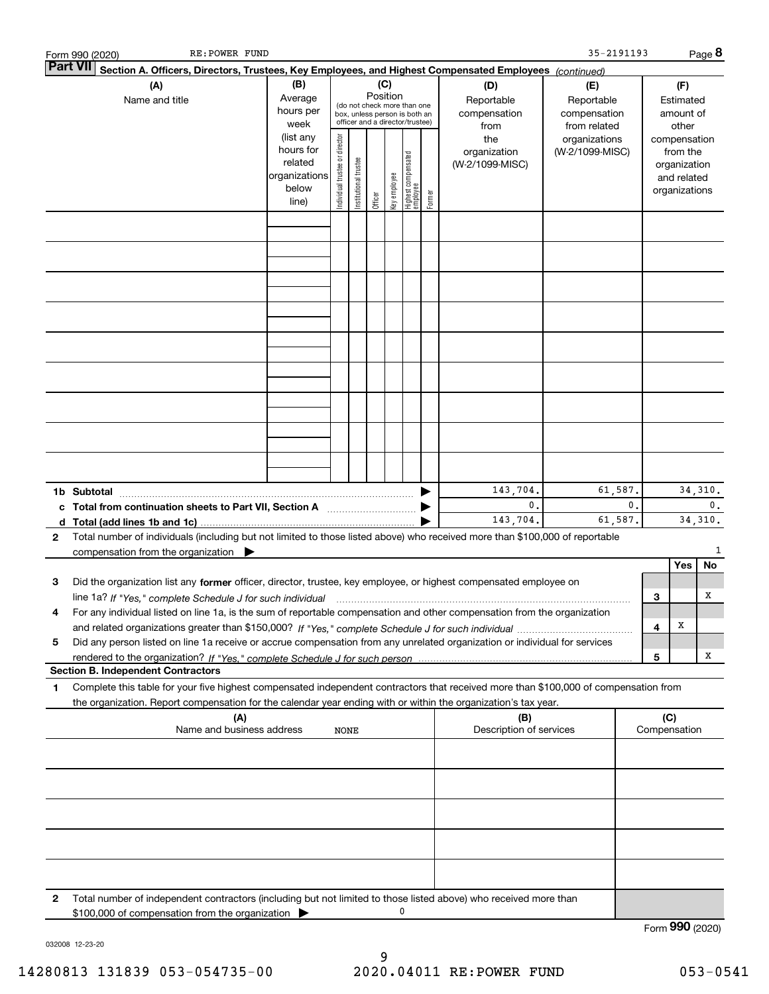| Form 990 (2020)  | RE: POWER FUND                                                                                                                                                                                                                                               |                                                                      |                                |                       |                 |              |                                                                                                 |        |                                           | 35-2191193                                        |                |     |                                                                          | Page 8                    |
|------------------|--------------------------------------------------------------------------------------------------------------------------------------------------------------------------------------------------------------------------------------------------------------|----------------------------------------------------------------------|--------------------------------|-----------------------|-----------------|--------------|-------------------------------------------------------------------------------------------------|--------|-------------------------------------------|---------------------------------------------------|----------------|-----|--------------------------------------------------------------------------|---------------------------|
| <b>Part VII</b>  | Section A. Officers, Directors, Trustees, Key Employees, and Highest Compensated Employees (continued)                                                                                                                                                       |                                                                      |                                |                       |                 |              |                                                                                                 |        |                                           |                                                   |                |     |                                                                          |                           |
|                  | (A)<br>Name and title                                                                                                                                                                                                                                        | (B)<br>Average<br>hours per<br>week                                  |                                |                       | (C)<br>Position |              | (do not check more than one<br>box, unless person is both an<br>officer and a director/trustee) |        | (D)<br>Reportable<br>compensation<br>from | (E)<br>Reportable<br>compensation<br>from related |                |     | (F)<br>Estimated<br>amount of<br>other                                   |                           |
|                  |                                                                                                                                                                                                                                                              | (list any<br>hours for<br>related<br>organizations<br>below<br>line) | Individual trustee or director | Institutional trustee | Officer         | key employee | Highest compensated<br>employee                                                                 | Former | the<br>organization<br>(W-2/1099-MISC)    | organizations<br>(W-2/1099-MISC)                  |                |     | compensation<br>from the<br>organization<br>and related<br>organizations |                           |
|                  |                                                                                                                                                                                                                                                              |                                                                      |                                |                       |                 |              |                                                                                                 |        |                                           |                                                   |                |     |                                                                          |                           |
|                  |                                                                                                                                                                                                                                                              |                                                                      |                                |                       |                 |              |                                                                                                 |        |                                           |                                                   |                |     |                                                                          |                           |
|                  |                                                                                                                                                                                                                                                              |                                                                      |                                |                       |                 |              |                                                                                                 |        |                                           |                                                   |                |     |                                                                          |                           |
|                  |                                                                                                                                                                                                                                                              |                                                                      |                                |                       |                 |              |                                                                                                 |        |                                           |                                                   |                |     |                                                                          |                           |
|                  |                                                                                                                                                                                                                                                              |                                                                      |                                |                       |                 |              |                                                                                                 |        |                                           |                                                   |                |     |                                                                          |                           |
|                  |                                                                                                                                                                                                                                                              |                                                                      |                                |                       |                 |              |                                                                                                 |        |                                           |                                                   |                |     |                                                                          |                           |
|                  |                                                                                                                                                                                                                                                              |                                                                      |                                |                       |                 |              |                                                                                                 |        |                                           |                                                   |                |     |                                                                          |                           |
|                  |                                                                                                                                                                                                                                                              |                                                                      |                                |                       |                 |              |                                                                                                 |        |                                           |                                                   |                |     |                                                                          |                           |
| 1b Subtotal<br>d |                                                                                                                                                                                                                                                              |                                                                      |                                |                       |                 |              |                                                                                                 |        | 143,704.<br>$\mathbf 0$ .<br>143,704.     | 61,587.<br>61,587.                                | $\mathbf{0}$ . |     |                                                                          | 34,310.<br>0.<br>34, 310. |
| 2                | Total number of individuals (including but not limited to those listed above) who received more than \$100,000 of reportable<br>compensation from the organization $\qquad \qquad$                                                                           |                                                                      |                                |                       |                 |              |                                                                                                 |        |                                           |                                                   |                |     |                                                                          | 1                         |
|                  |                                                                                                                                                                                                                                                              |                                                                      |                                |                       |                 |              |                                                                                                 |        |                                           |                                                   |                |     | Yes                                                                      | No                        |
| З                | Did the organization list any former officer, director, trustee, key employee, or highest compensated employee on<br>line 1a? If "Yes," complete Schedule J for such individual manufactured contained and the Yes," complete Schedule J for such individual |                                                                      |                                |                       |                 |              |                                                                                                 |        |                                           |                                                   |                | 3   |                                                                          | х                         |
|                  | For any individual listed on line 1a, is the sum of reportable compensation and other compensation from the organization                                                                                                                                     |                                                                      |                                |                       |                 |              |                                                                                                 |        |                                           |                                                   |                | 4   | х                                                                        |                           |
| 5                | Did any person listed on line 1a receive or accrue compensation from any unrelated organization or individual for services                                                                                                                                   |                                                                      |                                |                       |                 |              |                                                                                                 |        |                                           |                                                   |                |     |                                                                          | x                         |
|                  | <b>Section B. Independent Contractors</b>                                                                                                                                                                                                                    |                                                                      |                                |                       |                 |              |                                                                                                 |        |                                           |                                                   |                | 5   |                                                                          |                           |
| 1                | Complete this table for your five highest compensated independent contractors that received more than \$100,000 of compensation from<br>the organization. Report compensation for the calendar year ending with or within the organization's tax year.       |                                                                      |                                |                       |                 |              |                                                                                                 |        |                                           |                                                   |                |     |                                                                          |                           |
|                  | (A)<br>Name and business address                                                                                                                                                                                                                             |                                                                      | NONE                           |                       |                 |              |                                                                                                 |        | (B)<br>Description of services            |                                                   |                | (C) | Compensation                                                             |                           |
|                  |                                                                                                                                                                                                                                                              |                                                                      |                                |                       |                 |              |                                                                                                 |        |                                           |                                                   |                |     |                                                                          |                           |
|                  |                                                                                                                                                                                                                                                              |                                                                      |                                |                       |                 |              |                                                                                                 |        |                                           |                                                   |                |     |                                                                          |                           |
|                  |                                                                                                                                                                                                                                                              |                                                                      |                                |                       |                 |              |                                                                                                 |        |                                           |                                                   |                |     |                                                                          |                           |
|                  |                                                                                                                                                                                                                                                              |                                                                      |                                |                       |                 |              |                                                                                                 |        |                                           |                                                   |                |     |                                                                          |                           |
| 2                | Total number of independent contractors (including but not limited to those listed above) who received more than                                                                                                                                             |                                                                      |                                |                       |                 |              |                                                                                                 |        |                                           |                                                   |                |     |                                                                          |                           |
|                  | \$100,000 of compensation from the organization                                                                                                                                                                                                              |                                                                      |                                |                       |                 |              | 0                                                                                               |        |                                           |                                                   |                |     |                                                                          |                           |

032008 12-23-20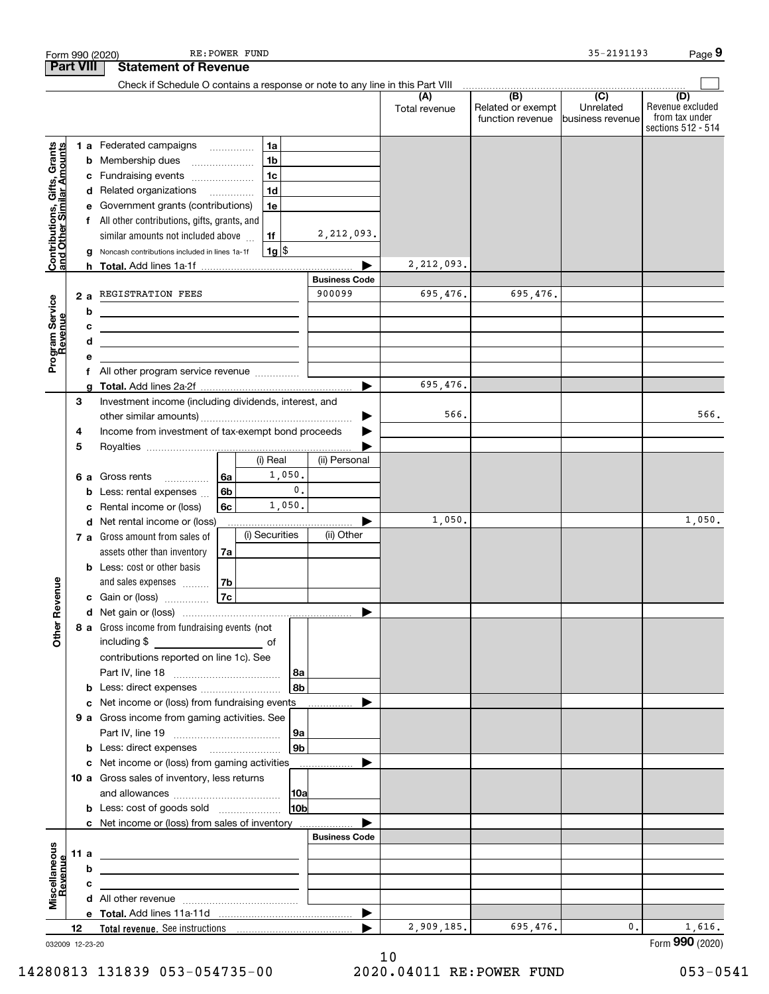|                                                           |                  |        | RE: POWER FUND<br>Form 990 (2020)                                                                                                                                                                                                              |                                |                      |                                       | 35-2191193                                      | Page 9                                                          |
|-----------------------------------------------------------|------------------|--------|------------------------------------------------------------------------------------------------------------------------------------------------------------------------------------------------------------------------------------------------|--------------------------------|----------------------|---------------------------------------|-------------------------------------------------|-----------------------------------------------------------------|
|                                                           | <b>Part VIII</b> |        | <b>Statement of Revenue</b>                                                                                                                                                                                                                    |                                |                      |                                       |                                                 |                                                                 |
|                                                           |                  |        | Check if Schedule O contains a response or note to any line in this Part VIII                                                                                                                                                                  |                                |                      | $\overline{(B)}$                      |                                                 |                                                                 |
|                                                           |                  |        |                                                                                                                                                                                                                                                |                                | (A)<br>Total revenue | Related or exempt<br>function revenue | $\overline{C}$<br>Unrelated<br>business revenue | (D)<br>Revenue excluded<br>from tax under<br>sections 512 - 514 |
| Contributions, Gifts, Grants<br>and Other Similar Amounts |                  |        | 1a<br>1 a Federated campaigns                                                                                                                                                                                                                  |                                |                      |                                       |                                                 |                                                                 |
|                                                           |                  |        | 1 <sub>b</sub><br><b>b</b> Membership dues<br>$\ldots \ldots \ldots \ldots \ldots$                                                                                                                                                             |                                |                      |                                       |                                                 |                                                                 |
|                                                           |                  |        | 1 <sub>c</sub><br>c Fundraising events                                                                                                                                                                                                         |                                |                      |                                       |                                                 |                                                                 |
|                                                           |                  |        | 1 <sub>d</sub><br>d Related organizations                                                                                                                                                                                                      |                                |                      |                                       |                                                 |                                                                 |
|                                                           |                  |        | e Government grants (contributions)<br>1e                                                                                                                                                                                                      |                                |                      |                                       |                                                 |                                                                 |
|                                                           |                  |        | f All other contributions, gifts, grants, and                                                                                                                                                                                                  |                                |                      |                                       |                                                 |                                                                 |
|                                                           |                  |        | similar amounts not included above<br>1f                                                                                                                                                                                                       | 2,212,093.                     |                      |                                       |                                                 |                                                                 |
|                                                           |                  | g      | $1g$ \$<br>Noncash contributions included in lines 1a-1f                                                                                                                                                                                       |                                |                      |                                       |                                                 |                                                                 |
|                                                           |                  |        |                                                                                                                                                                                                                                                |                                | 2,212,093.           |                                       |                                                 |                                                                 |
|                                                           |                  |        | REGISTRATION FEES                                                                                                                                                                                                                              | <b>Business Code</b><br>900099 | 695,476.             | 695,476.                              |                                                 |                                                                 |
| Program Service<br>Revenue                                |                  | 2a     |                                                                                                                                                                                                                                                |                                |                      |                                       |                                                 |                                                                 |
|                                                           |                  | b<br>c |                                                                                                                                                                                                                                                |                                |                      |                                       |                                                 |                                                                 |
|                                                           |                  | d      | <u> 1980 - Jan Sterling, mars and de la provincia de la provincia de la provincia de la provincia de la provincia</u><br><u> 1989 - Johann Stein, marwolaethau a bhann an t-Amhainn an t-Amhainn an t-Amhainn an t-Amhainn an t-Amhainn an</u> |                                |                      |                                       |                                                 |                                                                 |
|                                                           |                  | е      |                                                                                                                                                                                                                                                |                                |                      |                                       |                                                 |                                                                 |
|                                                           |                  | f      | All other program service revenue                                                                                                                                                                                                              |                                |                      |                                       |                                                 |                                                                 |
|                                                           |                  | a      |                                                                                                                                                                                                                                                |                                | 695,476.             |                                       |                                                 |                                                                 |
|                                                           | 3                |        | Investment income (including dividends, interest, and                                                                                                                                                                                          |                                |                      |                                       |                                                 |                                                                 |
|                                                           |                  |        |                                                                                                                                                                                                                                                |                                | 566.                 |                                       |                                                 | 566.                                                            |
|                                                           | 4                |        | Income from investment of tax-exempt bond proceeds                                                                                                                                                                                             |                                |                      |                                       |                                                 |                                                                 |
|                                                           | 5                |        |                                                                                                                                                                                                                                                |                                |                      |                                       |                                                 |                                                                 |
|                                                           |                  |        | (i) Real                                                                                                                                                                                                                                       | (ii) Personal                  |                      |                                       |                                                 |                                                                 |
|                                                           |                  |        | 1,050.<br>6a<br>6 a Gross rents<br>$\mathsf{0}$ .                                                                                                                                                                                              |                                |                      |                                       |                                                 |                                                                 |
|                                                           |                  | b      | 6b<br>Less: rental expenses<br>1,050.                                                                                                                                                                                                          |                                |                      |                                       |                                                 |                                                                 |
|                                                           |                  | с      | 6c<br>Rental income or (loss)<br>d Net rental income or (loss)                                                                                                                                                                                 |                                | 1,050.               |                                       |                                                 | 1,050.                                                          |
|                                                           |                  |        | (i) Securities<br>7 a Gross amount from sales of                                                                                                                                                                                               | (ii) Other                     |                      |                                       |                                                 |                                                                 |
|                                                           |                  |        | assets other than inventory<br>7a                                                                                                                                                                                                              |                                |                      |                                       |                                                 |                                                                 |
|                                                           |                  |        | <b>b</b> Less: cost or other basis                                                                                                                                                                                                             |                                |                      |                                       |                                                 |                                                                 |
|                                                           |                  |        | and sales expenses<br>7b                                                                                                                                                                                                                       |                                |                      |                                       |                                                 |                                                                 |
| venue                                                     |                  |        | 7c<br>c Gain or (loss)                                                                                                                                                                                                                         |                                |                      |                                       |                                                 |                                                                 |
| č                                                         |                  |        |                                                                                                                                                                                                                                                |                                |                      |                                       |                                                 |                                                                 |
| Other                                                     |                  |        | 8 a Gross income from fundraising events (not                                                                                                                                                                                                  |                                |                      |                                       |                                                 |                                                                 |
|                                                           |                  |        | including \$<br>$\overline{\phantom{a}}$ of                                                                                                                                                                                                    |                                |                      |                                       |                                                 |                                                                 |
|                                                           |                  |        | contributions reported on line 1c). See                                                                                                                                                                                                        |                                |                      |                                       |                                                 |                                                                 |
|                                                           |                  |        |                                                                                                                                                                                                                                                |                                |                      |                                       |                                                 |                                                                 |
|                                                           |                  |        | l 8b l                                                                                                                                                                                                                                         |                                |                      |                                       |                                                 |                                                                 |
|                                                           |                  |        | c Net income or (loss) from fundraising events                                                                                                                                                                                                 |                                |                      |                                       |                                                 |                                                                 |
|                                                           |                  |        | 9 a Gross income from gaming activities. See                                                                                                                                                                                                   | 9a                             |                      |                                       |                                                 |                                                                 |
|                                                           |                  |        | 9b                                                                                                                                                                                                                                             |                                |                      |                                       |                                                 |                                                                 |
|                                                           |                  |        | c Net income or (loss) from gaming activities ______________                                                                                                                                                                                   |                                |                      |                                       |                                                 |                                                                 |
|                                                           |                  |        | 10 a Gross sales of inventory, less returns                                                                                                                                                                                                    |                                |                      |                                       |                                                 |                                                                 |
|                                                           |                  |        |                                                                                                                                                                                                                                                |                                |                      |                                       |                                                 |                                                                 |
|                                                           |                  |        | 10 <sub>b</sub><br><b>b</b> Less: cost of goods sold                                                                                                                                                                                           |                                |                      |                                       |                                                 |                                                                 |
|                                                           |                  |        | <b>c</b> Net income or (loss) from sales of inventory                                                                                                                                                                                          |                                |                      |                                       |                                                 |                                                                 |
|                                                           |                  |        |                                                                                                                                                                                                                                                | <b>Business Code</b>           |                      |                                       |                                                 |                                                                 |
| Miscellaneous<br>Revenue                                  | 11 a             |        |                                                                                                                                                                                                                                                |                                |                      |                                       |                                                 |                                                                 |
|                                                           |                  | b      |                                                                                                                                                                                                                                                |                                |                      |                                       |                                                 |                                                                 |
|                                                           |                  | с      |                                                                                                                                                                                                                                                |                                |                      |                                       |                                                 |                                                                 |
|                                                           |                  |        |                                                                                                                                                                                                                                                |                                |                      |                                       |                                                 |                                                                 |
|                                                           | 12               |        | Total revenue. See instructions [1001] [1001] Total revenue. See instructions [1001] [1001] [1001] [1001] [1001] [1001] [1001] [1001] [1001] [1001] [1001] [1001] [1001] [1001] [1001] [1001] [1001] [1001] [1001] [1001] [100                 |                                | 2,909,185.           | 695,476.                              | 0.                                              | 1,616.                                                          |
| 032009 12-23-20                                           |                  |        |                                                                                                                                                                                                                                                |                                |                      |                                       |                                                 | Form 990 (2020)                                                 |

032009 12-23-20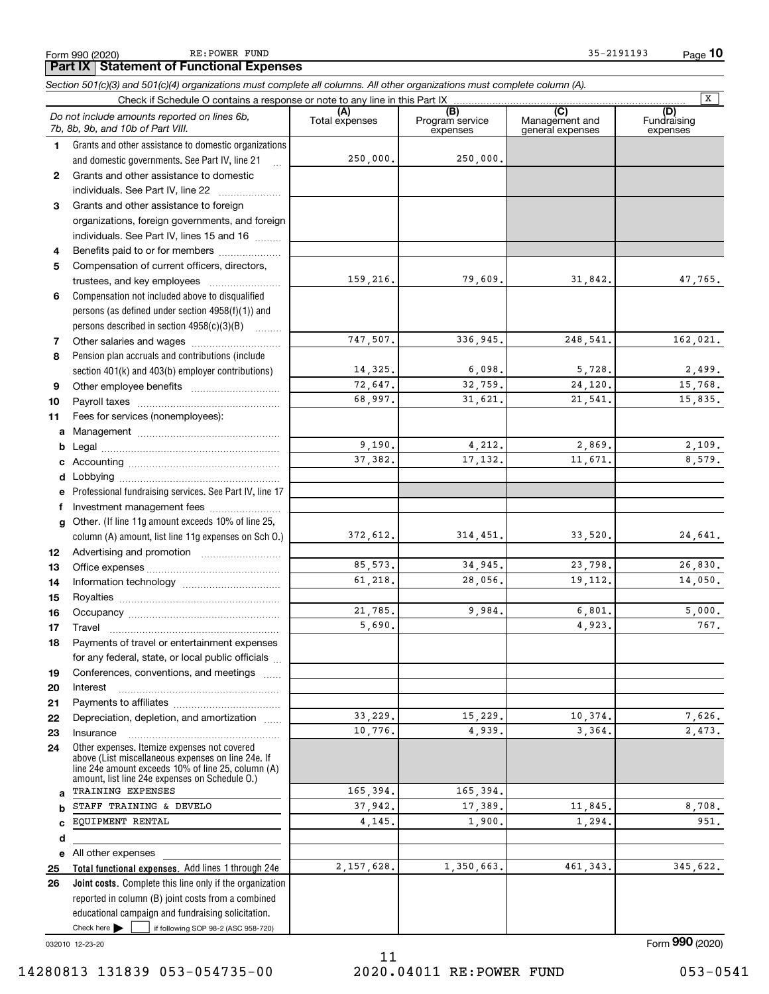Form 990 (2020) RE: POWER FUND 35-2191193 RE: POWER FUND

|              | Section 501(c)(3) and 501(c)(4) organizations must complete all columns. All other organizations must complete column (A).                                                                                                                                                                                                                                                                                                                                                         |                       |                                    |                                           |                                |
|--------------|------------------------------------------------------------------------------------------------------------------------------------------------------------------------------------------------------------------------------------------------------------------------------------------------------------------------------------------------------------------------------------------------------------------------------------------------------------------------------------|-----------------------|------------------------------------|-------------------------------------------|--------------------------------|
|              | Check if Schedule O contains a response or note to any line in this Part IX.                                                                                                                                                                                                                                                                                                                                                                                                       |                       |                                    |                                           | $\overline{\mathbf{x}}$        |
|              | Do not include amounts reported on lines 6b,<br>7b, 8b, 9b, and 10b of Part VIII.                                                                                                                                                                                                                                                                                                                                                                                                  | (A)<br>Total expenses | (B)<br>Program service<br>expenses | (C)<br>Management and<br>general expenses | (D)<br>Fundraising<br>expenses |
| 1.           | Grants and other assistance to domestic organizations                                                                                                                                                                                                                                                                                                                                                                                                                              |                       |                                    |                                           |                                |
|              | and domestic governments. See Part IV, line 21                                                                                                                                                                                                                                                                                                                                                                                                                                     | 250,000.              | 250,000.                           |                                           |                                |
| $\mathbf{2}$ | Grants and other assistance to domestic                                                                                                                                                                                                                                                                                                                                                                                                                                            |                       |                                    |                                           |                                |
|              | individuals. See Part IV, line 22                                                                                                                                                                                                                                                                                                                                                                                                                                                  |                       |                                    |                                           |                                |
| 3            | Grants and other assistance to foreign                                                                                                                                                                                                                                                                                                                                                                                                                                             |                       |                                    |                                           |                                |
|              | organizations, foreign governments, and foreign                                                                                                                                                                                                                                                                                                                                                                                                                                    |                       |                                    |                                           |                                |
|              | individuals. See Part IV, lines 15 and 16                                                                                                                                                                                                                                                                                                                                                                                                                                          |                       |                                    |                                           |                                |
| 4            | Benefits paid to or for members                                                                                                                                                                                                                                                                                                                                                                                                                                                    |                       |                                    |                                           |                                |
| 5            | Compensation of current officers, directors,                                                                                                                                                                                                                                                                                                                                                                                                                                       |                       |                                    |                                           |                                |
|              | trustees, and key employees                                                                                                                                                                                                                                                                                                                                                                                                                                                        | 159,216.              | 79,609.                            | 31,842.                                   | 47,765.                        |
| 6            | Compensation not included above to disqualified                                                                                                                                                                                                                                                                                                                                                                                                                                    |                       |                                    |                                           |                                |
|              | persons (as defined under section 4958(f)(1)) and                                                                                                                                                                                                                                                                                                                                                                                                                                  |                       |                                    |                                           |                                |
|              | persons described in section 4958(c)(3)(B)                                                                                                                                                                                                                                                                                                                                                                                                                                         |                       |                                    |                                           |                                |
| 7            |                                                                                                                                                                                                                                                                                                                                                                                                                                                                                    | 747,507.              | 336,945.                           | 248,541.                                  | 162,021.                       |
| 8            | Pension plan accruals and contributions (include                                                                                                                                                                                                                                                                                                                                                                                                                                   |                       |                                    |                                           |                                |
|              | section 401(k) and 403(b) employer contributions)                                                                                                                                                                                                                                                                                                                                                                                                                                  | 14,325.               | 6,098.                             | 5,728.                                    | 2,499.                         |
| 9            |                                                                                                                                                                                                                                                                                                                                                                                                                                                                                    | 72,647.               | 32,759.                            | 24,120.                                   | 15,768.                        |
| 10           |                                                                                                                                                                                                                                                                                                                                                                                                                                                                                    | 68,997.               | 31,621.                            | 21,541.                                   | 15,835.                        |
| 11           | Fees for services (nonemployees):                                                                                                                                                                                                                                                                                                                                                                                                                                                  |                       |                                    |                                           |                                |
| a            |                                                                                                                                                                                                                                                                                                                                                                                                                                                                                    |                       |                                    |                                           |                                |
| b            |                                                                                                                                                                                                                                                                                                                                                                                                                                                                                    | 9,190.                | 4,212.                             | 2,869.                                    | 2,109.                         |
|              |                                                                                                                                                                                                                                                                                                                                                                                                                                                                                    | 37,382.               | 17,132.                            | 11,671.                                   | 8,579.                         |
| d            |                                                                                                                                                                                                                                                                                                                                                                                                                                                                                    |                       |                                    |                                           |                                |
| е            | Professional fundraising services. See Part IV, line 17                                                                                                                                                                                                                                                                                                                                                                                                                            |                       |                                    |                                           |                                |
| f            | Investment management fees                                                                                                                                                                                                                                                                                                                                                                                                                                                         |                       |                                    |                                           |                                |
| g            | Other. (If line 11g amount exceeds 10% of line 25,                                                                                                                                                                                                                                                                                                                                                                                                                                 |                       |                                    |                                           |                                |
|              | column (A) amount, list line 11g expenses on Sch O.)                                                                                                                                                                                                                                                                                                                                                                                                                               | 372,612.              | 314, 451.                          | 33,520.                                   | 24,641.                        |
| 12           |                                                                                                                                                                                                                                                                                                                                                                                                                                                                                    |                       |                                    |                                           |                                |
| 13           |                                                                                                                                                                                                                                                                                                                                                                                                                                                                                    | 85,573.               | 34,945.                            | 23,798.                                   | 26,830.                        |
| 14           |                                                                                                                                                                                                                                                                                                                                                                                                                                                                                    | 61,218.               | 28,056.                            | 19, 112.                                  | 14,050.                        |
| 15           |                                                                                                                                                                                                                                                                                                                                                                                                                                                                                    |                       |                                    |                                           |                                |
| 16           |                                                                                                                                                                                                                                                                                                                                                                                                                                                                                    | 21,785.               | 9,984.                             | 6,801.                                    | 5,000.                         |
| 17           | $\begin{minipage}{0.5\textwidth} \centering \begin{tabular}{ c c c c } \hline \textbf{Travel} & \textbf{if} & \textbf{if} & \textbf{if} \\ \hline \textbf{if} & \textbf{if} & \textbf{if} \\ \hline \textbf{if} & \textbf{if} & \textbf{if} \\ \hline \textbf{if} & \textbf{if} & \textbf{if} \\ \hline \textbf{if} & \textbf{if} & \textbf{if} \\ \hline \textbf{if} & \textbf{if} & \textbf{if} \\ \hline \textbf{if} & \textbf{if} & \textbf{if} \\ \hline \textbf{if} & \text$ | 5,690.                |                                    | 4,923.                                    | 767.                           |
| 18           | Payments of travel or entertainment expenses                                                                                                                                                                                                                                                                                                                                                                                                                                       |                       |                                    |                                           |                                |
|              | for any federal, state, or local public officials                                                                                                                                                                                                                                                                                                                                                                                                                                  |                       |                                    |                                           |                                |
| 19           | Conferences, conventions, and meetings                                                                                                                                                                                                                                                                                                                                                                                                                                             |                       |                                    |                                           |                                |
| 20           | Interest                                                                                                                                                                                                                                                                                                                                                                                                                                                                           |                       |                                    |                                           |                                |
| 21           |                                                                                                                                                                                                                                                                                                                                                                                                                                                                                    |                       |                                    |                                           |                                |
| 22           | Depreciation, depletion, and amortization                                                                                                                                                                                                                                                                                                                                                                                                                                          | 33,229.               | 15,229.                            | 10,374.                                   | 7,626.                         |
| 23           | Insurance                                                                                                                                                                                                                                                                                                                                                                                                                                                                          | 10,776.               | 4,939.                             | 3,364.                                    | 2,473.                         |
| 24           | Other expenses. Itemize expenses not covered<br>above (List miscellaneous expenses on line 24e. If<br>line 24e amount exceeds 10% of line 25, column (A)<br>amount, list line 24e expenses on Schedule O.)                                                                                                                                                                                                                                                                         |                       |                                    |                                           |                                |
| a            | TRAINING EXPENSES                                                                                                                                                                                                                                                                                                                                                                                                                                                                  | 165,394.              | 165,394.                           |                                           |                                |
|              | STAFF TRAINING & DEVELO                                                                                                                                                                                                                                                                                                                                                                                                                                                            | 37,942.               | 17,389.                            | 11,845.                                   | 8,708.                         |
|              | EQUIPMENT RENTAL                                                                                                                                                                                                                                                                                                                                                                                                                                                                   | 4,145.                | 1,900.                             | 1,294.                                    | 951.                           |
| d            |                                                                                                                                                                                                                                                                                                                                                                                                                                                                                    |                       |                                    |                                           |                                |
| е            | All other expenses                                                                                                                                                                                                                                                                                                                                                                                                                                                                 |                       |                                    |                                           |                                |
| 25           | Total functional expenses. Add lines 1 through 24e                                                                                                                                                                                                                                                                                                                                                                                                                                 | 2, 157, 628.          | 1,350,663.                         | 461, 343.                                 | 345,622.                       |
| 26           | Joint costs. Complete this line only if the organization                                                                                                                                                                                                                                                                                                                                                                                                                           |                       |                                    |                                           |                                |
|              | reported in column (B) joint costs from a combined                                                                                                                                                                                                                                                                                                                                                                                                                                 |                       |                                    |                                           |                                |
|              | educational campaign and fundraising solicitation.                                                                                                                                                                                                                                                                                                                                                                                                                                 |                       |                                    |                                           |                                |
|              | Check here $\blacktriangleright$<br>if following SOP 98-2 (ASC 958-720)                                                                                                                                                                                                                                                                                                                                                                                                            |                       |                                    |                                           |                                |

032010 12-23-20

Form 990 (2020)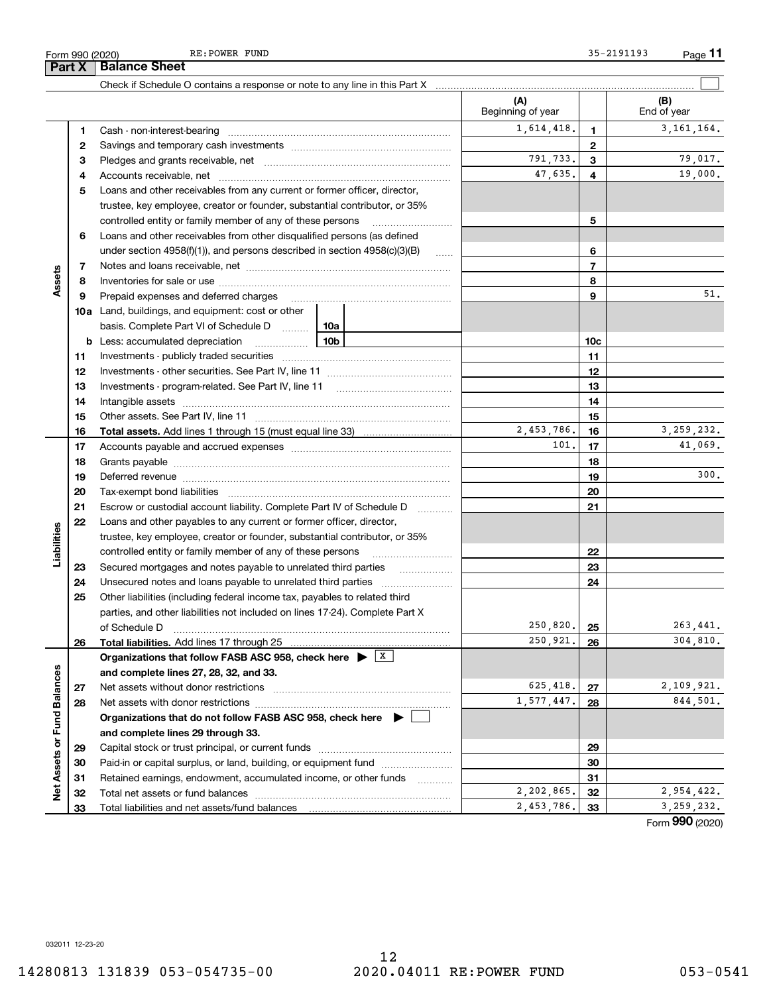Part X | Balance Sheet

Form 990 (2020) RE:POWER FUND 35-2191193 Page Page 11 RE: POWER FUND 35-2191193

|                             |          |                                                                                                                                                                                                                               | (A)<br>Beginning of year |                          | (B)<br>End of year          |
|-----------------------------|----------|-------------------------------------------------------------------------------------------------------------------------------------------------------------------------------------------------------------------------------|--------------------------|--------------------------|-----------------------------|
|                             | 1        |                                                                                                                                                                                                                               | 1,614,418.               | 1                        | 3, 161, 164.                |
|                             | 2        |                                                                                                                                                                                                                               |                          | 2                        |                             |
|                             | 3        |                                                                                                                                                                                                                               | 791,733.                 | 3                        | 79,017.                     |
|                             | 4        |                                                                                                                                                                                                                               | 47,635.                  | 4                        | 19,000.                     |
|                             | 5        | Loans and other receivables from any current or former officer, director,                                                                                                                                                     |                          |                          |                             |
|                             |          | trustee, key employee, creator or founder, substantial contributor, or 35%                                                                                                                                                    |                          |                          |                             |
|                             |          | controlled entity or family member of any of these persons                                                                                                                                                                    |                          | 5                        |                             |
|                             | 6        | Loans and other receivables from other disqualified persons (as defined                                                                                                                                                       |                          |                          |                             |
|                             |          | under section 4958(f)(1)), and persons described in section 4958(c)(3)(B)                                                                                                                                                     | $\ldots$                 | 6                        |                             |
|                             | 7        |                                                                                                                                                                                                                               |                          | $\overline{\phantom{a}}$ |                             |
| Assets                      | 8        |                                                                                                                                                                                                                               |                          | 8                        |                             |
|                             | 9        | Prepaid expenses and deferred charges                                                                                                                                                                                         |                          | 9                        | 51.                         |
|                             |          | <b>10a</b> Land, buildings, and equipment: cost or other                                                                                                                                                                      |                          |                          |                             |
|                             |          | basis. Complete Part VI of Schedule D  10a                                                                                                                                                                                    |                          |                          |                             |
|                             |          |                                                                                                                                                                                                                               |                          | 10 <sub>c</sub>          |                             |
|                             | 11       |                                                                                                                                                                                                                               |                          | 11                       |                             |
|                             | 12       |                                                                                                                                                                                                                               |                          | 12                       |                             |
|                             | 13       |                                                                                                                                                                                                                               |                          | 13                       |                             |
|                             | 14       |                                                                                                                                                                                                                               |                          | 14                       |                             |
|                             | 15       |                                                                                                                                                                                                                               |                          | 15                       |                             |
|                             | 16       | <b>Total assets.</b> Add lines 1 through 15 (must equal line 33) <i></i>                                                                                                                                                      | 2,453,786.               | 16                       | 3, 259, 232.                |
|                             | 17       |                                                                                                                                                                                                                               | 101.                     | 17                       | 41,069.                     |
|                             | 18       |                                                                                                                                                                                                                               |                          | 18                       |                             |
|                             | 19       | Deferred revenue manual contracts and contracts and contracts are contracted and contracts are contracted and contract are contracted and contract are contracted and contract are contracted and contract are contracted and |                          | 19                       | 300.                        |
|                             | 20       |                                                                                                                                                                                                                               |                          | 20                       |                             |
|                             | 21       | Escrow or custodial account liability. Complete Part IV of Schedule D                                                                                                                                                         |                          | 21                       |                             |
|                             | 22       | Loans and other payables to any current or former officer, director,                                                                                                                                                          |                          |                          |                             |
| Liabilities                 |          | trustee, key employee, creator or founder, substantial contributor, or 35%                                                                                                                                                    |                          |                          |                             |
|                             |          |                                                                                                                                                                                                                               |                          | 22                       |                             |
|                             | 23       |                                                                                                                                                                                                                               |                          | 23                       |                             |
|                             | 24       | Unsecured notes and loans payable to unrelated third parties                                                                                                                                                                  |                          | 24                       |                             |
|                             | 25       | Other liabilities (including federal income tax, payables to related third                                                                                                                                                    |                          |                          |                             |
|                             |          | parties, and other liabilities not included on lines 17-24). Complete Part X                                                                                                                                                  |                          |                          |                             |
|                             |          | of Schedule D                                                                                                                                                                                                                 | 250,820.<br>250,921.     | 25                       | 263,441.<br>304,810.        |
|                             | 26       | Total liabilities. Add lines 17 through 25                                                                                                                                                                                    |                          | 26                       |                             |
|                             |          | Organizations that follow FASB ASC 958, check here $\blacktriangleright \begin{array}{c} \perp X \end{array}$                                                                                                                 |                          |                          |                             |
|                             |          | and complete lines 27, 28, 32, and 33.                                                                                                                                                                                        | 625,418.                 | 27                       | 2,109,921.                  |
|                             | 27<br>28 |                                                                                                                                                                                                                               | 1,577,447.               | 28                       | 844,501.                    |
|                             |          | Organizations that do not follow FASB ASC 958, check here $\blacktriangleright$                                                                                                                                               |                          |                          |                             |
| Net Assets or Fund Balances |          | and complete lines 29 through 33.                                                                                                                                                                                             |                          |                          |                             |
|                             | 29       |                                                                                                                                                                                                                               |                          | 29                       |                             |
|                             | 30       | Paid-in or capital surplus, or land, building, or equipment fund                                                                                                                                                              |                          | 30                       |                             |
|                             | 31       | Retained earnings, endowment, accumulated income, or other funds                                                                                                                                                              |                          | 31                       |                             |
|                             | 32       | Total net assets or fund balances                                                                                                                                                                                             | 2,202,865.               | 32                       | 2,954,422.                  |
|                             | 33       |                                                                                                                                                                                                                               | 2,453,786.               | 33                       | 3, 259, 232.                |
|                             |          |                                                                                                                                                                                                                               |                          |                          | $F_{\text{orm}}$ 990 (2020) |

032011 12-23-20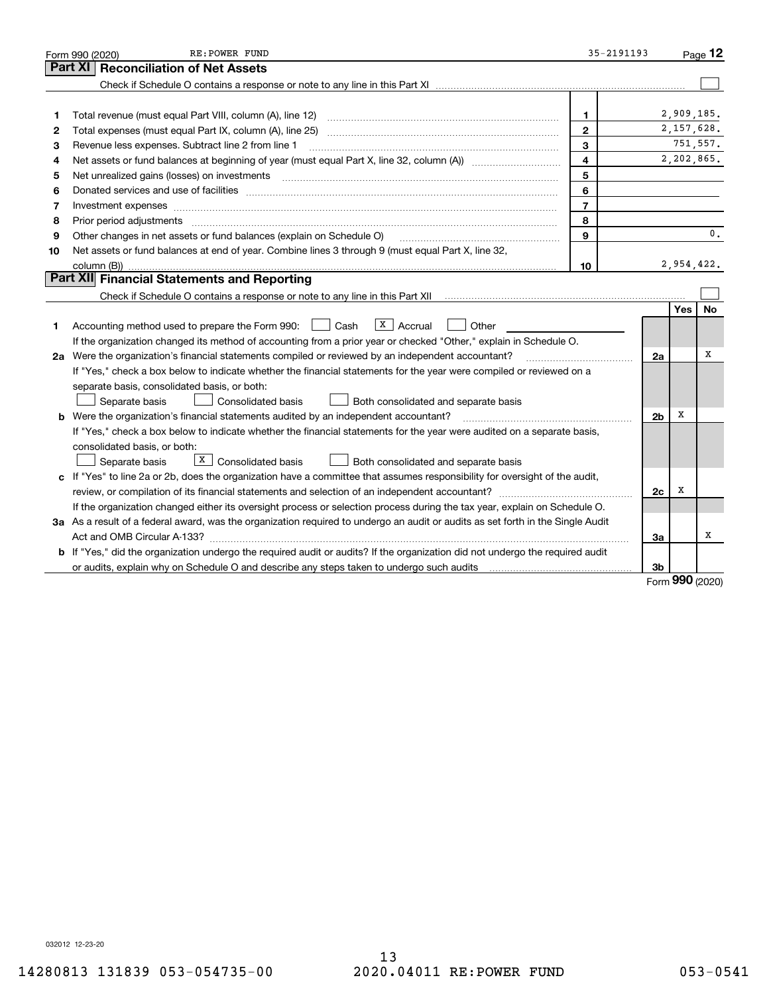|    | RE: POWER FUND<br>Form 990 (2020)                                                                                                                                                                                              | 35-2191193     |                |            | Page $12$      |  |  |
|----|--------------------------------------------------------------------------------------------------------------------------------------------------------------------------------------------------------------------------------|----------------|----------------|------------|----------------|--|--|
|    | <b>Reconciliation of Net Assets</b><br>Part XI                                                                                                                                                                                 |                |                |            |                |  |  |
|    |                                                                                                                                                                                                                                |                |                |            |                |  |  |
|    |                                                                                                                                                                                                                                |                |                |            |                |  |  |
| 1  | Total revenue (must equal Part VIII, column (A), line 12)                                                                                                                                                                      | 1              |                | 2,909,185. |                |  |  |
| 2  |                                                                                                                                                                                                                                | $\mathbf{2}$   |                | 2,157,628. |                |  |  |
| з  | Revenue less expenses. Subtract line 2 from line 1                                                                                                                                                                             | 3              |                |            | 751,557.       |  |  |
| 4  | 4                                                                                                                                                                                                                              |                |                |            |                |  |  |
| 5  | Net unrealized gains (losses) on investments                                                                                                                                                                                   | 5              |                |            |                |  |  |
| 6  | Donated services and use of facilities [111] Donated and the service of facilities [11] Donated services and use of facilities [11] Donated and the service of the service of the service of the service of the service of the | 6              |                |            |                |  |  |
| 7  | Investment expenses www.communication.communication.com/www.communication.com/www.communication.com                                                                                                                            | $\overline{7}$ |                |            |                |  |  |
| 8  | Prior period adjustments                                                                                                                                                                                                       | 8              |                |            |                |  |  |
| 9  | Other changes in net assets or fund balances (explain on Schedule O)                                                                                                                                                           | $\mathbf{Q}$   |                |            | $\mathbf{0}$ . |  |  |
| 10 | Net assets or fund balances at end of year. Combine lines 3 through 9 (must equal Part X, line 32,                                                                                                                             |                |                |            |                |  |  |
|    | column (B))                                                                                                                                                                                                                    | 10             |                | 2,954,422. |                |  |  |
|    | Part XII Financial Statements and Reporting                                                                                                                                                                                    |                |                |            |                |  |  |
|    |                                                                                                                                                                                                                                |                |                |            |                |  |  |
|    |                                                                                                                                                                                                                                |                |                | <b>Yes</b> | No             |  |  |
| 1  | $X \vert$ Accrual<br>Accounting method used to prepare the Form 990: <u>II</u> Cash<br>Other                                                                                                                                   |                |                |            |                |  |  |
|    | If the organization changed its method of accounting from a prior year or checked "Other," explain in Schedule O.                                                                                                              |                |                |            |                |  |  |
|    | 2a Were the organization's financial statements compiled or reviewed by an independent accountant?                                                                                                                             |                | 2a             |            | х              |  |  |
|    | If "Yes," check a box below to indicate whether the financial statements for the year were compiled or reviewed on a                                                                                                           |                |                |            |                |  |  |
|    | separate basis, consolidated basis, or both:                                                                                                                                                                                   |                |                |            |                |  |  |
|    | Separate basis<br><b>Consolidated basis</b><br>Both consolidated and separate basis                                                                                                                                            |                |                |            |                |  |  |
|    | <b>b</b> Were the organization's financial statements audited by an independent accountant?                                                                                                                                    |                | 2 <sub>b</sub> | х          |                |  |  |
|    | If "Yes," check a box below to indicate whether the financial statements for the year were audited on a separate basis,                                                                                                        |                |                |            |                |  |  |
|    | consolidated basis, or both:                                                                                                                                                                                                   |                |                |            |                |  |  |
|    | $X$ Consolidated basis<br>Separate basis<br>Both consolidated and separate basis                                                                                                                                               |                |                |            |                |  |  |
|    | c If "Yes" to line 2a or 2b, does the organization have a committee that assumes responsibility for oversight of the audit,                                                                                                    |                |                |            |                |  |  |
|    | review, or compilation of its financial statements and selection of an independent accountant?                                                                                                                                 |                | 2c             | х          |                |  |  |
|    | If the organization changed either its oversight process or selection process during the tax year, explain on Schedule O.                                                                                                      |                |                |            |                |  |  |
|    | 3a As a result of a federal award, was the organization required to undergo an audit or audits as set forth in the Single Audit                                                                                                |                |                |            |                |  |  |
|    |                                                                                                                                                                                                                                |                | 3a             |            | х              |  |  |
|    | b If "Yes," did the organization undergo the required audit or audits? If the organization did not undergo the required audit                                                                                                  |                |                |            |                |  |  |
|    | or audits, explain why on Schedule O and describe any steps taken to undergo such audits                                                                                                                                       |                | 3b             | <b>nnn</b> |                |  |  |

Form 990 (2020)

032012 12-23-20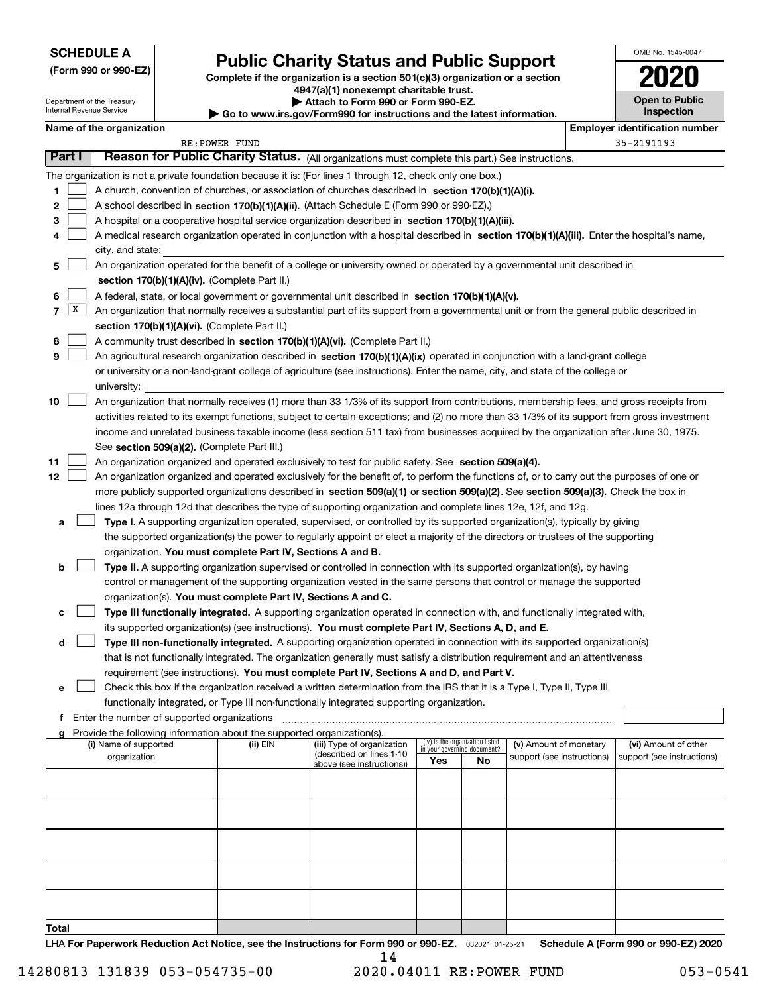| <b>SCHEDULE A</b> |
|-------------------|
|-------------------|

| (Form 990 or 990-EZ) |  |  |  |  |
|----------------------|--|--|--|--|
|----------------------|--|--|--|--|

Department of the Treasury Internal Revenue Service

Public Charity Status and Public Support |

Complete if the organization is a section 501(c)(3) organization or a section 4947(a)(1) nonexempt charitable trust. | Attach to Form 990 or Form 990-EZ.  $\blacktriangleright$  Go to ww

| ww.irs.gov/Form990 for instructions and the latest information. |
|-----------------------------------------------------------------|
|-----------------------------------------------------------------|

| OMB No. 1545-0047                   |
|-------------------------------------|
| 020                                 |
| <b>Open to Public</b><br>Inspection |

|        |   | Name of the organization                                                                                                                     |                | ad to www.mo.gov/rommood for modiabliorum and the rated; mnormation, |     |                                 |                            |  | <b>Employer identification number</b> |  |  |
|--------|---|----------------------------------------------------------------------------------------------------------------------------------------------|----------------|----------------------------------------------------------------------|-----|---------------------------------|----------------------------|--|---------------------------------------|--|--|
|        |   |                                                                                                                                              | RE: POWER FUND |                                                                      |     |                                 |                            |  | 35-2191193                            |  |  |
| Part I |   | Reason for Public Charity Status. (All organizations must complete this part.) See instructions.                                             |                |                                                                      |     |                                 |                            |  |                                       |  |  |
|        |   | The organization is not a private foundation because it is: (For lines 1 through 12, check only one box.)                                    |                |                                                                      |     |                                 |                            |  |                                       |  |  |
| 1      |   | A church, convention of churches, or association of churches described in section $170(b)(1)(A)(i)$ .                                        |                |                                                                      |     |                                 |                            |  |                                       |  |  |
| 2      |   | A school described in section 170(b)(1)(A)(ii). (Attach Schedule E (Form 990 or 990-EZ).)                                                    |                |                                                                      |     |                                 |                            |  |                                       |  |  |
| 3      |   | A hospital or a cooperative hospital service organization described in section 170(b)(1)(A)(iii).                                            |                |                                                                      |     |                                 |                            |  |                                       |  |  |
| 4      |   | A medical research organization operated in conjunction with a hospital described in section 170(b)(1)(A)(iii). Enter the hospital's name,   |                |                                                                      |     |                                 |                            |  |                                       |  |  |
|        |   | city, and state:                                                                                                                             |                |                                                                      |     |                                 |                            |  |                                       |  |  |
| 5      |   | An organization operated for the benefit of a college or university owned or operated by a governmental unit described in                    |                |                                                                      |     |                                 |                            |  |                                       |  |  |
|        |   | section 170(b)(1)(A)(iv). (Complete Part II.)                                                                                                |                |                                                                      |     |                                 |                            |  |                                       |  |  |
| 6      |   | A federal, state, or local government or governmental unit described in section 170(b)(1)(A)(v).                                             |                |                                                                      |     |                                 |                            |  |                                       |  |  |
| 7      | X | An organization that normally receives a substantial part of its support from a governmental unit or from the general public described in    |                |                                                                      |     |                                 |                            |  |                                       |  |  |
|        |   | section 170(b)(1)(A)(vi). (Complete Part II.)                                                                                                |                |                                                                      |     |                                 |                            |  |                                       |  |  |
| 8      |   | A community trust described in section 170(b)(1)(A)(vi). (Complete Part II.)                                                                 |                |                                                                      |     |                                 |                            |  |                                       |  |  |
| 9      |   | An agricultural research organization described in section 170(b)(1)(A)(ix) operated in conjunction with a land-grant college                |                |                                                                      |     |                                 |                            |  |                                       |  |  |
|        |   | or university or a non-land-grant college of agriculture (see instructions). Enter the name, city, and state of the college or               |                |                                                                      |     |                                 |                            |  |                                       |  |  |
|        |   | university:                                                                                                                                  |                |                                                                      |     |                                 |                            |  |                                       |  |  |
| 10     |   | An organization that normally receives (1) more than 33 1/3% of its support from contributions, membership fees, and gross receipts from     |                |                                                                      |     |                                 |                            |  |                                       |  |  |
|        |   | activities related to its exempt functions, subject to certain exceptions; and (2) no more than 33 1/3% of its support from gross investment |                |                                                                      |     |                                 |                            |  |                                       |  |  |
|        |   | income and unrelated business taxable income (less section 511 tax) from businesses acquired by the organization after June 30, 1975.        |                |                                                                      |     |                                 |                            |  |                                       |  |  |
|        |   | See section 509(a)(2). (Complete Part III.)                                                                                                  |                |                                                                      |     |                                 |                            |  |                                       |  |  |
| 11     |   | An organization organized and operated exclusively to test for public safety. See section 509(a)(4).                                         |                |                                                                      |     |                                 |                            |  |                                       |  |  |
| 12     |   | An organization organized and operated exclusively for the benefit of, to perform the functions of, or to carry out the purposes of one or   |                |                                                                      |     |                                 |                            |  |                                       |  |  |
|        |   | more publicly supported organizations described in section 509(a)(1) or section 509(a)(2). See section 509(a)(3). Check the box in           |                |                                                                      |     |                                 |                            |  |                                       |  |  |
|        |   | lines 12a through 12d that describes the type of supporting organization and complete lines 12e, 12f, and 12g.                               |                |                                                                      |     |                                 |                            |  |                                       |  |  |
| a      |   | Type I. A supporting organization operated, supervised, or controlled by its supported organization(s), typically by giving                  |                |                                                                      |     |                                 |                            |  |                                       |  |  |
|        |   | the supported organization(s) the power to regularly appoint or elect a majority of the directors or trustees of the supporting              |                |                                                                      |     |                                 |                            |  |                                       |  |  |
|        |   | organization. You must complete Part IV, Sections A and B.                                                                                   |                |                                                                      |     |                                 |                            |  |                                       |  |  |
| b      |   | Type II. A supporting organization supervised or controlled in connection with its supported organization(s), by having                      |                |                                                                      |     |                                 |                            |  |                                       |  |  |
|        |   | control or management of the supporting organization vested in the same persons that control or manage the supported                         |                |                                                                      |     |                                 |                            |  |                                       |  |  |
|        |   | organization(s). You must complete Part IV, Sections A and C.                                                                                |                |                                                                      |     |                                 |                            |  |                                       |  |  |
| с      |   | Type III functionally integrated. A supporting organization operated in connection with, and functionally integrated with,                   |                |                                                                      |     |                                 |                            |  |                                       |  |  |
|        |   | its supported organization(s) (see instructions). You must complete Part IV, Sections A, D, and E.                                           |                |                                                                      |     |                                 |                            |  |                                       |  |  |
| d      |   | Type III non-functionally integrated. A supporting organization operated in connection with its supported organization(s)                    |                |                                                                      |     |                                 |                            |  |                                       |  |  |
|        |   | that is not functionally integrated. The organization generally must satisfy a distribution requirement and an attentiveness                 |                |                                                                      |     |                                 |                            |  |                                       |  |  |
|        |   | requirement (see instructions). You must complete Part IV, Sections A and D, and Part V.                                                     |                |                                                                      |     |                                 |                            |  |                                       |  |  |
| е      |   | Check this box if the organization received a written determination from the IRS that it is a Type I, Type II, Type III                      |                |                                                                      |     |                                 |                            |  |                                       |  |  |
|        |   | functionally integrated, or Type III non-functionally integrated supporting organization.                                                    |                |                                                                      |     |                                 |                            |  |                                       |  |  |
| f      |   | Enter the number of supported organizations                                                                                                  |                |                                                                      |     |                                 |                            |  |                                       |  |  |
| g      |   | Provide the following information about the supported organization(s).<br>(i) Name of supported                                              | (ii) EIN       | (iii) Type of organization                                           |     | (iv) Is the organization listed | (v) Amount of monetary     |  | (vi) Amount of other                  |  |  |
|        |   | organization                                                                                                                                 |                | (described on lines 1-10                                             |     | in your governing document?     | support (see instructions) |  | support (see instructions)            |  |  |
|        |   |                                                                                                                                              |                | above (see instructions))                                            | Yes | No                              |                            |  |                                       |  |  |
|        |   |                                                                                                                                              |                |                                                                      |     |                                 |                            |  |                                       |  |  |
|        |   |                                                                                                                                              |                |                                                                      |     |                                 |                            |  |                                       |  |  |
|        |   |                                                                                                                                              |                |                                                                      |     |                                 |                            |  |                                       |  |  |
|        |   |                                                                                                                                              |                |                                                                      |     |                                 |                            |  |                                       |  |  |
|        |   |                                                                                                                                              |                |                                                                      |     |                                 |                            |  |                                       |  |  |
|        |   |                                                                                                                                              |                |                                                                      |     |                                 |                            |  |                                       |  |  |
|        |   |                                                                                                                                              |                |                                                                      |     |                                 |                            |  |                                       |  |  |

**Total** 

LHA For Paperwork Reduction Act Notice, see the Instructions for Form 990 or 990-EZ. 032021 01-25-21 Schedule A (Form 990 or 990-EZ) 2020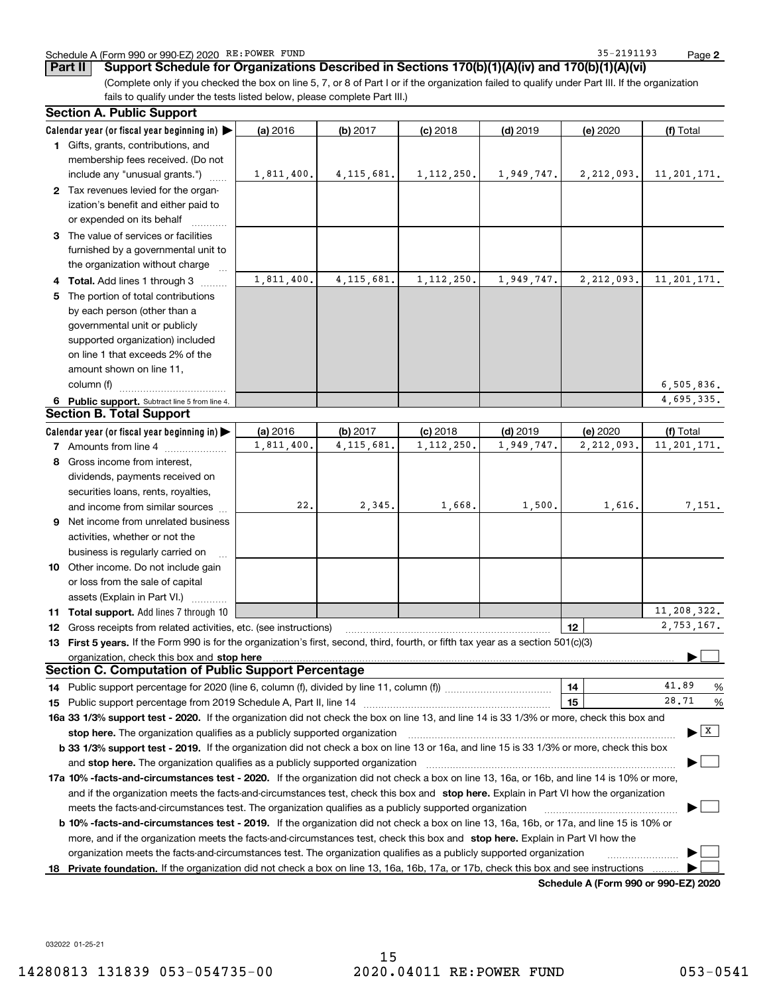#### Schedule A (Form 990 or 990-EZ) 2020 RE: POWER FUND 35-2191193 Page

Page 2

(Complete only if you checked the box on line 5, 7, or 8 of Part I or if the organization failed to qualify under Part III. If the organization fails to qualify under the tests listed below, please complete Part III.) Part II | Support Schedule for Organizations Described in Sections 170(b)(1)(A)(iv) and 170(b)(1)(A)(vi)

| Calendar year (or fiscal year beginning in)<br>$(d)$ 2019<br>(a) 2016<br>(b) 2017<br>$(c)$ 2018<br>(e) 2020<br>(f) Total<br>1 Gifts, grants, contributions, and<br>membership fees received. (Do not<br>2,212,093.<br>1,811,400.<br>4, 115, 681.<br>1, 112, 250.<br>1,949,747.<br>11, 201, 171.<br>include any "unusual grants.")<br>2 Tax revenues levied for the organ-<br>ization's benefit and either paid to<br>or expended on its behalf<br>3 The value of services or facilities<br>furnished by a governmental unit to<br>the organization without charge<br>1,811,400.<br>4, 115, 681.<br>1, 112, 250.<br>1,949,747.<br>2,212,093.<br>11, 201, 171.<br>4 Total. Add lines 1 through 3<br>The portion of total contributions<br>5.<br>by each person (other than a<br>governmental unit or publicly<br>supported organization) included<br>on line 1 that exceeds 2% of the<br>amount shown on line 11,<br>column (f)<br>6, 505, 836.<br>4,695,335.<br>6 Public support. Subtract line 5 from line 4.<br><b>Section B. Total Support</b><br>(a) 2016<br>(b) 2017<br>$(c)$ 2018<br>$(d)$ 2019<br>(e) 2020<br>(f) Total<br>Calendar year (or fiscal year beginning in) $\blacktriangleright$<br>1,811,400.<br>4.115.681.<br>1, 112, 250.<br>1,949,747.<br>2,212,093.<br>11, 201, 171.<br><b>7</b> Amounts from line 4<br>8 Gross income from interest,<br>dividends, payments received on<br>securities loans, rents, royalties,<br>22.<br>2,345.<br>1,668.<br>1,500.<br>1,616.<br>7,151.<br>and income from similar sources<br><b>9</b> Net income from unrelated business<br>activities, whether or not the<br>business is regularly carried on<br>10 Other income. Do not include gain<br>or loss from the sale of capital<br>assets (Explain in Part VI.)<br>11,208,322.<br>11 Total support. Add lines 7 through 10<br>2,753,167.<br>12<br>12 Gross receipts from related activities, etc. (see instructions)<br>13 First 5 years. If the Form 990 is for the organization's first, second, third, fourth, or fifth tax year as a section 501(c)(3)<br>organization, check this box and stop here manufactured and content to the state of the state of the state of<br><b>Section C. Computation of Public Support Percentage</b><br>41.89<br>14<br>14 Public support percentage for 2020 (line 6, column (f), divided by line 11, column (f) <i>marroummaname</i><br>%<br>28.71<br>15<br>%<br>15 Public support percentage from 2019 Schedule A, Part II, line 14<br>16a 33 1/3% support test - 2020. If the organization did not check the box on line 13, and line 14 is 33 1/3% or more, check this box and<br>  x  <br>stop here. The organization qualifies as a publicly supported organization<br>b 33 1/3% support test - 2019. If the organization did not check a box on line 13 or 16a, and line 15 is 33 1/3% or more, check this box<br>and stop here. The organization qualifies as a publicly supported organization<br>17a 10% -facts-and-circumstances test - 2020. If the organization did not check a box on line 13, 16a, or 16b, and line 14 is 10% or more,<br>and if the organization meets the facts-and-circumstances test, check this box and stop here. Explain in Part VI how the organization<br>meets the facts-and-circumstances test. The organization qualifies as a publicly supported organization<br><b>b 10% -facts-and-circumstances test - 2019.</b> If the organization did not check a box on line 13, 16a, 16b, or 17a, and line 15 is 10% or<br>more, and if the organization meets the facts-and-circumstances test, check this box and stop here. Explain in Part VI how the<br>organization meets the facts-and-circumstances test. The organization qualifies as a publicly supported organization<br>Private foundation. If the organization did not check a box on line 13, 16a, 16b, 17a, or 17b, check this box and see instructions<br>18 | <b>Section A. Public Support</b> |  |  |  |
|------------------------------------------------------------------------------------------------------------------------------------------------------------------------------------------------------------------------------------------------------------------------------------------------------------------------------------------------------------------------------------------------------------------------------------------------------------------------------------------------------------------------------------------------------------------------------------------------------------------------------------------------------------------------------------------------------------------------------------------------------------------------------------------------------------------------------------------------------------------------------------------------------------------------------------------------------------------------------------------------------------------------------------------------------------------------------------------------------------------------------------------------------------------------------------------------------------------------------------------------------------------------------------------------------------------------------------------------------------------------------------------------------------------------------------------------------------------------------------------------------------------------------------------------------------------------------------------------------------------------------------------------------------------------------------------------------------------------------------------------------------------------------------------------------------------------------------------------------------------------------------------------------------------------------------------------------------------------------------------------------------------------------------------------------------------------------------------------------------------------------------------------------------------------------------------------------------------------------------------------------------------------------------------------------------------------------------------------------------------------------------------------------------------------------------------------------------------------------------------------------------------------------------------------------------------------------------------------------------------------------------------------------------------------------------------------------------------------------------------------------------------------------------------------------------------------------------------------------------------------------------------------------------------------------------------------------------------------------------------------------------------------------------------------------------------------------------------------------------------------------------------------------------------------------------------------------------------------------------------------------------------------------------------------------------------------------------------------------------------------------------------------------------------------------------------------------------------------------------------------------------------------------------------------------------------------------------------------------------------------------------------------------------------------------------------------------------------------------------------------------------------------------------------------------------------------------------------------------------------------------------------------------------|----------------------------------|--|--|--|
|                                                                                                                                                                                                                                                                                                                                                                                                                                                                                                                                                                                                                                                                                                                                                                                                                                                                                                                                                                                                                                                                                                                                                                                                                                                                                                                                                                                                                                                                                                                                                                                                                                                                                                                                                                                                                                                                                                                                                                                                                                                                                                                                                                                                                                                                                                                                                                                                                                                                                                                                                                                                                                                                                                                                                                                                                                                                                                                                                                                                                                                                                                                                                                                                                                                                                                                                                                                                                                                                                                                                                                                                                                                                                                                                                                                                                                                                                                            |                                  |  |  |  |
|                                                                                                                                                                                                                                                                                                                                                                                                                                                                                                                                                                                                                                                                                                                                                                                                                                                                                                                                                                                                                                                                                                                                                                                                                                                                                                                                                                                                                                                                                                                                                                                                                                                                                                                                                                                                                                                                                                                                                                                                                                                                                                                                                                                                                                                                                                                                                                                                                                                                                                                                                                                                                                                                                                                                                                                                                                                                                                                                                                                                                                                                                                                                                                                                                                                                                                                                                                                                                                                                                                                                                                                                                                                                                                                                                                                                                                                                                                            |                                  |  |  |  |
|                                                                                                                                                                                                                                                                                                                                                                                                                                                                                                                                                                                                                                                                                                                                                                                                                                                                                                                                                                                                                                                                                                                                                                                                                                                                                                                                                                                                                                                                                                                                                                                                                                                                                                                                                                                                                                                                                                                                                                                                                                                                                                                                                                                                                                                                                                                                                                                                                                                                                                                                                                                                                                                                                                                                                                                                                                                                                                                                                                                                                                                                                                                                                                                                                                                                                                                                                                                                                                                                                                                                                                                                                                                                                                                                                                                                                                                                                                            |                                  |  |  |  |
|                                                                                                                                                                                                                                                                                                                                                                                                                                                                                                                                                                                                                                                                                                                                                                                                                                                                                                                                                                                                                                                                                                                                                                                                                                                                                                                                                                                                                                                                                                                                                                                                                                                                                                                                                                                                                                                                                                                                                                                                                                                                                                                                                                                                                                                                                                                                                                                                                                                                                                                                                                                                                                                                                                                                                                                                                                                                                                                                                                                                                                                                                                                                                                                                                                                                                                                                                                                                                                                                                                                                                                                                                                                                                                                                                                                                                                                                                                            |                                  |  |  |  |
|                                                                                                                                                                                                                                                                                                                                                                                                                                                                                                                                                                                                                                                                                                                                                                                                                                                                                                                                                                                                                                                                                                                                                                                                                                                                                                                                                                                                                                                                                                                                                                                                                                                                                                                                                                                                                                                                                                                                                                                                                                                                                                                                                                                                                                                                                                                                                                                                                                                                                                                                                                                                                                                                                                                                                                                                                                                                                                                                                                                                                                                                                                                                                                                                                                                                                                                                                                                                                                                                                                                                                                                                                                                                                                                                                                                                                                                                                                            |                                  |  |  |  |
|                                                                                                                                                                                                                                                                                                                                                                                                                                                                                                                                                                                                                                                                                                                                                                                                                                                                                                                                                                                                                                                                                                                                                                                                                                                                                                                                                                                                                                                                                                                                                                                                                                                                                                                                                                                                                                                                                                                                                                                                                                                                                                                                                                                                                                                                                                                                                                                                                                                                                                                                                                                                                                                                                                                                                                                                                                                                                                                                                                                                                                                                                                                                                                                                                                                                                                                                                                                                                                                                                                                                                                                                                                                                                                                                                                                                                                                                                                            |                                  |  |  |  |
|                                                                                                                                                                                                                                                                                                                                                                                                                                                                                                                                                                                                                                                                                                                                                                                                                                                                                                                                                                                                                                                                                                                                                                                                                                                                                                                                                                                                                                                                                                                                                                                                                                                                                                                                                                                                                                                                                                                                                                                                                                                                                                                                                                                                                                                                                                                                                                                                                                                                                                                                                                                                                                                                                                                                                                                                                                                                                                                                                                                                                                                                                                                                                                                                                                                                                                                                                                                                                                                                                                                                                                                                                                                                                                                                                                                                                                                                                                            |                                  |  |  |  |
|                                                                                                                                                                                                                                                                                                                                                                                                                                                                                                                                                                                                                                                                                                                                                                                                                                                                                                                                                                                                                                                                                                                                                                                                                                                                                                                                                                                                                                                                                                                                                                                                                                                                                                                                                                                                                                                                                                                                                                                                                                                                                                                                                                                                                                                                                                                                                                                                                                                                                                                                                                                                                                                                                                                                                                                                                                                                                                                                                                                                                                                                                                                                                                                                                                                                                                                                                                                                                                                                                                                                                                                                                                                                                                                                                                                                                                                                                                            |                                  |  |  |  |
|                                                                                                                                                                                                                                                                                                                                                                                                                                                                                                                                                                                                                                                                                                                                                                                                                                                                                                                                                                                                                                                                                                                                                                                                                                                                                                                                                                                                                                                                                                                                                                                                                                                                                                                                                                                                                                                                                                                                                                                                                                                                                                                                                                                                                                                                                                                                                                                                                                                                                                                                                                                                                                                                                                                                                                                                                                                                                                                                                                                                                                                                                                                                                                                                                                                                                                                                                                                                                                                                                                                                                                                                                                                                                                                                                                                                                                                                                                            |                                  |  |  |  |
|                                                                                                                                                                                                                                                                                                                                                                                                                                                                                                                                                                                                                                                                                                                                                                                                                                                                                                                                                                                                                                                                                                                                                                                                                                                                                                                                                                                                                                                                                                                                                                                                                                                                                                                                                                                                                                                                                                                                                                                                                                                                                                                                                                                                                                                                                                                                                                                                                                                                                                                                                                                                                                                                                                                                                                                                                                                                                                                                                                                                                                                                                                                                                                                                                                                                                                                                                                                                                                                                                                                                                                                                                                                                                                                                                                                                                                                                                                            |                                  |  |  |  |
|                                                                                                                                                                                                                                                                                                                                                                                                                                                                                                                                                                                                                                                                                                                                                                                                                                                                                                                                                                                                                                                                                                                                                                                                                                                                                                                                                                                                                                                                                                                                                                                                                                                                                                                                                                                                                                                                                                                                                                                                                                                                                                                                                                                                                                                                                                                                                                                                                                                                                                                                                                                                                                                                                                                                                                                                                                                                                                                                                                                                                                                                                                                                                                                                                                                                                                                                                                                                                                                                                                                                                                                                                                                                                                                                                                                                                                                                                                            |                                  |  |  |  |
|                                                                                                                                                                                                                                                                                                                                                                                                                                                                                                                                                                                                                                                                                                                                                                                                                                                                                                                                                                                                                                                                                                                                                                                                                                                                                                                                                                                                                                                                                                                                                                                                                                                                                                                                                                                                                                                                                                                                                                                                                                                                                                                                                                                                                                                                                                                                                                                                                                                                                                                                                                                                                                                                                                                                                                                                                                                                                                                                                                                                                                                                                                                                                                                                                                                                                                                                                                                                                                                                                                                                                                                                                                                                                                                                                                                                                                                                                                            |                                  |  |  |  |
|                                                                                                                                                                                                                                                                                                                                                                                                                                                                                                                                                                                                                                                                                                                                                                                                                                                                                                                                                                                                                                                                                                                                                                                                                                                                                                                                                                                                                                                                                                                                                                                                                                                                                                                                                                                                                                                                                                                                                                                                                                                                                                                                                                                                                                                                                                                                                                                                                                                                                                                                                                                                                                                                                                                                                                                                                                                                                                                                                                                                                                                                                                                                                                                                                                                                                                                                                                                                                                                                                                                                                                                                                                                                                                                                                                                                                                                                                                            |                                  |  |  |  |
|                                                                                                                                                                                                                                                                                                                                                                                                                                                                                                                                                                                                                                                                                                                                                                                                                                                                                                                                                                                                                                                                                                                                                                                                                                                                                                                                                                                                                                                                                                                                                                                                                                                                                                                                                                                                                                                                                                                                                                                                                                                                                                                                                                                                                                                                                                                                                                                                                                                                                                                                                                                                                                                                                                                                                                                                                                                                                                                                                                                                                                                                                                                                                                                                                                                                                                                                                                                                                                                                                                                                                                                                                                                                                                                                                                                                                                                                                                            |                                  |  |  |  |
|                                                                                                                                                                                                                                                                                                                                                                                                                                                                                                                                                                                                                                                                                                                                                                                                                                                                                                                                                                                                                                                                                                                                                                                                                                                                                                                                                                                                                                                                                                                                                                                                                                                                                                                                                                                                                                                                                                                                                                                                                                                                                                                                                                                                                                                                                                                                                                                                                                                                                                                                                                                                                                                                                                                                                                                                                                                                                                                                                                                                                                                                                                                                                                                                                                                                                                                                                                                                                                                                                                                                                                                                                                                                                                                                                                                                                                                                                                            |                                  |  |  |  |
|                                                                                                                                                                                                                                                                                                                                                                                                                                                                                                                                                                                                                                                                                                                                                                                                                                                                                                                                                                                                                                                                                                                                                                                                                                                                                                                                                                                                                                                                                                                                                                                                                                                                                                                                                                                                                                                                                                                                                                                                                                                                                                                                                                                                                                                                                                                                                                                                                                                                                                                                                                                                                                                                                                                                                                                                                                                                                                                                                                                                                                                                                                                                                                                                                                                                                                                                                                                                                                                                                                                                                                                                                                                                                                                                                                                                                                                                                                            |                                  |  |  |  |
|                                                                                                                                                                                                                                                                                                                                                                                                                                                                                                                                                                                                                                                                                                                                                                                                                                                                                                                                                                                                                                                                                                                                                                                                                                                                                                                                                                                                                                                                                                                                                                                                                                                                                                                                                                                                                                                                                                                                                                                                                                                                                                                                                                                                                                                                                                                                                                                                                                                                                                                                                                                                                                                                                                                                                                                                                                                                                                                                                                                                                                                                                                                                                                                                                                                                                                                                                                                                                                                                                                                                                                                                                                                                                                                                                                                                                                                                                                            |                                  |  |  |  |
|                                                                                                                                                                                                                                                                                                                                                                                                                                                                                                                                                                                                                                                                                                                                                                                                                                                                                                                                                                                                                                                                                                                                                                                                                                                                                                                                                                                                                                                                                                                                                                                                                                                                                                                                                                                                                                                                                                                                                                                                                                                                                                                                                                                                                                                                                                                                                                                                                                                                                                                                                                                                                                                                                                                                                                                                                                                                                                                                                                                                                                                                                                                                                                                                                                                                                                                                                                                                                                                                                                                                                                                                                                                                                                                                                                                                                                                                                                            |                                  |  |  |  |
|                                                                                                                                                                                                                                                                                                                                                                                                                                                                                                                                                                                                                                                                                                                                                                                                                                                                                                                                                                                                                                                                                                                                                                                                                                                                                                                                                                                                                                                                                                                                                                                                                                                                                                                                                                                                                                                                                                                                                                                                                                                                                                                                                                                                                                                                                                                                                                                                                                                                                                                                                                                                                                                                                                                                                                                                                                                                                                                                                                                                                                                                                                                                                                                                                                                                                                                                                                                                                                                                                                                                                                                                                                                                                                                                                                                                                                                                                                            |                                  |  |  |  |
|                                                                                                                                                                                                                                                                                                                                                                                                                                                                                                                                                                                                                                                                                                                                                                                                                                                                                                                                                                                                                                                                                                                                                                                                                                                                                                                                                                                                                                                                                                                                                                                                                                                                                                                                                                                                                                                                                                                                                                                                                                                                                                                                                                                                                                                                                                                                                                                                                                                                                                                                                                                                                                                                                                                                                                                                                                                                                                                                                                                                                                                                                                                                                                                                                                                                                                                                                                                                                                                                                                                                                                                                                                                                                                                                                                                                                                                                                                            |                                  |  |  |  |
|                                                                                                                                                                                                                                                                                                                                                                                                                                                                                                                                                                                                                                                                                                                                                                                                                                                                                                                                                                                                                                                                                                                                                                                                                                                                                                                                                                                                                                                                                                                                                                                                                                                                                                                                                                                                                                                                                                                                                                                                                                                                                                                                                                                                                                                                                                                                                                                                                                                                                                                                                                                                                                                                                                                                                                                                                                                                                                                                                                                                                                                                                                                                                                                                                                                                                                                                                                                                                                                                                                                                                                                                                                                                                                                                                                                                                                                                                                            |                                  |  |  |  |
|                                                                                                                                                                                                                                                                                                                                                                                                                                                                                                                                                                                                                                                                                                                                                                                                                                                                                                                                                                                                                                                                                                                                                                                                                                                                                                                                                                                                                                                                                                                                                                                                                                                                                                                                                                                                                                                                                                                                                                                                                                                                                                                                                                                                                                                                                                                                                                                                                                                                                                                                                                                                                                                                                                                                                                                                                                                                                                                                                                                                                                                                                                                                                                                                                                                                                                                                                                                                                                                                                                                                                                                                                                                                                                                                                                                                                                                                                                            |                                  |  |  |  |
|                                                                                                                                                                                                                                                                                                                                                                                                                                                                                                                                                                                                                                                                                                                                                                                                                                                                                                                                                                                                                                                                                                                                                                                                                                                                                                                                                                                                                                                                                                                                                                                                                                                                                                                                                                                                                                                                                                                                                                                                                                                                                                                                                                                                                                                                                                                                                                                                                                                                                                                                                                                                                                                                                                                                                                                                                                                                                                                                                                                                                                                                                                                                                                                                                                                                                                                                                                                                                                                                                                                                                                                                                                                                                                                                                                                                                                                                                                            |                                  |  |  |  |
|                                                                                                                                                                                                                                                                                                                                                                                                                                                                                                                                                                                                                                                                                                                                                                                                                                                                                                                                                                                                                                                                                                                                                                                                                                                                                                                                                                                                                                                                                                                                                                                                                                                                                                                                                                                                                                                                                                                                                                                                                                                                                                                                                                                                                                                                                                                                                                                                                                                                                                                                                                                                                                                                                                                                                                                                                                                                                                                                                                                                                                                                                                                                                                                                                                                                                                                                                                                                                                                                                                                                                                                                                                                                                                                                                                                                                                                                                                            |                                  |  |  |  |
|                                                                                                                                                                                                                                                                                                                                                                                                                                                                                                                                                                                                                                                                                                                                                                                                                                                                                                                                                                                                                                                                                                                                                                                                                                                                                                                                                                                                                                                                                                                                                                                                                                                                                                                                                                                                                                                                                                                                                                                                                                                                                                                                                                                                                                                                                                                                                                                                                                                                                                                                                                                                                                                                                                                                                                                                                                                                                                                                                                                                                                                                                                                                                                                                                                                                                                                                                                                                                                                                                                                                                                                                                                                                                                                                                                                                                                                                                                            |                                  |  |  |  |
|                                                                                                                                                                                                                                                                                                                                                                                                                                                                                                                                                                                                                                                                                                                                                                                                                                                                                                                                                                                                                                                                                                                                                                                                                                                                                                                                                                                                                                                                                                                                                                                                                                                                                                                                                                                                                                                                                                                                                                                                                                                                                                                                                                                                                                                                                                                                                                                                                                                                                                                                                                                                                                                                                                                                                                                                                                                                                                                                                                                                                                                                                                                                                                                                                                                                                                                                                                                                                                                                                                                                                                                                                                                                                                                                                                                                                                                                                                            |                                  |  |  |  |
|                                                                                                                                                                                                                                                                                                                                                                                                                                                                                                                                                                                                                                                                                                                                                                                                                                                                                                                                                                                                                                                                                                                                                                                                                                                                                                                                                                                                                                                                                                                                                                                                                                                                                                                                                                                                                                                                                                                                                                                                                                                                                                                                                                                                                                                                                                                                                                                                                                                                                                                                                                                                                                                                                                                                                                                                                                                                                                                                                                                                                                                                                                                                                                                                                                                                                                                                                                                                                                                                                                                                                                                                                                                                                                                                                                                                                                                                                                            |                                  |  |  |  |
|                                                                                                                                                                                                                                                                                                                                                                                                                                                                                                                                                                                                                                                                                                                                                                                                                                                                                                                                                                                                                                                                                                                                                                                                                                                                                                                                                                                                                                                                                                                                                                                                                                                                                                                                                                                                                                                                                                                                                                                                                                                                                                                                                                                                                                                                                                                                                                                                                                                                                                                                                                                                                                                                                                                                                                                                                                                                                                                                                                                                                                                                                                                                                                                                                                                                                                                                                                                                                                                                                                                                                                                                                                                                                                                                                                                                                                                                                                            |                                  |  |  |  |
|                                                                                                                                                                                                                                                                                                                                                                                                                                                                                                                                                                                                                                                                                                                                                                                                                                                                                                                                                                                                                                                                                                                                                                                                                                                                                                                                                                                                                                                                                                                                                                                                                                                                                                                                                                                                                                                                                                                                                                                                                                                                                                                                                                                                                                                                                                                                                                                                                                                                                                                                                                                                                                                                                                                                                                                                                                                                                                                                                                                                                                                                                                                                                                                                                                                                                                                                                                                                                                                                                                                                                                                                                                                                                                                                                                                                                                                                                                            |                                  |  |  |  |
|                                                                                                                                                                                                                                                                                                                                                                                                                                                                                                                                                                                                                                                                                                                                                                                                                                                                                                                                                                                                                                                                                                                                                                                                                                                                                                                                                                                                                                                                                                                                                                                                                                                                                                                                                                                                                                                                                                                                                                                                                                                                                                                                                                                                                                                                                                                                                                                                                                                                                                                                                                                                                                                                                                                                                                                                                                                                                                                                                                                                                                                                                                                                                                                                                                                                                                                                                                                                                                                                                                                                                                                                                                                                                                                                                                                                                                                                                                            |                                  |  |  |  |
|                                                                                                                                                                                                                                                                                                                                                                                                                                                                                                                                                                                                                                                                                                                                                                                                                                                                                                                                                                                                                                                                                                                                                                                                                                                                                                                                                                                                                                                                                                                                                                                                                                                                                                                                                                                                                                                                                                                                                                                                                                                                                                                                                                                                                                                                                                                                                                                                                                                                                                                                                                                                                                                                                                                                                                                                                                                                                                                                                                                                                                                                                                                                                                                                                                                                                                                                                                                                                                                                                                                                                                                                                                                                                                                                                                                                                                                                                                            |                                  |  |  |  |
|                                                                                                                                                                                                                                                                                                                                                                                                                                                                                                                                                                                                                                                                                                                                                                                                                                                                                                                                                                                                                                                                                                                                                                                                                                                                                                                                                                                                                                                                                                                                                                                                                                                                                                                                                                                                                                                                                                                                                                                                                                                                                                                                                                                                                                                                                                                                                                                                                                                                                                                                                                                                                                                                                                                                                                                                                                                                                                                                                                                                                                                                                                                                                                                                                                                                                                                                                                                                                                                                                                                                                                                                                                                                                                                                                                                                                                                                                                            |                                  |  |  |  |
|                                                                                                                                                                                                                                                                                                                                                                                                                                                                                                                                                                                                                                                                                                                                                                                                                                                                                                                                                                                                                                                                                                                                                                                                                                                                                                                                                                                                                                                                                                                                                                                                                                                                                                                                                                                                                                                                                                                                                                                                                                                                                                                                                                                                                                                                                                                                                                                                                                                                                                                                                                                                                                                                                                                                                                                                                                                                                                                                                                                                                                                                                                                                                                                                                                                                                                                                                                                                                                                                                                                                                                                                                                                                                                                                                                                                                                                                                                            |                                  |  |  |  |
|                                                                                                                                                                                                                                                                                                                                                                                                                                                                                                                                                                                                                                                                                                                                                                                                                                                                                                                                                                                                                                                                                                                                                                                                                                                                                                                                                                                                                                                                                                                                                                                                                                                                                                                                                                                                                                                                                                                                                                                                                                                                                                                                                                                                                                                                                                                                                                                                                                                                                                                                                                                                                                                                                                                                                                                                                                                                                                                                                                                                                                                                                                                                                                                                                                                                                                                                                                                                                                                                                                                                                                                                                                                                                                                                                                                                                                                                                                            |                                  |  |  |  |
|                                                                                                                                                                                                                                                                                                                                                                                                                                                                                                                                                                                                                                                                                                                                                                                                                                                                                                                                                                                                                                                                                                                                                                                                                                                                                                                                                                                                                                                                                                                                                                                                                                                                                                                                                                                                                                                                                                                                                                                                                                                                                                                                                                                                                                                                                                                                                                                                                                                                                                                                                                                                                                                                                                                                                                                                                                                                                                                                                                                                                                                                                                                                                                                                                                                                                                                                                                                                                                                                                                                                                                                                                                                                                                                                                                                                                                                                                                            |                                  |  |  |  |
|                                                                                                                                                                                                                                                                                                                                                                                                                                                                                                                                                                                                                                                                                                                                                                                                                                                                                                                                                                                                                                                                                                                                                                                                                                                                                                                                                                                                                                                                                                                                                                                                                                                                                                                                                                                                                                                                                                                                                                                                                                                                                                                                                                                                                                                                                                                                                                                                                                                                                                                                                                                                                                                                                                                                                                                                                                                                                                                                                                                                                                                                                                                                                                                                                                                                                                                                                                                                                                                                                                                                                                                                                                                                                                                                                                                                                                                                                                            |                                  |  |  |  |
|                                                                                                                                                                                                                                                                                                                                                                                                                                                                                                                                                                                                                                                                                                                                                                                                                                                                                                                                                                                                                                                                                                                                                                                                                                                                                                                                                                                                                                                                                                                                                                                                                                                                                                                                                                                                                                                                                                                                                                                                                                                                                                                                                                                                                                                                                                                                                                                                                                                                                                                                                                                                                                                                                                                                                                                                                                                                                                                                                                                                                                                                                                                                                                                                                                                                                                                                                                                                                                                                                                                                                                                                                                                                                                                                                                                                                                                                                                            |                                  |  |  |  |
|                                                                                                                                                                                                                                                                                                                                                                                                                                                                                                                                                                                                                                                                                                                                                                                                                                                                                                                                                                                                                                                                                                                                                                                                                                                                                                                                                                                                                                                                                                                                                                                                                                                                                                                                                                                                                                                                                                                                                                                                                                                                                                                                                                                                                                                                                                                                                                                                                                                                                                                                                                                                                                                                                                                                                                                                                                                                                                                                                                                                                                                                                                                                                                                                                                                                                                                                                                                                                                                                                                                                                                                                                                                                                                                                                                                                                                                                                                            |                                  |  |  |  |
|                                                                                                                                                                                                                                                                                                                                                                                                                                                                                                                                                                                                                                                                                                                                                                                                                                                                                                                                                                                                                                                                                                                                                                                                                                                                                                                                                                                                                                                                                                                                                                                                                                                                                                                                                                                                                                                                                                                                                                                                                                                                                                                                                                                                                                                                                                                                                                                                                                                                                                                                                                                                                                                                                                                                                                                                                                                                                                                                                                                                                                                                                                                                                                                                                                                                                                                                                                                                                                                                                                                                                                                                                                                                                                                                                                                                                                                                                                            |                                  |  |  |  |
|                                                                                                                                                                                                                                                                                                                                                                                                                                                                                                                                                                                                                                                                                                                                                                                                                                                                                                                                                                                                                                                                                                                                                                                                                                                                                                                                                                                                                                                                                                                                                                                                                                                                                                                                                                                                                                                                                                                                                                                                                                                                                                                                                                                                                                                                                                                                                                                                                                                                                                                                                                                                                                                                                                                                                                                                                                                                                                                                                                                                                                                                                                                                                                                                                                                                                                                                                                                                                                                                                                                                                                                                                                                                                                                                                                                                                                                                                                            |                                  |  |  |  |
|                                                                                                                                                                                                                                                                                                                                                                                                                                                                                                                                                                                                                                                                                                                                                                                                                                                                                                                                                                                                                                                                                                                                                                                                                                                                                                                                                                                                                                                                                                                                                                                                                                                                                                                                                                                                                                                                                                                                                                                                                                                                                                                                                                                                                                                                                                                                                                                                                                                                                                                                                                                                                                                                                                                                                                                                                                                                                                                                                                                                                                                                                                                                                                                                                                                                                                                                                                                                                                                                                                                                                                                                                                                                                                                                                                                                                                                                                                            |                                  |  |  |  |
|                                                                                                                                                                                                                                                                                                                                                                                                                                                                                                                                                                                                                                                                                                                                                                                                                                                                                                                                                                                                                                                                                                                                                                                                                                                                                                                                                                                                                                                                                                                                                                                                                                                                                                                                                                                                                                                                                                                                                                                                                                                                                                                                                                                                                                                                                                                                                                                                                                                                                                                                                                                                                                                                                                                                                                                                                                                                                                                                                                                                                                                                                                                                                                                                                                                                                                                                                                                                                                                                                                                                                                                                                                                                                                                                                                                                                                                                                                            |                                  |  |  |  |
|                                                                                                                                                                                                                                                                                                                                                                                                                                                                                                                                                                                                                                                                                                                                                                                                                                                                                                                                                                                                                                                                                                                                                                                                                                                                                                                                                                                                                                                                                                                                                                                                                                                                                                                                                                                                                                                                                                                                                                                                                                                                                                                                                                                                                                                                                                                                                                                                                                                                                                                                                                                                                                                                                                                                                                                                                                                                                                                                                                                                                                                                                                                                                                                                                                                                                                                                                                                                                                                                                                                                                                                                                                                                                                                                                                                                                                                                                                            |                                  |  |  |  |
|                                                                                                                                                                                                                                                                                                                                                                                                                                                                                                                                                                                                                                                                                                                                                                                                                                                                                                                                                                                                                                                                                                                                                                                                                                                                                                                                                                                                                                                                                                                                                                                                                                                                                                                                                                                                                                                                                                                                                                                                                                                                                                                                                                                                                                                                                                                                                                                                                                                                                                                                                                                                                                                                                                                                                                                                                                                                                                                                                                                                                                                                                                                                                                                                                                                                                                                                                                                                                                                                                                                                                                                                                                                                                                                                                                                                                                                                                                            |                                  |  |  |  |
|                                                                                                                                                                                                                                                                                                                                                                                                                                                                                                                                                                                                                                                                                                                                                                                                                                                                                                                                                                                                                                                                                                                                                                                                                                                                                                                                                                                                                                                                                                                                                                                                                                                                                                                                                                                                                                                                                                                                                                                                                                                                                                                                                                                                                                                                                                                                                                                                                                                                                                                                                                                                                                                                                                                                                                                                                                                                                                                                                                                                                                                                                                                                                                                                                                                                                                                                                                                                                                                                                                                                                                                                                                                                                                                                                                                                                                                                                                            |                                  |  |  |  |
|                                                                                                                                                                                                                                                                                                                                                                                                                                                                                                                                                                                                                                                                                                                                                                                                                                                                                                                                                                                                                                                                                                                                                                                                                                                                                                                                                                                                                                                                                                                                                                                                                                                                                                                                                                                                                                                                                                                                                                                                                                                                                                                                                                                                                                                                                                                                                                                                                                                                                                                                                                                                                                                                                                                                                                                                                                                                                                                                                                                                                                                                                                                                                                                                                                                                                                                                                                                                                                                                                                                                                                                                                                                                                                                                                                                                                                                                                                            |                                  |  |  |  |
|                                                                                                                                                                                                                                                                                                                                                                                                                                                                                                                                                                                                                                                                                                                                                                                                                                                                                                                                                                                                                                                                                                                                                                                                                                                                                                                                                                                                                                                                                                                                                                                                                                                                                                                                                                                                                                                                                                                                                                                                                                                                                                                                                                                                                                                                                                                                                                                                                                                                                                                                                                                                                                                                                                                                                                                                                                                                                                                                                                                                                                                                                                                                                                                                                                                                                                                                                                                                                                                                                                                                                                                                                                                                                                                                                                                                                                                                                                            |                                  |  |  |  |
|                                                                                                                                                                                                                                                                                                                                                                                                                                                                                                                                                                                                                                                                                                                                                                                                                                                                                                                                                                                                                                                                                                                                                                                                                                                                                                                                                                                                                                                                                                                                                                                                                                                                                                                                                                                                                                                                                                                                                                                                                                                                                                                                                                                                                                                                                                                                                                                                                                                                                                                                                                                                                                                                                                                                                                                                                                                                                                                                                                                                                                                                                                                                                                                                                                                                                                                                                                                                                                                                                                                                                                                                                                                                                                                                                                                                                                                                                                            |                                  |  |  |  |
|                                                                                                                                                                                                                                                                                                                                                                                                                                                                                                                                                                                                                                                                                                                                                                                                                                                                                                                                                                                                                                                                                                                                                                                                                                                                                                                                                                                                                                                                                                                                                                                                                                                                                                                                                                                                                                                                                                                                                                                                                                                                                                                                                                                                                                                                                                                                                                                                                                                                                                                                                                                                                                                                                                                                                                                                                                                                                                                                                                                                                                                                                                                                                                                                                                                                                                                                                                                                                                                                                                                                                                                                                                                                                                                                                                                                                                                                                                            |                                  |  |  |  |
|                                                                                                                                                                                                                                                                                                                                                                                                                                                                                                                                                                                                                                                                                                                                                                                                                                                                                                                                                                                                                                                                                                                                                                                                                                                                                                                                                                                                                                                                                                                                                                                                                                                                                                                                                                                                                                                                                                                                                                                                                                                                                                                                                                                                                                                                                                                                                                                                                                                                                                                                                                                                                                                                                                                                                                                                                                                                                                                                                                                                                                                                                                                                                                                                                                                                                                                                                                                                                                                                                                                                                                                                                                                                                                                                                                                                                                                                                                            |                                  |  |  |  |
|                                                                                                                                                                                                                                                                                                                                                                                                                                                                                                                                                                                                                                                                                                                                                                                                                                                                                                                                                                                                                                                                                                                                                                                                                                                                                                                                                                                                                                                                                                                                                                                                                                                                                                                                                                                                                                                                                                                                                                                                                                                                                                                                                                                                                                                                                                                                                                                                                                                                                                                                                                                                                                                                                                                                                                                                                                                                                                                                                                                                                                                                                                                                                                                                                                                                                                                                                                                                                                                                                                                                                                                                                                                                                                                                                                                                                                                                                                            |                                  |  |  |  |

Schedule A (Form 990 or 990-EZ) 2020

032022 01-25-21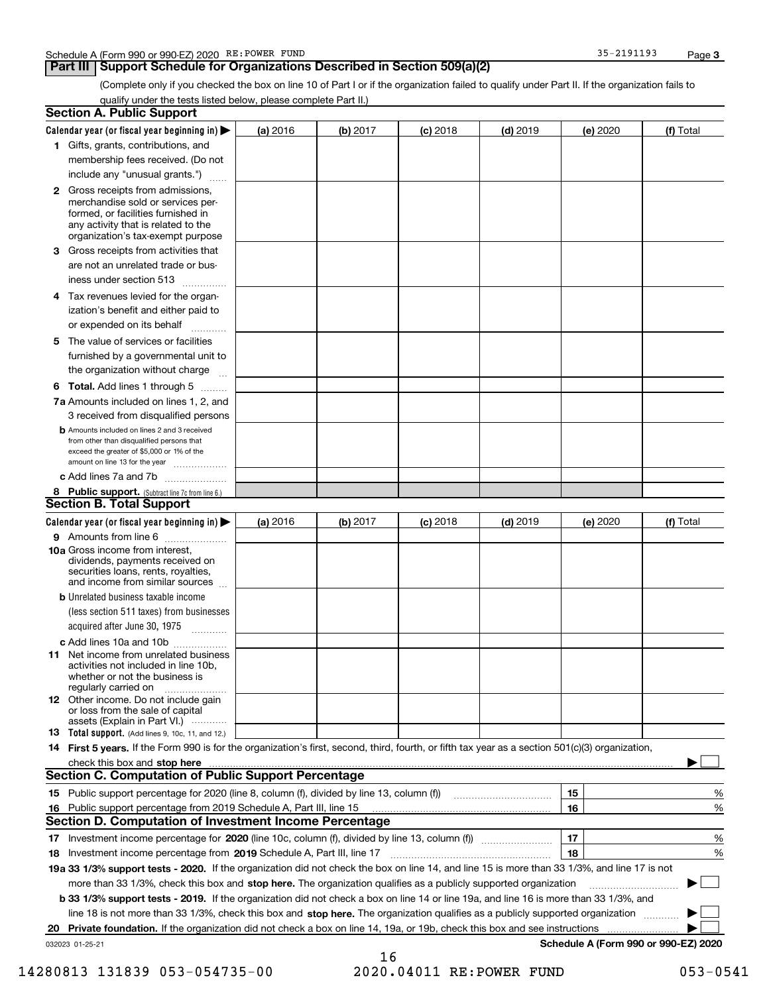### **Part III | Support Schedule for Organizations Described in Section 509(a)(2)**

(Complete only if you checked the box on line 10 of Part I or if the organization failed to qualify under Part II. If the organization fails to qualify under the tests listed below, please complete Part II.)

| <b>Section A. Public Support</b>                                                                                                                                                                                        |          |          |            |            |          |                                      |
|-------------------------------------------------------------------------------------------------------------------------------------------------------------------------------------------------------------------------|----------|----------|------------|------------|----------|--------------------------------------|
| Calendar year (or fiscal year beginning in) $\blacktriangleright$                                                                                                                                                       | (a) 2016 | (b) 2017 | $(c)$ 2018 | $(d)$ 2019 | (e) 2020 | (f) Total                            |
| 1 Gifts, grants, contributions, and                                                                                                                                                                                     |          |          |            |            |          |                                      |
| membership fees received. (Do not                                                                                                                                                                                       |          |          |            |            |          |                                      |
| include any "unusual grants.")                                                                                                                                                                                          |          |          |            |            |          |                                      |
| 2 Gross receipts from admissions,<br>merchandise sold or services per-<br>formed, or facilities furnished in<br>any activity that is related to the<br>organization's tax-exempt purpose                                |          |          |            |            |          |                                      |
| <b>3</b> Gross receipts from activities that                                                                                                                                                                            |          |          |            |            |          |                                      |
| are not an unrelated trade or bus-<br>iness under section 513                                                                                                                                                           |          |          |            |            |          |                                      |
| 4 Tax revenues levied for the organ-<br>ization's benefit and either paid to<br>or expended on its behalf                                                                                                               |          |          |            |            |          |                                      |
| The value of services or facilities<br>5.                                                                                                                                                                               |          |          |            |            |          |                                      |
| furnished by a governmental unit to<br>the organization without charge                                                                                                                                                  |          |          |            |            |          |                                      |
| <b>6 Total.</b> Add lines 1 through 5 $\ldots$                                                                                                                                                                          |          |          |            |            |          |                                      |
| 7a Amounts included on lines 1, 2, and<br>3 received from disqualified persons                                                                                                                                          |          |          |            |            |          |                                      |
| <b>b</b> Amounts included on lines 2 and 3 received<br>from other than disqualified persons that<br>exceed the greater of \$5,000 or 1% of the<br>amount on line 13 for the year                                        |          |          |            |            |          |                                      |
| c Add lines 7a and 7b                                                                                                                                                                                                   |          |          |            |            |          |                                      |
| 8 Public support. (Subtract line 7c from line 6.)                                                                                                                                                                       |          |          |            |            |          |                                      |
| <b>Section B. Total Support</b>                                                                                                                                                                                         |          |          |            |            |          |                                      |
| Calendar year (or fiscal year beginning in) $\blacktriangleright$                                                                                                                                                       | (a) 2016 | (b) 2017 | $(c)$ 2018 | $(d)$ 2019 | (e) 2020 | (f) Total                            |
| 9 Amounts from line 6                                                                                                                                                                                                   |          |          |            |            |          |                                      |
| <b>10a Gross income from interest.</b><br>dividends, payments received on<br>securities loans, rents, royalties,<br>and income from similar sources                                                                     |          |          |            |            |          |                                      |
| <b>b</b> Unrelated business taxable income<br>(less section 511 taxes) from businesses<br>acquired after June 30, 1975                                                                                                  |          |          |            |            |          |                                      |
| c Add lines 10a and 10b                                                                                                                                                                                                 |          |          |            |            |          |                                      |
| <b>11</b> Net income from unrelated business<br>activities not included in line 10b.<br>whether or not the business is<br>regularly carried on                                                                          |          |          |            |            |          |                                      |
| <b>12</b> Other income. Do not include gain<br>or loss from the sale of capital<br>assets (Explain in Part VI.)                                                                                                         |          |          |            |            |          |                                      |
| <b>13</b> Total support. (Add lines 9, 10c, 11, and 12.)                                                                                                                                                                |          |          |            |            |          |                                      |
| 14 First 5 years. If the Form 990 is for the organization's first, second, third, fourth, or fifth tax year as a section 501(c)(3) organization,                                                                        |          |          |            |            |          |                                      |
|                                                                                                                                                                                                                         |          |          |            |            |          |                                      |
| <b>Section C. Computation of Public Support Percentage</b>                                                                                                                                                              |          |          |            |            |          |                                      |
| 15 Public support percentage for 2020 (line 8, column (f), divided by line 13, column (f))                                                                                                                              |          |          |            |            | 15       | %                                    |
| Public support percentage from 2019 Schedule A, Part III, line 15<br>16                                                                                                                                                 |          |          |            |            | 16       | %                                    |
| Section D. Computation of Investment Income Percentage                                                                                                                                                                  |          |          |            |            |          |                                      |
|                                                                                                                                                                                                                         |          |          |            |            | 17       | %                                    |
| 18 Investment income percentage from 2019 Schedule A, Part III, line 17<br>19a 33 1/3% support tests - 2020. If the organization did not check the box on line 14, and line 15 is more than 33 1/3%, and line 17 is not |          |          |            |            | 18       | %                                    |
| more than 33 1/3%, check this box and stop here. The organization qualifies as a publicly supported organization                                                                                                        |          |          |            |            |          |                                      |
| b 33 1/3% support tests - 2019. If the organization did not check a box on line 14 or line 19a, and line 16 is more than 33 1/3%, and                                                                                   |          |          |            |            |          |                                      |
| line 18 is not more than 33 1/3%, check this box and stop here. The organization qualifies as a publicly supported organization                                                                                         |          |          |            |            |          |                                      |
| Private foundation. If the organization did not check a box on line 14, 19a, or 19b, check this box and see instructions                                                                                                |          |          |            |            |          |                                      |
| 20<br>032023 01-25-21                                                                                                                                                                                                   |          |          |            |            |          | Schedule A (Form 990 or 990-EZ) 2020 |
|                                                                                                                                                                                                                         |          | 16       |            |            |          |                                      |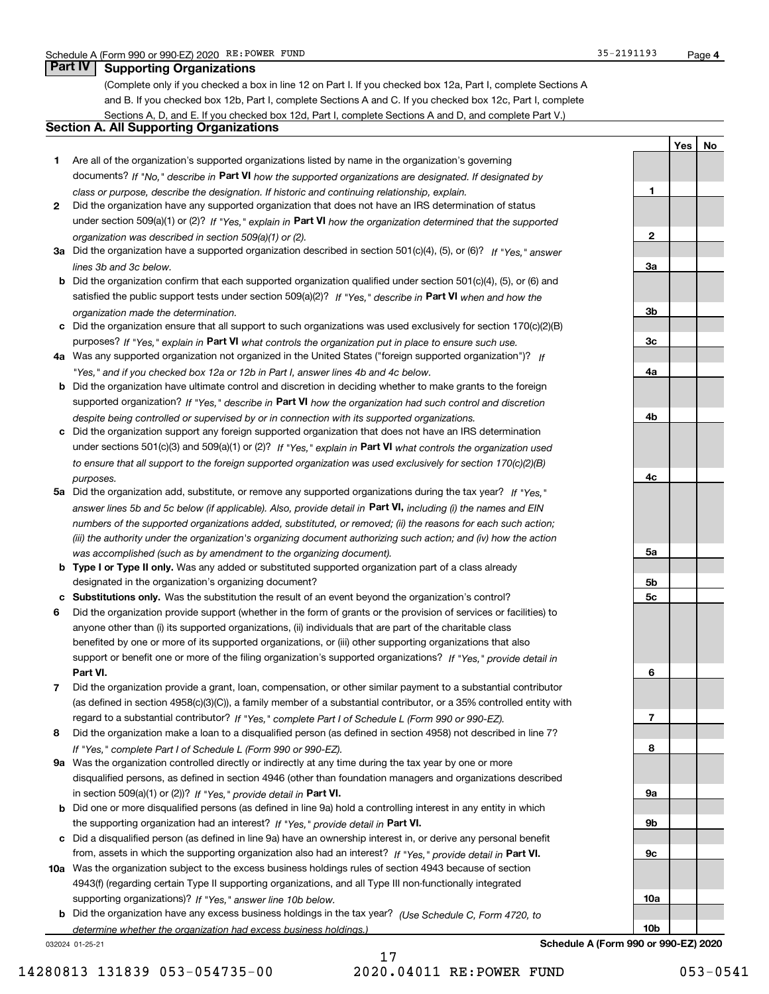(Complete only if you checked a box in line 12 on Part I. If you checked box 12a, Part I, complete Sections A and B. If you checked box 12b, Part I, complete Sections A and C. If you checked box 12c, Part I, complete Sections A, D, and E. If you checked box 12d, Part I, complete Sections A and D, and complete Part V.)

### Section A. All Supporting Organizations

- 1 Are all of the organization's supported organizations listed by name in the organization's governing documents? If "No," describe in Part VI how the supported organizations are designated. If designated by class or purpose, describe the designation. If historic and continuing relationship, explain.
- 2 Did the organization have any supported organization that does not have an IRS determination of status under section 509(a)(1) or (2)? If "Yes," explain in Part VI how the organization determined that the supported organization was described in section 509(a)(1) or (2).
- 3a Did the organization have a supported organization described in section 501(c)(4), (5), or (6)? If "Yes," answer lines 3b and 3c below.
- b Did the organization confirm that each supported organization qualified under section 501(c)(4), (5), or (6) and satisfied the public support tests under section 509(a)(2)? If "Yes," describe in Part VI when and how the organization made the determination.
- c Did the organization ensure that all support to such organizations was used exclusively for section 170(c)(2)(B) purposes? If "Yes," explain in Part VI what controls the organization put in place to ensure such use.
- 4a Was any supported organization not organized in the United States ("foreign supported organization")? If "Yes," and if you checked box 12a or 12b in Part I, answer lines 4b and 4c below.
- b Did the organization have ultimate control and discretion in deciding whether to make grants to the foreign supported organization? If "Yes," describe in Part VI how the organization had such control and discretion despite being controlled or supervised by or in connection with its supported organizations.
- c Did the organization support any foreign supported organization that does not have an IRS determination under sections 501(c)(3) and 509(a)(1) or (2)? If "Yes," explain in Part VI what controls the organization used to ensure that all support to the foreign supported organization was used exclusively for section 170(c)(2)(B) purposes.
- 5a Did the organization add, substitute, or remove any supported organizations during the tax year? If "Yes," answer lines 5b and 5c below (if applicable). Also, provide detail in **Part VI,** including (i) the names and EIN numbers of the supported organizations added, substituted, or removed; (ii) the reasons for each such action; (iii) the authority under the organization's organizing document authorizing such action; and (iv) how the action was accomplished (such as by amendment to the organizing document).
- **b Type I or Type II only.** Was any added or substituted supported organization part of a class already designated in the organization's organizing document?
- c Substitutions only. Was the substitution the result of an event beyond the organization's control?
- 6 Did the organization provide support (whether in the form of grants or the provision of services or facilities) to Part VI. support or benefit one or more of the filing organization's supported organizations? If "Yes," provide detail in anyone other than (i) its supported organizations, (ii) individuals that are part of the charitable class benefited by one or more of its supported organizations, or (iii) other supporting organizations that also
- 7 Did the organization provide a grant, loan, compensation, or other similar payment to a substantial contributor regard to a substantial contributor? If "Yes," complete Part I of Schedule L (Form 990 or 990-EZ). (as defined in section 4958(c)(3)(C)), a family member of a substantial contributor, or a 35% controlled entity with
- 8 Did the organization make a loan to a disqualified person (as defined in section 4958) not described in line 7? If "Yes," complete Part I of Schedule L (Form 990 or 990-EZ).
- **9a** Was the organization controlled directly or indirectly at any time during the tax year by one or more in section 509(a)(1) or (2))? If "Yes," provide detail in Part VI. disqualified persons, as defined in section 4946 (other than foundation managers and organizations described
- b Did one or more disqualified persons (as defined in line 9a) hold a controlling interest in any entity in which the supporting organization had an interest? If "Yes," provide detail in Part VI.
- c Did a disqualified person (as defined in line 9a) have an ownership interest in, or derive any personal benefit from, assets in which the supporting organization also had an interest? If "Yes," provide detail in Part VI.
- 10a Was the organization subject to the excess business holdings rules of section 4943 because of section supporting organizations)? If "Yes," answer line 10b below. 4943(f) (regarding certain Type II supporting organizations, and all Type III non-functionally integrated
	- **b** Did the organization have any excess business holdings in the tax year? (Use Schedule C, Form 4720, to determine whether the organization had excess business holdings.)

032024 01-25-21

1

2

3a

3b

3c

4a

4b

4c

5a

5b 5c

6

7

8

Yes | No

9a 9b 9c 10a 10b Schedule A (Form 990 or 990-EZ) 2020

14280813 131839 053-054735-00 2020.04011 RE:POWER FUND 053-0541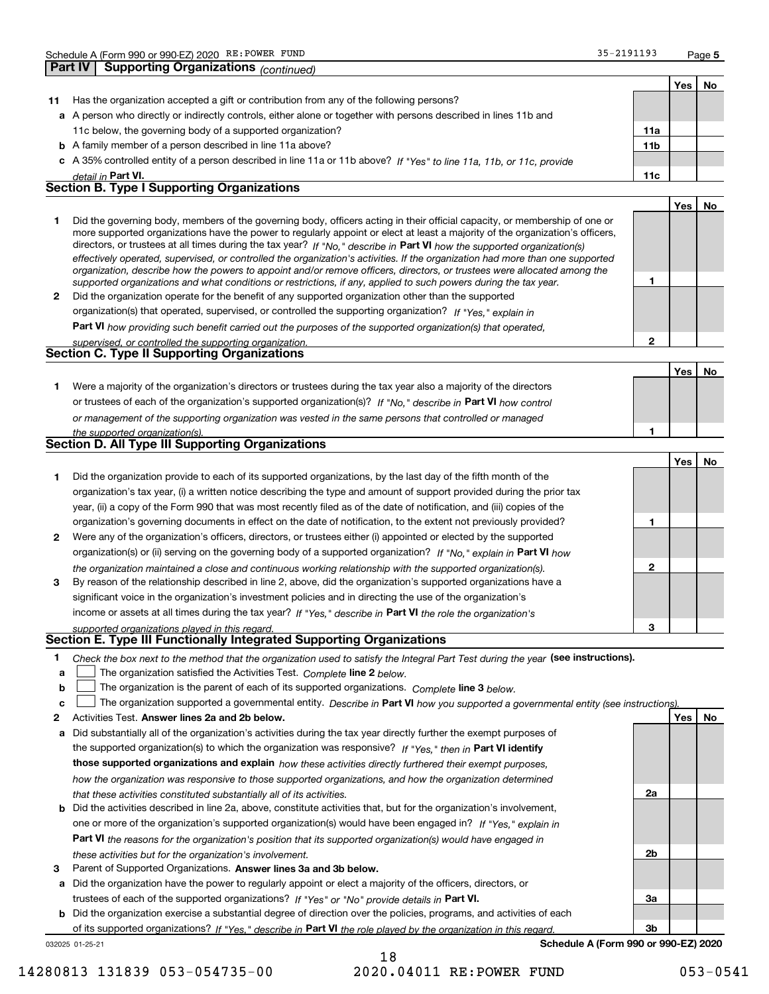| Part IV          | <b>Supporting Organizations (continued)</b>                                                                                                                                                                                                                                                                                                                                                                                                                                                                                                                                                                                                                                                                                                                              |              |     |    |
|------------------|--------------------------------------------------------------------------------------------------------------------------------------------------------------------------------------------------------------------------------------------------------------------------------------------------------------------------------------------------------------------------------------------------------------------------------------------------------------------------------------------------------------------------------------------------------------------------------------------------------------------------------------------------------------------------------------------------------------------------------------------------------------------------|--------------|-----|----|
|                  |                                                                                                                                                                                                                                                                                                                                                                                                                                                                                                                                                                                                                                                                                                                                                                          |              | Yes | No |
| 11               | Has the organization accepted a gift or contribution from any of the following persons?                                                                                                                                                                                                                                                                                                                                                                                                                                                                                                                                                                                                                                                                                  |              |     |    |
|                  | a A person who directly or indirectly controls, either alone or together with persons described in lines 11b and                                                                                                                                                                                                                                                                                                                                                                                                                                                                                                                                                                                                                                                         |              |     |    |
|                  | 11c below, the governing body of a supported organization?                                                                                                                                                                                                                                                                                                                                                                                                                                                                                                                                                                                                                                                                                                               | 11a          |     |    |
|                  | <b>b</b> A family member of a person described in line 11a above?                                                                                                                                                                                                                                                                                                                                                                                                                                                                                                                                                                                                                                                                                                        | 11b          |     |    |
|                  | c A 35% controlled entity of a person described in line 11a or 11b above? If "Yes" to line 11a, 11b, or 11c, provide                                                                                                                                                                                                                                                                                                                                                                                                                                                                                                                                                                                                                                                     |              |     |    |
|                  | detail in Part VI.                                                                                                                                                                                                                                                                                                                                                                                                                                                                                                                                                                                                                                                                                                                                                       | 11c          |     |    |
|                  | <b>Section B. Type I Supporting Organizations</b>                                                                                                                                                                                                                                                                                                                                                                                                                                                                                                                                                                                                                                                                                                                        |              |     |    |
|                  |                                                                                                                                                                                                                                                                                                                                                                                                                                                                                                                                                                                                                                                                                                                                                                          |              | Yes | No |
| 1                | Did the governing body, members of the governing body, officers acting in their official capacity, or membership of one or<br>more supported organizations have the power to regularly appoint or elect at least a majority of the organization's officers,<br>directors, or trustees at all times during the tax year? If "No," describe in Part VI how the supported organization(s)<br>effectively operated, supervised, or controlled the organization's activities. If the organization had more than one supported<br>organization, describe how the powers to appoint and/or remove officers, directors, or trustees were allocated among the<br>supported organizations and what conditions or restrictions, if any, applied to such powers during the tax year. | 1            |     |    |
| $\mathbf{2}$     | Did the organization operate for the benefit of any supported organization other than the supported                                                                                                                                                                                                                                                                                                                                                                                                                                                                                                                                                                                                                                                                      |              |     |    |
|                  | organization(s) that operated, supervised, or controlled the supporting organization? If "Yes," explain in                                                                                                                                                                                                                                                                                                                                                                                                                                                                                                                                                                                                                                                               |              |     |    |
|                  | Part VI how providing such benefit carried out the purposes of the supported organization(s) that operated,                                                                                                                                                                                                                                                                                                                                                                                                                                                                                                                                                                                                                                                              |              |     |    |
|                  | supervised, or controlled the supporting organization.                                                                                                                                                                                                                                                                                                                                                                                                                                                                                                                                                                                                                                                                                                                   | $\mathbf{2}$ |     |    |
|                  | <b>Section C. Type II Supporting Organizations</b>                                                                                                                                                                                                                                                                                                                                                                                                                                                                                                                                                                                                                                                                                                                       |              |     |    |
|                  |                                                                                                                                                                                                                                                                                                                                                                                                                                                                                                                                                                                                                                                                                                                                                                          |              | Yes | No |
| 1                | Were a majority of the organization's directors or trustees during the tax year also a majority of the directors                                                                                                                                                                                                                                                                                                                                                                                                                                                                                                                                                                                                                                                         |              |     |    |
|                  | or trustees of each of the organization's supported organization(s)? If "No," describe in Part VI how control                                                                                                                                                                                                                                                                                                                                                                                                                                                                                                                                                                                                                                                            |              |     |    |
|                  | or management of the supporting organization was vested in the same persons that controlled or managed                                                                                                                                                                                                                                                                                                                                                                                                                                                                                                                                                                                                                                                                   |              |     |    |
|                  | the supported organization(s).                                                                                                                                                                                                                                                                                                                                                                                                                                                                                                                                                                                                                                                                                                                                           | 1            |     |    |
|                  | <b>Section D. All Type III Supporting Organizations</b>                                                                                                                                                                                                                                                                                                                                                                                                                                                                                                                                                                                                                                                                                                                  |              |     |    |
|                  |                                                                                                                                                                                                                                                                                                                                                                                                                                                                                                                                                                                                                                                                                                                                                                          |              | Yes | No |
| 1                | Did the organization provide to each of its supported organizations, by the last day of the fifth month of the                                                                                                                                                                                                                                                                                                                                                                                                                                                                                                                                                                                                                                                           |              |     |    |
|                  | organization's tax year, (i) a written notice describing the type and amount of support provided during the prior tax                                                                                                                                                                                                                                                                                                                                                                                                                                                                                                                                                                                                                                                    |              |     |    |
|                  | year, (ii) a copy of the Form 990 that was most recently filed as of the date of notification, and (iii) copies of the                                                                                                                                                                                                                                                                                                                                                                                                                                                                                                                                                                                                                                                   |              |     |    |
|                  | organization's governing documents in effect on the date of notification, to the extent not previously provided?                                                                                                                                                                                                                                                                                                                                                                                                                                                                                                                                                                                                                                                         | 1            |     |    |
| 2                | Were any of the organization's officers, directors, or trustees either (i) appointed or elected by the supported                                                                                                                                                                                                                                                                                                                                                                                                                                                                                                                                                                                                                                                         |              |     |    |
|                  | organization(s) or (ii) serving on the governing body of a supported organization? If "No, " explain in Part VI how                                                                                                                                                                                                                                                                                                                                                                                                                                                                                                                                                                                                                                                      |              |     |    |
|                  | the organization maintained a close and continuous working relationship with the supported organization(s).                                                                                                                                                                                                                                                                                                                                                                                                                                                                                                                                                                                                                                                              | 2            |     |    |
| 3                | By reason of the relationship described in line 2, above, did the organization's supported organizations have a                                                                                                                                                                                                                                                                                                                                                                                                                                                                                                                                                                                                                                                          |              |     |    |
|                  | significant voice in the organization's investment policies and in directing the use of the organization's                                                                                                                                                                                                                                                                                                                                                                                                                                                                                                                                                                                                                                                               |              |     |    |
|                  | income or assets at all times during the tax year? If "Yes," describe in Part VI the role the organization's                                                                                                                                                                                                                                                                                                                                                                                                                                                                                                                                                                                                                                                             |              |     |    |
|                  | supported organizations played in this regard.                                                                                                                                                                                                                                                                                                                                                                                                                                                                                                                                                                                                                                                                                                                           | 3            |     |    |
|                  | Section E. Type III Functionally Integrated Supporting Organizations                                                                                                                                                                                                                                                                                                                                                                                                                                                                                                                                                                                                                                                                                                     |              |     |    |
| 1<br>a<br>b<br>c | Check the box next to the method that the organization used to satisfy the Integral Part Test during the year (see instructions).<br>The organization satisfied the Activities Test. Complete line 2 below.<br>The organization is the parent of each of its supported organizations. Complete line 3 below.<br>The organization supported a governmental entity. Describe in Part VI how you supported a governmental entity (see instructions).                                                                                                                                                                                                                                                                                                                        |              |     |    |
| 2                | Activities Test. Answer lines 2a and 2b below.                                                                                                                                                                                                                                                                                                                                                                                                                                                                                                                                                                                                                                                                                                                           |              | Yes | No |
| а                | Did substantially all of the organization's activities during the tax year directly further the exempt purposes of                                                                                                                                                                                                                                                                                                                                                                                                                                                                                                                                                                                                                                                       |              |     |    |
|                  | the supported organization(s) to which the organization was responsive? If "Yes," then in Part VI identify                                                                                                                                                                                                                                                                                                                                                                                                                                                                                                                                                                                                                                                               |              |     |    |
|                  | those supported organizations and explain how these activities directly furthered their exempt purposes,                                                                                                                                                                                                                                                                                                                                                                                                                                                                                                                                                                                                                                                                 |              |     |    |
|                  | how the organization was responsive to those supported organizations, and how the organization determined                                                                                                                                                                                                                                                                                                                                                                                                                                                                                                                                                                                                                                                                |              |     |    |
|                  | that these activities constituted substantially all of its activities.                                                                                                                                                                                                                                                                                                                                                                                                                                                                                                                                                                                                                                                                                                   | 2a           |     |    |
| b                | Did the activities described in line 2a, above, constitute activities that, but for the organization's involvement,                                                                                                                                                                                                                                                                                                                                                                                                                                                                                                                                                                                                                                                      |              |     |    |
|                  | one or more of the organization's supported organization(s) would have been engaged in? If "Yes," explain in                                                                                                                                                                                                                                                                                                                                                                                                                                                                                                                                                                                                                                                             |              |     |    |
|                  | <b>Part VI</b> the reasons for the organization's position that its supported organization(s) would have engaged in                                                                                                                                                                                                                                                                                                                                                                                                                                                                                                                                                                                                                                                      |              |     |    |
|                  | these activities but for the organization's involvement.                                                                                                                                                                                                                                                                                                                                                                                                                                                                                                                                                                                                                                                                                                                 | 2b           |     |    |

- 3 Parent of Supported Organizations. Answer lines 3a and 3b below. these activities but for the organization's involvement.
- a Did the organization have the power to regularly appoint or elect a majority of the officers, directors, or trustees of each of the supported organizations? If "Yes" or "No" provide details in Part VI.
- b Did the organization exercise a substantial degree of direction over the policies, programs, and activities of each of its supported organizations? If "Yes," describe in Part VI the role played by the organization in this regard.

032025 01-25-21

Schedule A (Form 990 or 990-EZ) 2020

3a

3b

14280813 131839 053-054735-00 2020.04011 RE:POWER FUND 053-0541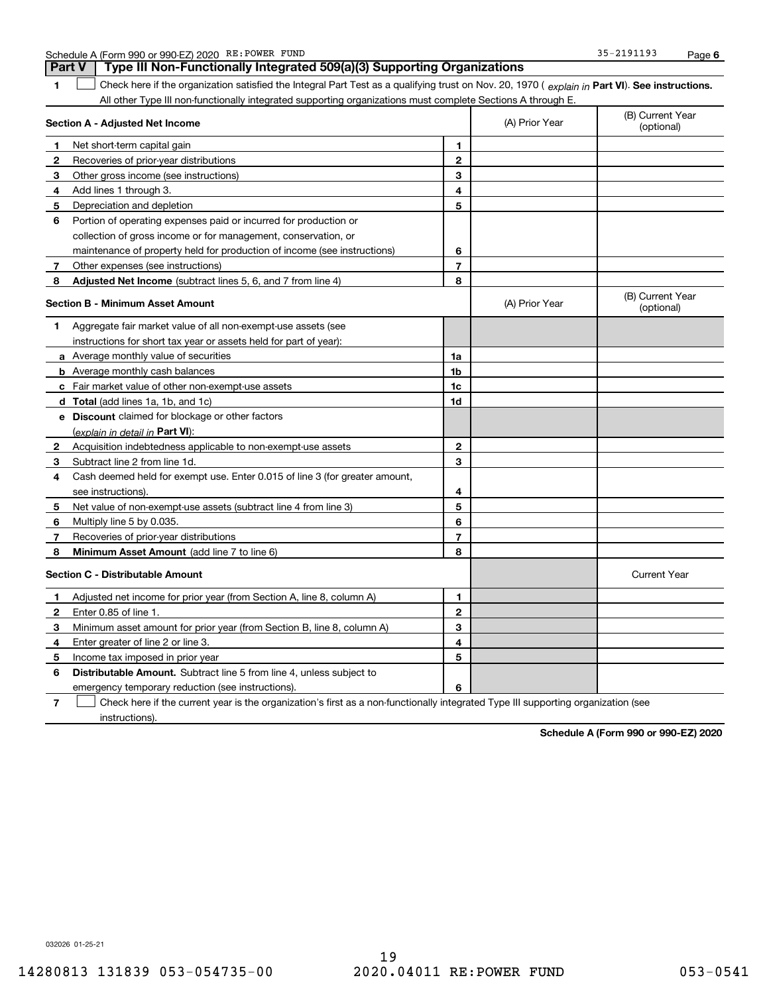| Schedule A | 4 (Form 990 or 990-EZ) 2020 | <b>RE:POWER</b> | FUND | . 2101102<br>35-<br>- 2191199<br><u>.</u> | Page |  |
|------------|-----------------------------|-----------------|------|-------------------------------------------|------|--|
|------------|-----------------------------|-----------------|------|-------------------------------------------|------|--|

|                | Part V<br>Type III Non-Functionally Integrated 509(a)(3) Supporting Organizations                                                              |                |                                |                                |  |
|----------------|------------------------------------------------------------------------------------------------------------------------------------------------|----------------|--------------------------------|--------------------------------|--|
| 1              | Check here if the organization satisfied the Integral Part Test as a qualifying trust on Nov. 20, 1970 (explain in Part VI). See instructions. |                |                                |                                |  |
|                | All other Type III non-functionally integrated supporting organizations must complete Sections A through E.                                    |                |                                |                                |  |
|                | Section A - Adjusted Net Income                                                                                                                | (A) Prior Year | (B) Current Year<br>(optional) |                                |  |
| 1              | Net short term capital gain                                                                                                                    | 1              |                                |                                |  |
| $\overline{2}$ | Recoveries of prior-year distributions                                                                                                         | $\overline{2}$ |                                |                                |  |
| 3              | Other gross income (see instructions)                                                                                                          | 3              |                                |                                |  |
| 4              | Add lines 1 through 3.                                                                                                                         | 4              |                                |                                |  |
| 5              | Depreciation and depletion                                                                                                                     | 5              |                                |                                |  |
| 6              | Portion of operating expenses paid or incurred for production or                                                                               |                |                                |                                |  |
|                | collection of gross income or for management, conservation, or                                                                                 |                |                                |                                |  |
|                | maintenance of property held for production of income (see instructions)                                                                       | 6              |                                |                                |  |
| $7^{\circ}$    | Other expenses (see instructions)                                                                                                              | $\overline{7}$ |                                |                                |  |
| 8              | Adjusted Net Income (subtract lines 5, 6, and 7 from line 4)                                                                                   | 8              |                                |                                |  |
|                | <b>Section B - Minimum Asset Amount</b>                                                                                                        |                | (A) Prior Year                 | (B) Current Year<br>(optional) |  |
| 1              | Aggregate fair market value of all non-exempt-use assets (see                                                                                  |                |                                |                                |  |
|                | instructions for short tax year or assets held for part of year):                                                                              |                |                                |                                |  |
|                | <b>a</b> Average monthly value of securities                                                                                                   | 1a             |                                |                                |  |
|                | <b>b</b> Average monthly cash balances                                                                                                         | 1 <sub>b</sub> |                                |                                |  |
|                | c Fair market value of other non-exempt-use assets                                                                                             | 1c             |                                |                                |  |
|                | d Total (add lines 1a, 1b, and 1c)                                                                                                             | 1d             |                                |                                |  |
|                | <b>e</b> Discount claimed for blockage or other factors                                                                                        |                |                                |                                |  |
|                | (explain in detail in Part VI):                                                                                                                |                |                                |                                |  |
| 2              | Acquisition indebtedness applicable to non-exempt-use assets                                                                                   | $\mathbf{2}$   |                                |                                |  |
| З.             | Subtract line 2 from line 1d.                                                                                                                  | 3              |                                |                                |  |
| 4              | Cash deemed held for exempt use. Enter 0.015 of line 3 (for greater amount,                                                                    |                |                                |                                |  |
|                | see instructions).                                                                                                                             | 4              |                                |                                |  |
| 5              | Net value of non-exempt-use assets (subtract line 4 from line 3)                                                                               | 5              |                                |                                |  |
| 6              | Multiply line 5 by 0.035.                                                                                                                      | 6              |                                |                                |  |
| 7              | Recoveries of prior-year distributions                                                                                                         | 7              |                                |                                |  |
| 8              | <b>Minimum Asset Amount</b> (add line 7 to line 6)                                                                                             | 8              |                                |                                |  |
|                | <b>Section C - Distributable Amount</b>                                                                                                        |                |                                | <b>Current Year</b>            |  |
| 1              | Adjusted net income for prior year (from Section A, line 8, column A)                                                                          | 1              |                                |                                |  |
| $\mathbf{2}$   | Enter 0.85 of line 1.                                                                                                                          | $\mathbf{2}$   |                                |                                |  |
| З              | Minimum asset amount for prior year (from Section B, line 8, column A)                                                                         | 3              |                                |                                |  |
| 4              | Enter greater of line 2 or line 3.                                                                                                             | 4              |                                |                                |  |
| 5              | Income tax imposed in prior year                                                                                                               | 5              |                                |                                |  |
| 6              | <b>Distributable Amount.</b> Subtract line 5 from line 4, unless subject to                                                                    |                |                                |                                |  |
|                | emergency temporary reduction (see instructions).                                                                                              | 6              |                                |                                |  |

7 Check here if the current year is the organization's first as a non-functionally integrated Type III supporting organization (see instructions).

Schedule A (Form 990 or 990-EZ) 2020

032026 01-25-21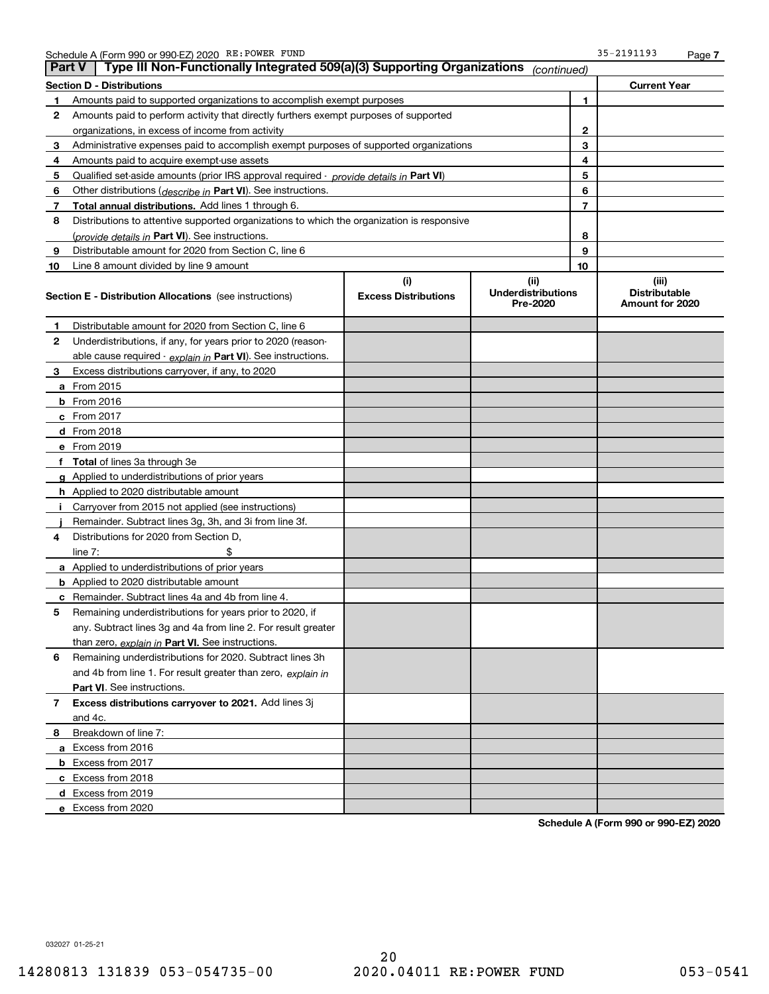| Type III Non-Functionally Integrated 509(a)(3) Supporting Organizations<br><b>Part V</b><br>(continued) |                                                                                            |                             |                                       |                |                                         |
|---------------------------------------------------------------------------------------------------------|--------------------------------------------------------------------------------------------|-----------------------------|---------------------------------------|----------------|-----------------------------------------|
|                                                                                                         | Section D - Distributions                                                                  |                             |                                       |                | <b>Current Year</b>                     |
|                                                                                                         | Amounts paid to supported organizations to accomplish exempt purposes                      |                             |                                       | 1              |                                         |
| 2                                                                                                       | Amounts paid to perform activity that directly furthers exempt purposes of supported       |                             |                                       |                |                                         |
|                                                                                                         | organizations, in excess of income from activity                                           |                             | $\mathbf{2}$                          |                |                                         |
| 3                                                                                                       | Administrative expenses paid to accomplish exempt purposes of supported organizations      |                             |                                       | 3              |                                         |
| 4                                                                                                       | Amounts paid to acquire exempt-use assets                                                  |                             |                                       | 4              |                                         |
| 5                                                                                                       | Qualified set-aside amounts (prior IRS approval required - provide details in Part VI)     |                             |                                       | 5              |                                         |
| 6                                                                                                       | Other distributions ( <i>describe in</i> Part VI). See instructions.                       |                             |                                       | 6              |                                         |
| 7                                                                                                       | Total annual distributions. Add lines 1 through 6.                                         |                             |                                       | $\overline{7}$ |                                         |
| 8                                                                                                       | Distributions to attentive supported organizations to which the organization is responsive |                             |                                       |                |                                         |
|                                                                                                         | (provide details in <b>Part VI</b> ). See instructions.                                    |                             |                                       | 8              |                                         |
| 9                                                                                                       | Distributable amount for 2020 from Section C, line 6                                       |                             |                                       | 9              |                                         |
| 10                                                                                                      | Line 8 amount divided by line 9 amount                                                     |                             |                                       | 10             |                                         |
|                                                                                                         |                                                                                            | (i)                         | (iii)                                 |                | (iii)                                   |
|                                                                                                         | Section E - Distribution Allocations (see instructions)                                    | <b>Excess Distributions</b> | <b>Underdistributions</b><br>Pre-2020 |                | <b>Distributable</b><br>Amount for 2020 |
| 1                                                                                                       | Distributable amount for 2020 from Section C, line 6                                       |                             |                                       |                |                                         |
| 2                                                                                                       | Underdistributions, if any, for years prior to 2020 (reason-                               |                             |                                       |                |                                         |
|                                                                                                         | able cause required - explain in Part VI). See instructions.                               |                             |                                       |                |                                         |
| з                                                                                                       | Excess distributions carryover, if any, to 2020                                            |                             |                                       |                |                                         |
|                                                                                                         | <b>a</b> From 2015                                                                         |                             |                                       |                |                                         |
|                                                                                                         | <b>b</b> From $2016$                                                                       |                             |                                       |                |                                         |
|                                                                                                         | c From 2017                                                                                |                             |                                       |                |                                         |
|                                                                                                         | <b>d</b> From 2018                                                                         |                             |                                       |                |                                         |
|                                                                                                         | e From 2019                                                                                |                             |                                       |                |                                         |
|                                                                                                         | <b>Total</b> of lines 3a through 3e                                                        |                             |                                       |                |                                         |
|                                                                                                         | <b>g</b> Applied to underdistributions of prior years                                      |                             |                                       |                |                                         |
|                                                                                                         | <b>h</b> Applied to 2020 distributable amount                                              |                             |                                       |                |                                         |
|                                                                                                         | Carryover from 2015 not applied (see instructions)                                         |                             |                                       |                |                                         |
|                                                                                                         | Remainder. Subtract lines 3g, 3h, and 3i from line 3f.                                     |                             |                                       |                |                                         |
| 4                                                                                                       | Distributions for 2020 from Section D,                                                     |                             |                                       |                |                                         |
|                                                                                                         | line $7:$                                                                                  |                             |                                       |                |                                         |
|                                                                                                         | <b>a</b> Applied to underdistributions of prior years                                      |                             |                                       |                |                                         |
|                                                                                                         | <b>b</b> Applied to 2020 distributable amount                                              |                             |                                       |                |                                         |
|                                                                                                         | Remainder. Subtract lines 4a and 4b from line 4.                                           |                             |                                       |                |                                         |
| 5                                                                                                       | Remaining underdistributions for years prior to 2020, if                                   |                             |                                       |                |                                         |
|                                                                                                         | any. Subtract lines 3g and 4a from line 2. For result greater                              |                             |                                       |                |                                         |
|                                                                                                         | than zero, explain in Part VI. See instructions.                                           |                             |                                       |                |                                         |
| 6                                                                                                       | Remaining underdistributions for 2020. Subtract lines 3h                                   |                             |                                       |                |                                         |
|                                                                                                         | and 4b from line 1. For result greater than zero, explain in                               |                             |                                       |                |                                         |
|                                                                                                         | Part VI. See instructions.                                                                 |                             |                                       |                |                                         |
| 7                                                                                                       | Excess distributions carryover to 2021. Add lines 3j                                       |                             |                                       |                |                                         |
|                                                                                                         | and 4c.                                                                                    |                             |                                       |                |                                         |
| 8                                                                                                       | Breakdown of line 7:                                                                       |                             |                                       |                |                                         |
|                                                                                                         | a Excess from 2016                                                                         |                             |                                       |                |                                         |
|                                                                                                         | <b>b</b> Excess from 2017                                                                  |                             |                                       |                |                                         |
|                                                                                                         | c Excess from 2018                                                                         |                             |                                       |                |                                         |
|                                                                                                         | d Excess from 2019                                                                         |                             |                                       |                |                                         |
|                                                                                                         | e Excess from 2020                                                                         |                             |                                       |                |                                         |

Schedule A (Form 990 or 990-EZ) 2020

032027 01-25-21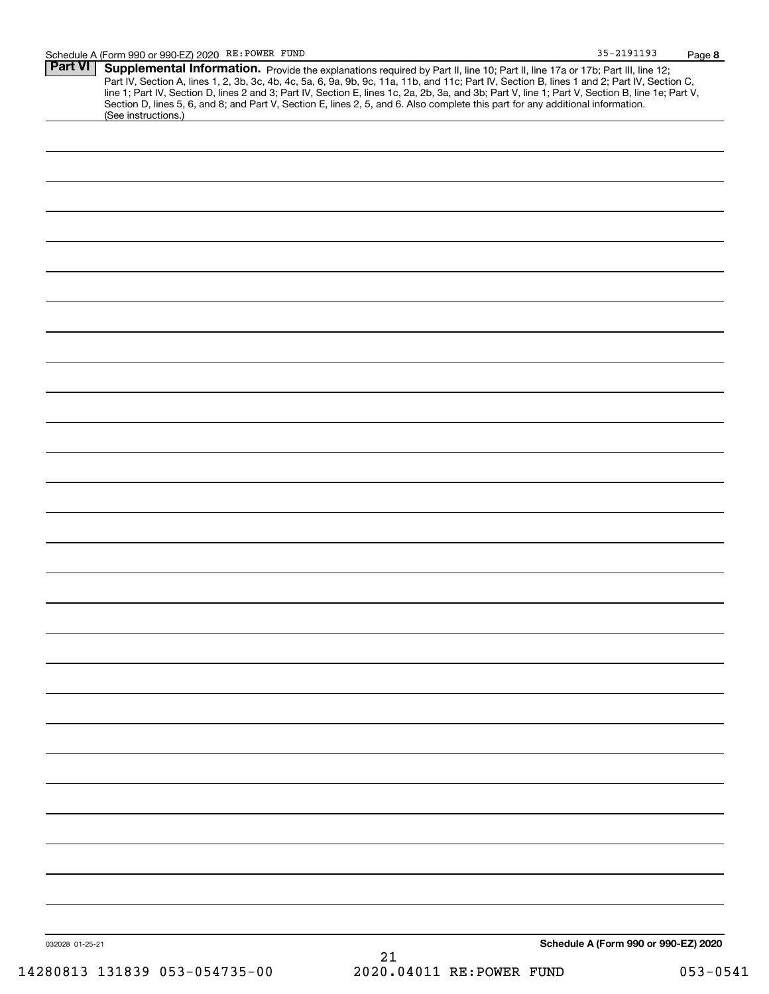| <b>Part VI</b>  | Supplemental Information. Provide the explanations required by Part II, line 10; Part II, line 17a or 17b; Part III, line 12;                          |    |                                      |
|-----------------|--------------------------------------------------------------------------------------------------------------------------------------------------------|----|--------------------------------------|
|                 | Part IV, Section A, lines 1, 2, 3b, 3c, 4b, 4c, 5a, 6, 9a, 9b, 9c, 11a, 11b, and 11c; Part IV, Section B, lines 1 and 2; Part IV, Section C,           |    |                                      |
|                 | line 1; Part IV, Section D, lines 2 and 3; Part IV, Section E, lines 1c, 2a, 2b, 3a, and 3b; Part V, line 1; Part V, Section B, line 1e; Part V,       |    |                                      |
|                 | Section D, lines 5, 6, and 8; and Part V, Section E, lines 2, 5, and 6. Also complete this part for any additional information.<br>(See instructions.) |    |                                      |
|                 |                                                                                                                                                        |    |                                      |
|                 |                                                                                                                                                        |    |                                      |
|                 |                                                                                                                                                        |    |                                      |
|                 |                                                                                                                                                        |    |                                      |
|                 |                                                                                                                                                        |    |                                      |
|                 |                                                                                                                                                        |    |                                      |
|                 |                                                                                                                                                        |    |                                      |
|                 |                                                                                                                                                        |    |                                      |
|                 |                                                                                                                                                        |    |                                      |
|                 |                                                                                                                                                        |    |                                      |
|                 |                                                                                                                                                        |    |                                      |
|                 |                                                                                                                                                        |    |                                      |
|                 |                                                                                                                                                        |    |                                      |
|                 |                                                                                                                                                        |    |                                      |
|                 |                                                                                                                                                        |    |                                      |
|                 |                                                                                                                                                        |    |                                      |
|                 |                                                                                                                                                        |    |                                      |
|                 |                                                                                                                                                        |    |                                      |
|                 |                                                                                                                                                        |    |                                      |
|                 |                                                                                                                                                        |    |                                      |
|                 |                                                                                                                                                        |    |                                      |
|                 |                                                                                                                                                        |    |                                      |
|                 |                                                                                                                                                        |    |                                      |
|                 |                                                                                                                                                        |    |                                      |
|                 |                                                                                                                                                        |    |                                      |
|                 |                                                                                                                                                        |    |                                      |
|                 |                                                                                                                                                        |    |                                      |
|                 |                                                                                                                                                        |    |                                      |
|                 |                                                                                                                                                        |    |                                      |
|                 |                                                                                                                                                        |    |                                      |
|                 |                                                                                                                                                        |    |                                      |
|                 |                                                                                                                                                        |    |                                      |
|                 |                                                                                                                                                        |    |                                      |
|                 |                                                                                                                                                        |    |                                      |
|                 |                                                                                                                                                        |    |                                      |
|                 |                                                                                                                                                        |    |                                      |
|                 |                                                                                                                                                        |    |                                      |
|                 |                                                                                                                                                        |    |                                      |
|                 |                                                                                                                                                        |    |                                      |
|                 |                                                                                                                                                        |    |                                      |
|                 |                                                                                                                                                        |    |                                      |
|                 |                                                                                                                                                        |    |                                      |
|                 |                                                                                                                                                        |    |                                      |
|                 |                                                                                                                                                        |    |                                      |
|                 |                                                                                                                                                        |    |                                      |
|                 |                                                                                                                                                        |    |                                      |
|                 |                                                                                                                                                        |    |                                      |
|                 |                                                                                                                                                        |    |                                      |
|                 |                                                                                                                                                        |    |                                      |
|                 |                                                                                                                                                        |    |                                      |
|                 |                                                                                                                                                        |    |                                      |
|                 |                                                                                                                                                        |    |                                      |
|                 |                                                                                                                                                        |    |                                      |
|                 |                                                                                                                                                        |    |                                      |
|                 |                                                                                                                                                        |    |                                      |
|                 |                                                                                                                                                        |    |                                      |
|                 |                                                                                                                                                        |    |                                      |
|                 |                                                                                                                                                        |    |                                      |
|                 |                                                                                                                                                        |    |                                      |
|                 |                                                                                                                                                        |    |                                      |
| 032028 01-25-21 |                                                                                                                                                        |    | Schedule A (Form 990 or 990-EZ) 2020 |
|                 |                                                                                                                                                        | 21 |                                      |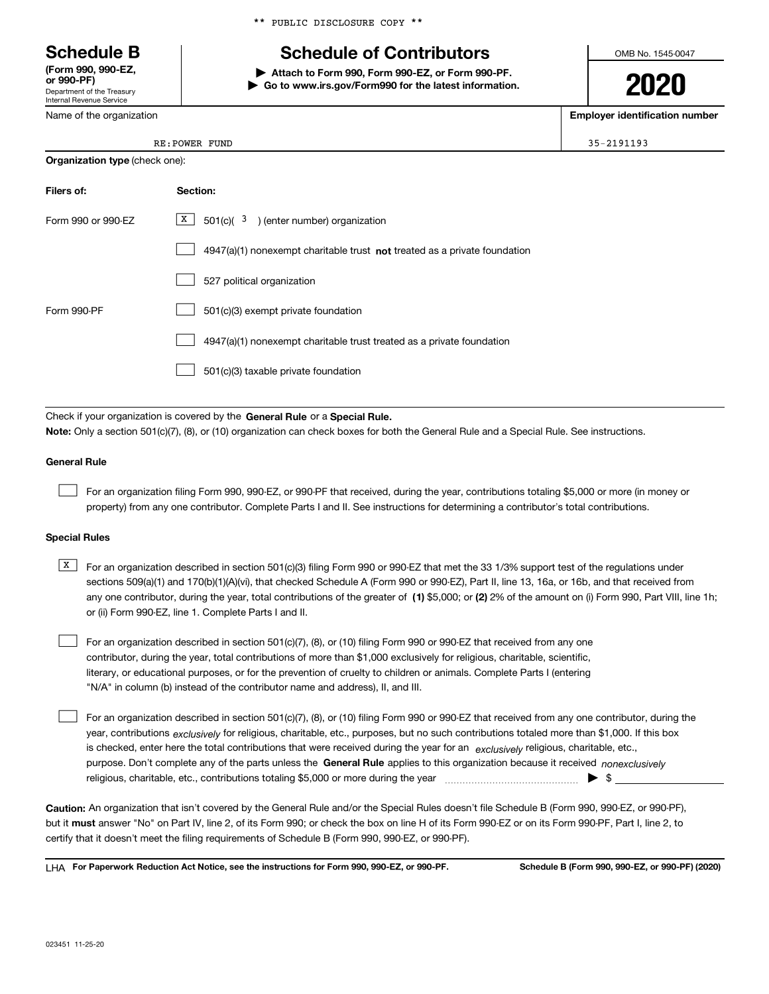Department of the Treasury Internal Revenue Service (Form 990, 990-EZ,

Name of the organization

\*\* PUBLIC DISCLOSURE COPY \*\*

# Schedule B The Schedule of Contributors

Attach to Form 990, Form 990-EZ, or Form 990-PF. | Go to www.irs.gov/Form990 for the latest information. OMB No. 1545-0047

2020

Employer identification number

| <b>Organization type (check one):</b> |                                                                           |  |  |  |
|---------------------------------------|---------------------------------------------------------------------------|--|--|--|
| Filers of:                            | Section:                                                                  |  |  |  |
| Form 990 or 990-EZ                    | $\mathbf{X}$<br>$501(c)$ $3$ ) (enter number) organization                |  |  |  |
|                                       | 4947(a)(1) nonexempt charitable trust not treated as a private foundation |  |  |  |
|                                       | 527 political organization                                                |  |  |  |
| Form 990-PF                           | 501(c)(3) exempt private foundation                                       |  |  |  |
|                                       | 4947(a)(1) nonexempt charitable trust treated as a private foundation     |  |  |  |
|                                       | 501(c)(3) taxable private foundation                                      |  |  |  |

Check if your organization is covered by the General Rule or a Special Rule. Note: Only a section 501(c)(7), (8), or (10) organization can check boxes for both the General Rule and a Special Rule. See instructions.

#### General Rule

 $\begin{array}{c} \hline \end{array}$ 

For an organization filing Form 990, 990-EZ, or 990-PF that received, during the year, contributions totaling \$5,000 or more (in money or property) from any one contributor. Complete Parts I and II. See instructions for determining a contributor's total contributions.

#### Special Rules

any one contributor, during the year, total contributions of the greater of  $\,$  (1) \$5,000; or (2) 2% of the amount on (i) Form 990, Part VIII, line 1h;  $\boxed{\text{X}}$  For an organization described in section 501(c)(3) filing Form 990 or 990-EZ that met the 33 1/3% support test of the regulations under sections 509(a)(1) and 170(b)(1)(A)(vi), that checked Schedule A (Form 990 or 990-EZ), Part II, line 13, 16a, or 16b, and that received from or (ii) Form 990-EZ, line 1. Complete Parts I and II.

For an organization described in section 501(c)(7), (8), or (10) filing Form 990 or 990-EZ that received from any one contributor, during the year, total contributions of more than \$1,000 exclusively for religious, charitable, scientific, literary, or educational purposes, or for the prevention of cruelty to children or animals. Complete Parts I (entering "N/A" in column (b) instead of the contributor name and address), II, and III.  $\begin{array}{c} \hline \end{array}$ 

purpose. Don't complete any of the parts unless the General Rule applies to this organization because it received nonexclusively year, contributions <sub>exclusively</sub> for religious, charitable, etc., purposes, but no such contributions totaled more than \$1,000. If this box is checked, enter here the total contributions that were received during the year for an exclusively religious, charitable, etc., For an organization described in section 501(c)(7), (8), or (10) filing Form 990 or 990-EZ that received from any one contributor, during the religious, charitable, etc., contributions totaling \$5,000 or more during the year  $\Box$ — $\Box$   $\Box$  $\begin{array}{c} \hline \end{array}$ 

Caution: An organization that isn't covered by the General Rule and/or the Special Rules doesn't file Schedule B (Form 990, 990-EZ, or 990-PF), but it **must** answer "No" on Part IV, line 2, of its Form 990; or check the box on line H of its Form 990-EZ or on its Form 990-PF, Part I, line 2, to certify that it doesn't meet the filing requirements of Schedule B (Form 990, 990-EZ, or 990-PF).

LHA For Paperwork Reduction Act Notice, see the instructions for Form 990, 990-EZ, or 990-PF. Schedule B (Form 990, 990-EZ, or 990-PF) (2020)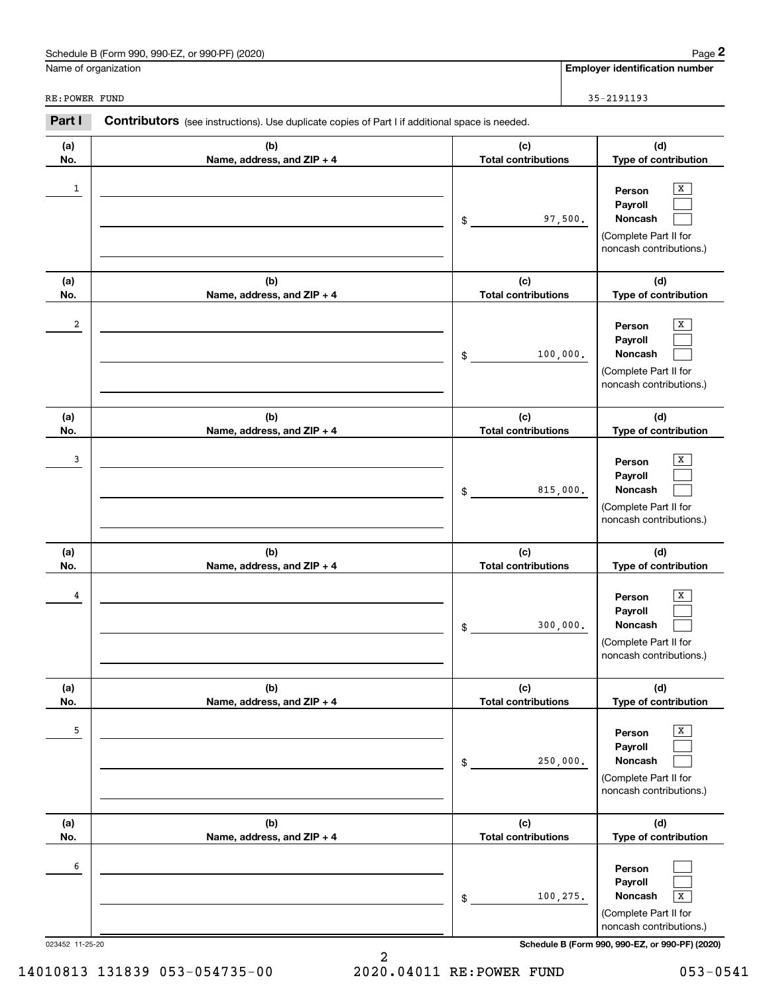| Schedule B (Form 990, 990-EZ, or 990-PF) (2020)<br>Page |  |
|---------------------------------------------------------|--|
|---------------------------------------------------------|--|

Employer identification number

RE:POWER FUND

| 5-2191193 |  |  |
|-----------|--|--|
|           |  |  |

| Part I     | Contributors (see instructions). Use duplicate copies of Part I if additional space is needed. |                                                                                                                               |  |  |  |
|------------|------------------------------------------------------------------------------------------------|-------------------------------------------------------------------------------------------------------------------------------|--|--|--|
| (a)<br>No. | (b)<br>Name, address, and ZIP + 4                                                              | (d)<br>(c)<br><b>Total contributions</b><br>Type of contribution                                                              |  |  |  |
| 1          |                                                                                                | X<br>Person<br>Payroll<br><b>Noncash</b><br>97,500.<br>\$<br>(Complete Part II for<br>noncash contributions.)                 |  |  |  |
| (a)<br>No. | (b)<br>Name, address, and ZIP + 4                                                              | (d)<br>(c)<br><b>Total contributions</b><br>Type of contribution                                                              |  |  |  |
| 2          |                                                                                                | x<br>Person<br>Payroll<br><b>Noncash</b><br>100,000.<br>\$<br>(Complete Part II for<br>noncash contributions.)                |  |  |  |
| (a)<br>No. | (b)<br>Name, address, and ZIP + 4                                                              | (c)<br>(d)<br><b>Total contributions</b><br>Type of contribution                                                              |  |  |  |
| 3          |                                                                                                | x<br>Person<br>Payroll<br><b>Noncash</b><br>815,000.<br>\$<br>(Complete Part II for<br>noncash contributions.)                |  |  |  |
| (a)<br>No. | (b)<br>Name, address, and ZIP + 4                                                              | (c)<br>(d)<br><b>Total contributions</b><br>Type of contribution                                                              |  |  |  |
| 4          |                                                                                                | X<br>Person<br>Payroll<br>Noncash<br>300,000.<br>\$<br>(Complete Part II for<br>noncash contributions.)                       |  |  |  |
| (a)<br>No. | (b)<br>Name, address, and ZIP + 4                                                              | (c)<br>(d)<br>Type of contribution<br><b>Total contributions</b>                                                              |  |  |  |
| 5          |                                                                                                | x<br>Person<br>Payroll<br>250,000.<br>Noncash<br>\$<br>(Complete Part II for<br>noncash contributions.)                       |  |  |  |
| (a)<br>No. | (b)<br>Name, address, and ZIP + 4                                                              | (d)<br>(c)<br><b>Total contributions</b><br>Type of contribution                                                              |  |  |  |
| 6          |                                                                                                | Person<br>Payroll<br>100,275.<br>Noncash<br>$\overline{\mathbf{X}}$<br>\$<br>(Complete Part II for<br>noncash contributions.) |  |  |  |

023452 11-25-20 Schedule B (Form 990, 990-EZ, or 990-PF) (2020)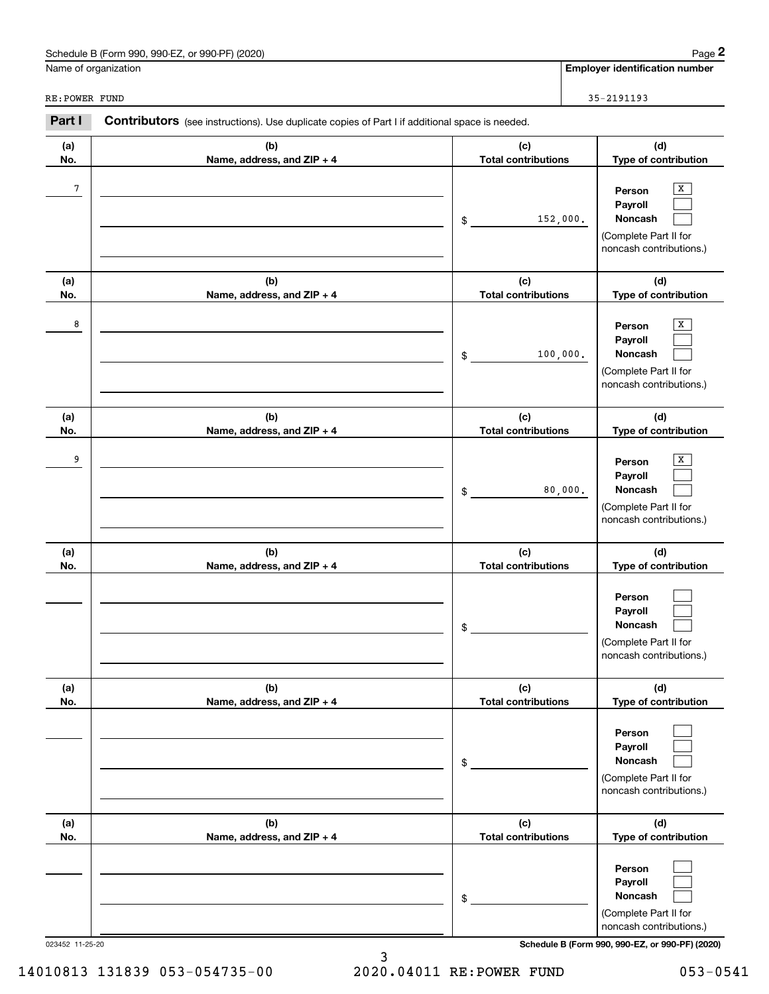| Schedule B (Form 990, 990-EZ, or 990-PF) (2020)<br>Page |  |
|---------------------------------------------------------|--|
|---------------------------------------------------------|--|

Employer identification number

| FUND<br><b>RE:POWER</b> | 2101102<br>$\sim$ 5 $-$<br>____________ |
|-------------------------|-----------------------------------------|
|                         |                                         |

| Part I     | Contributors (see instructions). Use duplicate copies of Part I if additional space is needed. |                                   |                                                                                       |
|------------|------------------------------------------------------------------------------------------------|-----------------------------------|---------------------------------------------------------------------------------------|
| (a)<br>No. | (b)<br>Name, address, and ZIP + 4                                                              | (c)<br><b>Total contributions</b> | (d)<br>Type of contribution                                                           |
| 7          |                                                                                                | 152,000.<br>\$                    | x<br>Person<br>Payroll<br>Noncash<br>(Complete Part II for<br>noncash contributions.) |
| (a)<br>No. | (b)<br>Name, address, and ZIP + 4                                                              | (c)<br><b>Total contributions</b> | (d)<br>Type of contribution                                                           |
| 8          |                                                                                                | 100,000.<br>\$                    | x<br>Person<br>Payroll<br>Noncash<br>(Complete Part II for<br>noncash contributions.) |
| (a)<br>No. | (b)<br>Name, address, and ZIP + 4                                                              | (c)<br><b>Total contributions</b> | (d)<br>Type of contribution                                                           |
| 9          |                                                                                                | 80,000.<br>\$                     | X<br>Person<br>Payroll<br>Noncash<br>(Complete Part II for<br>noncash contributions.) |
| (a)<br>No. | (b)<br>Name, address, and ZIP + 4                                                              | (c)<br><b>Total contributions</b> | (d)<br>Type of contribution                                                           |
|            |                                                                                                | \$                                | Person<br>Payroll<br>Noncash<br>(Complete Part II for<br>noncash contributions.)      |
| (a)<br>No. | (b)<br>Name, address, and ZIP + 4                                                              | (c)<br><b>Total contributions</b> | (d)<br>Type of contribution                                                           |
|            |                                                                                                | \$                                | Person<br>Payroll<br>Noncash<br>(Complete Part II for<br>noncash contributions.)      |
| (a)<br>No. | (b)<br>Name, address, and ZIP + 4                                                              | (c)<br><b>Total contributions</b> | (d)<br>Type of contribution                                                           |
|            |                                                                                                | \$                                | Person<br>Payroll<br>Noncash<br>(Complete Part II for<br>noncash contributions.)      |

023452 11-25-20 Schedule B (Form 990, 990-EZ, or 990-PF) (2020)

14010813 131839 053-054735-00 2020.04011 RE:POWER FUND 053-0541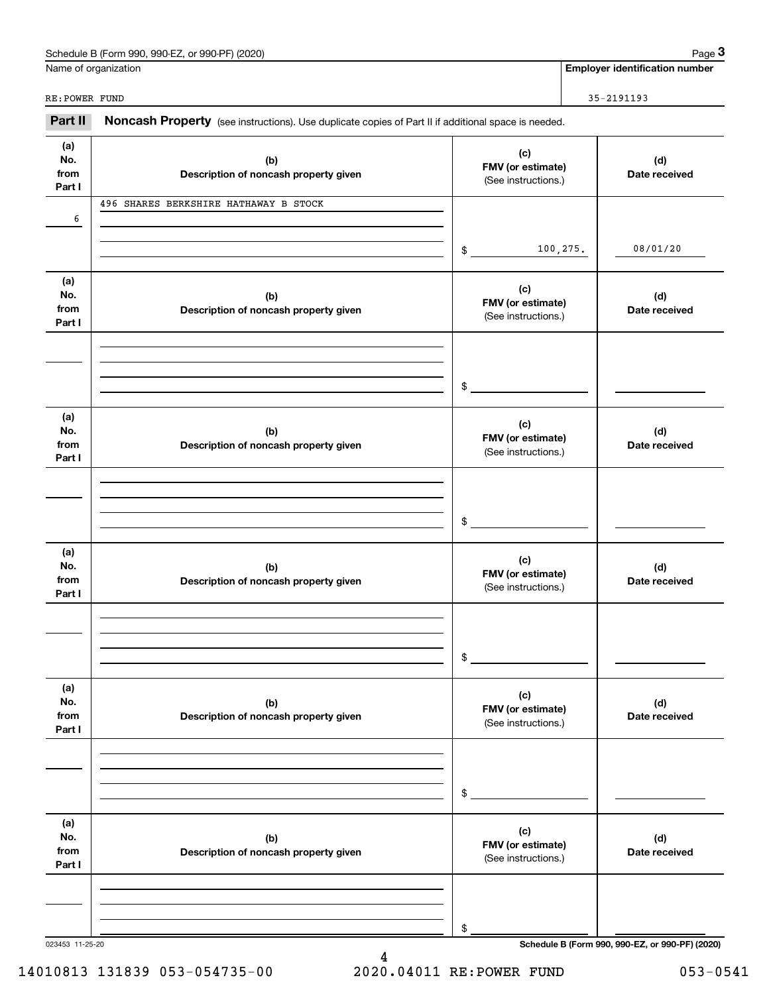| Schedule B (Form 990, 990-EZ, or 990-PF) (2020)<br>Page |
|---------------------------------------------------------|
|---------------------------------------------------------|

Name of organization

Employer identification number

RE: POWER FUND 35-2191193

|  | Part II Noncash Property (see instructions). Use duplicate copies of Part II if additional space is needed. |
|--|-------------------------------------------------------------------------------------------------------------|

| (a)<br>No.<br>from<br>Part I | (b)<br>Description of noncash property given | (c)<br>FMV (or estimate)<br>(See instructions.) | (d)<br>Date received                            |
|------------------------------|----------------------------------------------|-------------------------------------------------|-------------------------------------------------|
| 6                            | 496 SHARES BERKSHIRE HATHAWAY B STOCK        |                                                 |                                                 |
|                              |                                              |                                                 |                                                 |
|                              |                                              | 100,275.<br>$\frac{1}{2}$                       | 08/01/20                                        |
| (a)                          |                                              | (c)                                             |                                                 |
| No.<br>from                  | (b)<br>Description of noncash property given | FMV (or estimate)                               | (d)<br>Date received                            |
| Part I                       |                                              | (See instructions.)                             |                                                 |
|                              |                                              |                                                 |                                                 |
|                              |                                              |                                                 |                                                 |
|                              |                                              | $\frac{1}{2}$                                   |                                                 |
| (a)                          |                                              | (c)                                             |                                                 |
| No.<br>from                  | (b)<br>Description of noncash property given | FMV (or estimate)<br>(See instructions.)        | (d)<br>Date received                            |
| Part I                       |                                              |                                                 |                                                 |
|                              |                                              |                                                 |                                                 |
|                              |                                              |                                                 |                                                 |
|                              |                                              | $\frac{1}{2}$                                   |                                                 |
| (a)<br>No.                   | (b)                                          | (c)                                             | (d)                                             |
| from                         | Description of noncash property given        | FMV (or estimate)<br>(See instructions.)        | Date received                                   |
| Part I                       |                                              |                                                 |                                                 |
|                              |                                              |                                                 |                                                 |
|                              |                                              | $\frac{1}{2}$                                   |                                                 |
|                              |                                              |                                                 |                                                 |
| (a)<br>No.                   | (b)                                          | (c)                                             | (d)                                             |
| from<br>Part I               | Description of noncash property given        | FMV (or estimate)<br>(See instructions.)        | Date received                                   |
|                              |                                              |                                                 |                                                 |
|                              |                                              |                                                 |                                                 |
|                              |                                              | \$                                              |                                                 |
| (a)                          |                                              |                                                 |                                                 |
| No.                          | (b)                                          | (c)<br>FMV (or estimate)                        | (d)                                             |
| from<br>Part I               | Description of noncash property given        | (See instructions.)                             | Date received                                   |
|                              |                                              |                                                 |                                                 |
|                              |                                              |                                                 |                                                 |
|                              |                                              | \$                                              |                                                 |
| 023453 11-25-20              |                                              |                                                 | Schedule B (Form 990, 990-EZ, or 990-PF) (2020) |

14010813 131839 053-054735-00 2020.04011 RE:POWER FUND 053-0541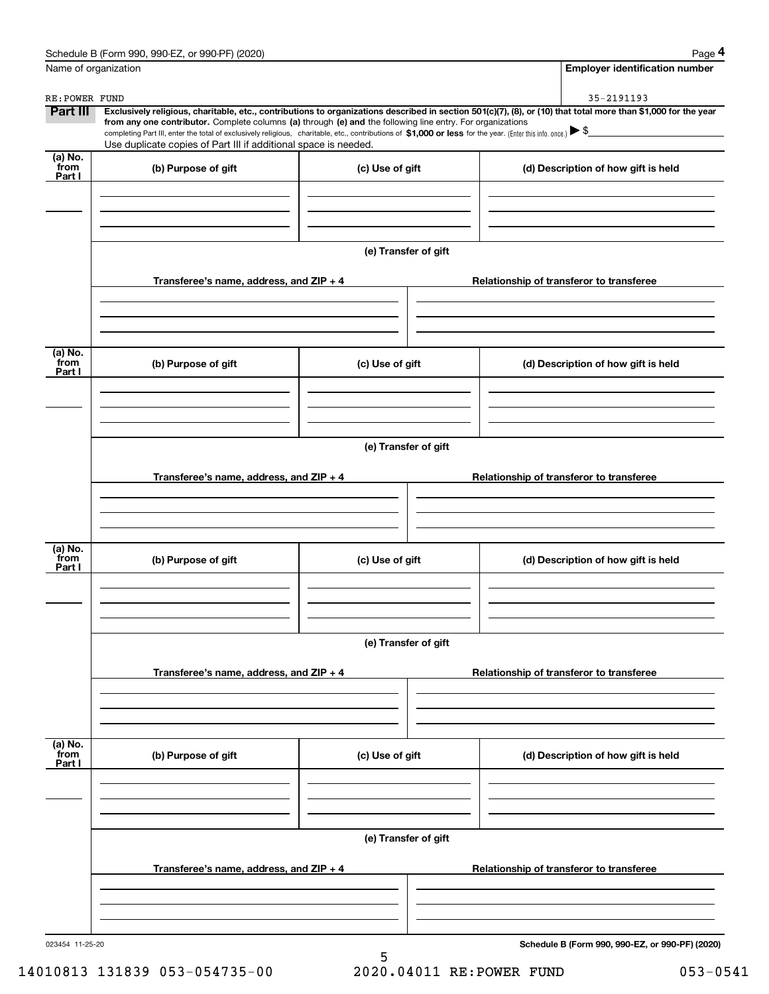| Name of organization       |                                                                                                                                                                                                                                                                                                                                                                                                                                                                                                                                      |                      |                                                 | <b>Employer identification number</b> |
|----------------------------|--------------------------------------------------------------------------------------------------------------------------------------------------------------------------------------------------------------------------------------------------------------------------------------------------------------------------------------------------------------------------------------------------------------------------------------------------------------------------------------------------------------------------------------|----------------------|-------------------------------------------------|---------------------------------------|
| RE: POWER FUND             |                                                                                                                                                                                                                                                                                                                                                                                                                                                                                                                                      |                      | 35-2191193                                      |                                       |
| Part III                   | Exclusively religious, charitable, etc., contributions to organizations described in section 501(c)(7), (8), or (10) that total more than \$1,000 for the year<br>from any one contributor. Complete columns (a) through (e) and the following line entry. For organizations<br>completing Part III, enter the total of exclusively religious, charitable, etc., contributions of \$1,000 or less for the year. (Enter this info. once.) $\blacktriangleright$ \$<br>Use duplicate copies of Part III if additional space is needed. |                      |                                                 |                                       |
| (a) No.<br>from            | (b) Purpose of gift                                                                                                                                                                                                                                                                                                                                                                                                                                                                                                                  | (c) Use of gift      | (d) Description of how gift is held             |                                       |
| Part I                     |                                                                                                                                                                                                                                                                                                                                                                                                                                                                                                                                      |                      |                                                 |                                       |
|                            |                                                                                                                                                                                                                                                                                                                                                                                                                                                                                                                                      | (e) Transfer of gift |                                                 |                                       |
|                            | Transferee's name, address, and $ZIP + 4$                                                                                                                                                                                                                                                                                                                                                                                                                                                                                            |                      | Relationship of transferor to transferee        |                                       |
| (a) No.<br>from            |                                                                                                                                                                                                                                                                                                                                                                                                                                                                                                                                      |                      |                                                 |                                       |
| Part I                     | (b) Purpose of gift                                                                                                                                                                                                                                                                                                                                                                                                                                                                                                                  | (c) Use of gift      | (d) Description of how gift is held             |                                       |
|                            |                                                                                                                                                                                                                                                                                                                                                                                                                                                                                                                                      | (e) Transfer of gift |                                                 |                                       |
|                            | Transferee's name, address, and $ZIP + 4$                                                                                                                                                                                                                                                                                                                                                                                                                                                                                            |                      | Relationship of transferor to transferee        |                                       |
| (a) No.<br>`from<br>Part I | (b) Purpose of gift                                                                                                                                                                                                                                                                                                                                                                                                                                                                                                                  | (c) Use of gift      | (d) Description of how gift is held             |                                       |
|                            |                                                                                                                                                                                                                                                                                                                                                                                                                                                                                                                                      | (e) Transfer of gift |                                                 |                                       |
|                            | Transferee's name, address, and ZIP + 4                                                                                                                                                                                                                                                                                                                                                                                                                                                                                              |                      | Relationship of transferor to transferee        |                                       |
|                            |                                                                                                                                                                                                                                                                                                                                                                                                                                                                                                                                      |                      |                                                 |                                       |
| (a) No.<br>from<br>Part I  | (b) Purpose of gift                                                                                                                                                                                                                                                                                                                                                                                                                                                                                                                  | (c) Use of gift      | (d) Description of how gift is held             |                                       |
|                            |                                                                                                                                                                                                                                                                                                                                                                                                                                                                                                                                      | (e) Transfer of gift |                                                 |                                       |
|                            | Transferee's name, address, and ZIP + 4                                                                                                                                                                                                                                                                                                                                                                                                                                                                                              |                      | Relationship of transferor to transferee        |                                       |
|                            |                                                                                                                                                                                                                                                                                                                                                                                                                                                                                                                                      |                      |                                                 |                                       |
| 023454 11-25-20            |                                                                                                                                                                                                                                                                                                                                                                                                                                                                                                                                      |                      | Schedule B (Form 990, 990-EZ, or 990-PF) (2020) |                                       |

14010813 131839 053-054735-00 2020.04011 RE:POWER FUND 053-0541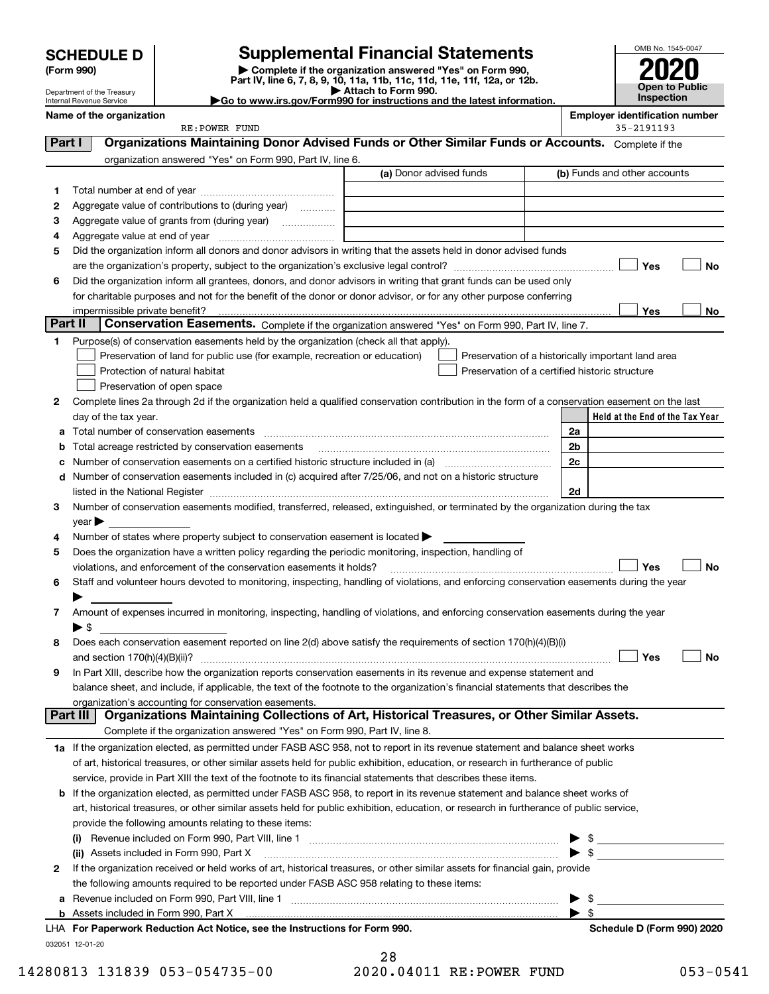Department of the Treasury Internal Revenue Service

(Form 990) | Complete if the organization answered "Yes" on Form 990, Part IV, line 6, 7, 8, 9, 10, 11a, 11b, 11c, 11d, 11e, 11f, 12a, or 12b. SCHEDULE D Supplemental Financial Statements<br>
Form 990) Somplete if the organization answered "Yes" on Form 990,<br>
Part IV, line 6, 7, 8, 9, 10, 11a, 11b, 11c, 11d, 11e, 11f, 12a, or 12b.



▶ Attach to Form 990.<br>▶ Go to www.irs.gov/Form990 for instructions and the latest information.

|         | Name of the organization                                                                                                                                                                                                      |                                                    |    |                                               | <b>Employer identification number</b><br>35-2191193 |    |
|---------|-------------------------------------------------------------------------------------------------------------------------------------------------------------------------------------------------------------------------------|----------------------------------------------------|----|-----------------------------------------------|-----------------------------------------------------|----|
| Part I  | RE: POWER FUND<br>Organizations Maintaining Donor Advised Funds or Other Similar Funds or Accounts. Complete if the                                                                                                           |                                                    |    |                                               |                                                     |    |
|         |                                                                                                                                                                                                                               |                                                    |    |                                               |                                                     |    |
|         | organization answered "Yes" on Form 990, Part IV, line 6.                                                                                                                                                                     | (a) Donor advised funds                            |    |                                               | (b) Funds and other accounts                        |    |
|         |                                                                                                                                                                                                                               |                                                    |    |                                               |                                                     |    |
| 1       |                                                                                                                                                                                                                               |                                                    |    |                                               |                                                     |    |
| 2       | Aggregate value of contributions to (during year)<br>Aggregate value of grants from (during year)                                                                                                                             |                                                    |    |                                               |                                                     |    |
| з<br>4  |                                                                                                                                                                                                                               |                                                    |    |                                               |                                                     |    |
| 5       | Did the organization inform all donors and donor advisors in writing that the assets held in donor advised funds                                                                                                              |                                                    |    |                                               |                                                     |    |
|         |                                                                                                                                                                                                                               |                                                    |    |                                               | Yes                                                 | No |
| 6       | Did the organization inform all grantees, donors, and donor advisors in writing that grant funds can be used only                                                                                                             |                                                    |    |                                               |                                                     |    |
|         | for charitable purposes and not for the benefit of the donor or donor advisor, or for any other purpose conferring                                                                                                            |                                                    |    |                                               |                                                     |    |
|         | impermissible private benefit?                                                                                                                                                                                                |                                                    |    |                                               | Yes                                                 | No |
| Part II | Conservation Easements. Complete if the organization answered "Yes" on Form 990, Part IV, line 7.                                                                                                                             |                                                    |    |                                               |                                                     |    |
| 1       | Purpose(s) of conservation easements held by the organization (check all that apply).                                                                                                                                         |                                                    |    |                                               |                                                     |    |
|         | Preservation of land for public use (for example, recreation or education)                                                                                                                                                    | Preservation of a historically important land area |    |                                               |                                                     |    |
|         | Protection of natural habitat                                                                                                                                                                                                 | Preservation of a certified historic structure     |    |                                               |                                                     |    |
|         | Preservation of open space                                                                                                                                                                                                    |                                                    |    |                                               |                                                     |    |
| 2       | Complete lines 2a through 2d if the organization held a qualified conservation contribution in the form of a conservation easement on the last                                                                                |                                                    |    |                                               |                                                     |    |
|         | day of the tax year.                                                                                                                                                                                                          |                                                    |    |                                               | Held at the End of the Tax Year                     |    |
| a       | Total number of conservation easements                                                                                                                                                                                        |                                                    | 2a |                                               |                                                     |    |
| b       | Total acreage restricted by conservation easements                                                                                                                                                                            |                                                    | 2b |                                               |                                                     |    |
| с       |                                                                                                                                                                                                                               |                                                    | 2c |                                               |                                                     |    |
| d       | Number of conservation easements included in (c) acquired after 7/25/06, and not on a historic structure                                                                                                                      |                                                    |    |                                               |                                                     |    |
|         | listed in the National Register [11, 1200] [12] The National Register [11, 1200] [12] The National Register [11, 1200] [12] The National Register [11, 1200] [12] The National Register [11, 1200] [12] The National Register |                                                    | 2d |                                               |                                                     |    |
| З.      | Number of conservation easements modified, transferred, released, extinguished, or terminated by the organization during the tax                                                                                              |                                                    |    |                                               |                                                     |    |
|         | year $\blacktriangleright$                                                                                                                                                                                                    |                                                    |    |                                               |                                                     |    |
| 4       | Number of states where property subject to conservation easement is located >                                                                                                                                                 |                                                    |    |                                               |                                                     |    |
| 5       | Does the organization have a written policy regarding the periodic monitoring, inspection, handling of                                                                                                                        |                                                    |    |                                               |                                                     |    |
|         | violations, and enforcement of the conservation easements it holds?                                                                                                                                                           |                                                    |    |                                               | Yes                                                 | No |
| 6       | Staff and volunteer hours devoted to monitoring, inspecting, handling of violations, and enforcing conservation easements during the year                                                                                     |                                                    |    |                                               |                                                     |    |
|         |                                                                                                                                                                                                                               |                                                    |    |                                               |                                                     |    |
| 7       | Amount of expenses incurred in monitoring, inspecting, handling of violations, and enforcing conservation easements during the year                                                                                           |                                                    |    |                                               |                                                     |    |
|         | $\blacktriangleright$ \$                                                                                                                                                                                                      |                                                    |    |                                               |                                                     |    |
| 8       | Does each conservation easement reported on line 2(d) above satisfy the requirements of section 170(h)(4)(B)(i)                                                                                                               |                                                    |    |                                               |                                                     |    |
|         |                                                                                                                                                                                                                               |                                                    |    |                                               | Yes                                                 | No |
|         | In Part XIII, describe how the organization reports conservation easements in its revenue and expense statement and                                                                                                           |                                                    |    |                                               |                                                     |    |
|         | balance sheet, and include, if applicable, the text of the footnote to the organization's financial statements that describes the                                                                                             |                                                    |    |                                               |                                                     |    |
|         | organization's accounting for conservation easements.                                                                                                                                                                         |                                                    |    |                                               |                                                     |    |
|         | Organizations Maintaining Collections of Art, Historical Treasures, or Other Similar Assets.<br>Part III                                                                                                                      |                                                    |    |                                               |                                                     |    |
|         | Complete if the organization answered "Yes" on Form 990, Part IV, line 8.                                                                                                                                                     |                                                    |    |                                               |                                                     |    |
|         | 1a If the organization elected, as permitted under FASB ASC 958, not to report in its revenue statement and balance sheet works                                                                                               |                                                    |    |                                               |                                                     |    |
|         | of art, historical treasures, or other similar assets held for public exhibition, education, or research in furtherance of public                                                                                             |                                                    |    |                                               |                                                     |    |
|         | service, provide in Part XIII the text of the footnote to its financial statements that describes these items.                                                                                                                |                                                    |    |                                               |                                                     |    |
| b       | If the organization elected, as permitted under FASB ASC 958, to report in its revenue statement and balance sheet works of                                                                                                   |                                                    |    |                                               |                                                     |    |
|         | art, historical treasures, or other similar assets held for public exhibition, education, or research in furtherance of public service,                                                                                       |                                                    |    |                                               |                                                     |    |
|         | provide the following amounts relating to these items:                                                                                                                                                                        |                                                    |    |                                               |                                                     |    |
|         |                                                                                                                                                                                                                               |                                                    |    | $\mathbb{S}$ and $\mathbb{S}$<br>$\mathbb{S}$ |                                                     |    |
|         | (ii) Assets included in Form 990, Part X<br>If the organization received or held works of art, historical treasures, or other similar assets for financial gain, provide                                                      |                                                    |    |                                               |                                                     |    |
| 2       | the following amounts required to be reported under FASB ASC 958 relating to these items:                                                                                                                                     |                                                    |    |                                               |                                                     |    |
|         |                                                                                                                                                                                                                               |                                                    |    | -\$                                           |                                                     |    |
| а       | <b>b</b> Assets included in Form 990, Part X                                                                                                                                                                                  |                                                    |    | -\$                                           |                                                     |    |
|         | LHA For Paperwork Reduction Act Notice, see the Instructions for Form 990.                                                                                                                                                    |                                                    |    |                                               | Schedule D (Form 990) 2020                          |    |
|         | 032051 12-01-20                                                                                                                                                                                                               |                                                    |    |                                               |                                                     |    |
|         |                                                                                                                                                                                                                               | 28                                                 |    |                                               |                                                     |    |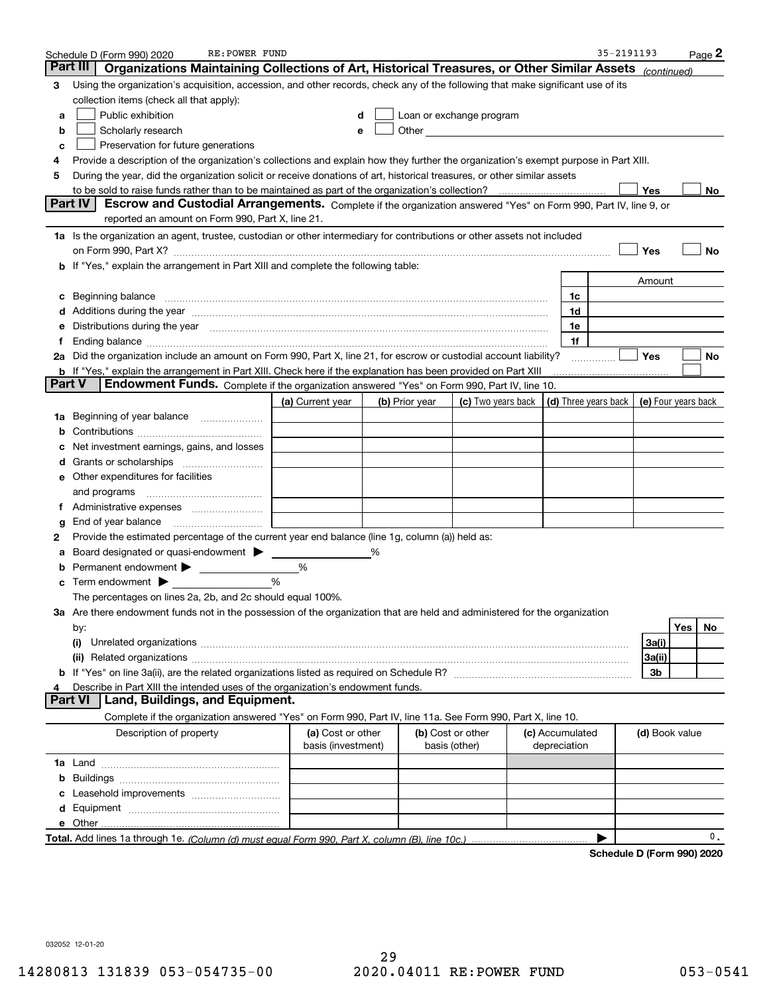|    | RE: POWER FUND<br>Schedule D (Form 990) 2020                                                                                                                                                                                          |                                         |   |                |                                                                                                               |  |                                 | 35-2191193 |                              |            | Page 2 |
|----|---------------------------------------------------------------------------------------------------------------------------------------------------------------------------------------------------------------------------------------|-----------------------------------------|---|----------------|---------------------------------------------------------------------------------------------------------------|--|---------------------------------|------------|------------------------------|------------|--------|
|    | Part III<br>Organizations Maintaining Collections of Art, Historical Treasures, or Other Similar Assets (continued)                                                                                                                   |                                         |   |                |                                                                                                               |  |                                 |            |                              |            |        |
| 3  | Using the organization's acquisition, accession, and other records, check any of the following that make significant use of its                                                                                                       |                                         |   |                |                                                                                                               |  |                                 |            |                              |            |        |
|    | collection items (check all that apply):                                                                                                                                                                                              |                                         |   |                |                                                                                                               |  |                                 |            |                              |            |        |
| а  | Public exhibition                                                                                                                                                                                                                     |                                         |   |                | Loan or exchange program                                                                                      |  |                                 |            |                              |            |        |
| b  | Scholarly research                                                                                                                                                                                                                    |                                         |   |                | Other and the contract of the contract of the contract of the contract of the contract of the contract of the |  |                                 |            |                              |            |        |
| с  | Preservation for future generations                                                                                                                                                                                                   |                                         |   |                |                                                                                                               |  |                                 |            |                              |            |        |
| 4  | Provide a description of the organization's collections and explain how they further the organization's exempt purpose in Part XIII.                                                                                                  |                                         |   |                |                                                                                                               |  |                                 |            |                              |            |        |
| 5  | During the year, did the organization solicit or receive donations of art, historical treasures, or other similar assets                                                                                                              |                                         |   |                |                                                                                                               |  |                                 |            |                              |            |        |
|    |                                                                                                                                                                                                                                       |                                         |   |                |                                                                                                               |  |                                 |            | Yes                          |            | No     |
|    | Part IV<br>Escrow and Custodial Arrangements. Complete if the organization answered "Yes" on Form 990, Part IV, line 9, or                                                                                                            |                                         |   |                |                                                                                                               |  |                                 |            |                              |            |        |
|    | reported an amount on Form 990, Part X, line 21.                                                                                                                                                                                      |                                         |   |                |                                                                                                               |  |                                 |            |                              |            |        |
|    | 1a Is the organization an agent, trustee, custodian or other intermediary for contributions or other assets not included                                                                                                              |                                         |   |                |                                                                                                               |  |                                 |            |                              |            |        |
|    | on Form 990, Part X? [11] matter contracts and contracts and contracts are contracted and contracts are contracted and contract and contract of the contract of the contract of the contract of the contract of the contract o        |                                         |   |                |                                                                                                               |  |                                 |            | Yes                          |            | No     |
|    | b If "Yes," explain the arrangement in Part XIII and complete the following table:                                                                                                                                                    |                                         |   |                |                                                                                                               |  |                                 |            |                              |            |        |
|    |                                                                                                                                                                                                                                       |                                         |   |                |                                                                                                               |  |                                 |            | Amount                       |            |        |
| c  |                                                                                                                                                                                                                                       |                                         |   |                |                                                                                                               |  | 1c                              |            |                              |            |        |
|    | Additions during the year manufactured and an annual contract of the year manufactured and a set of the year manufactured and a set of the year manufactured and a set of the year manufactured and set of the set of the set         |                                         |   |                |                                                                                                               |  | 1d                              |            |                              |            |        |
| е  | Distributions during the year manufactured and an account of the state of the state of the state of the state o                                                                                                                       |                                         |   |                |                                                                                                               |  | 1e                              |            |                              |            |        |
| Ť. | Ending balance measurements and the contract of the contract of the contract of the contract of the contract of                                                                                                                       |                                         |   |                |                                                                                                               |  | 1f                              |            |                              |            |        |
|    | 2a Did the organization include an amount on Form 990, Part X, line 21, for escrow or custodial account liability?                                                                                                                    |                                         |   |                |                                                                                                               |  |                                 | .          | Yes                          |            | No     |
|    | <b>b</b> If "Yes," explain the arrangement in Part XIII. Check here if the explanation has been provided on Part XIII<br><b>Part V</b><br>Endowment Funds. Complete if the organization answered "Yes" on Form 990, Part IV, line 10. |                                         |   |                |                                                                                                               |  |                                 |            |                              |            |        |
|    |                                                                                                                                                                                                                                       | (a) Current year                        |   | (b) Prior year | (c) Two years back $\vert$ (d) Three years back $\vert$                                                       |  |                                 |            | (e) Four years back          |            |        |
|    | 1a Beginning of year balance                                                                                                                                                                                                          |                                         |   |                |                                                                                                               |  |                                 |            |                              |            |        |
|    |                                                                                                                                                                                                                                       |                                         |   |                |                                                                                                               |  |                                 |            |                              |            |        |
|    | Net investment earnings, gains, and losses                                                                                                                                                                                            |                                         |   |                |                                                                                                               |  |                                 |            |                              |            |        |
|    |                                                                                                                                                                                                                                       |                                         |   |                |                                                                                                               |  |                                 |            |                              |            |        |
|    | e Other expenditures for facilities                                                                                                                                                                                                   |                                         |   |                |                                                                                                               |  |                                 |            |                              |            |        |
|    | and programs                                                                                                                                                                                                                          |                                         |   |                |                                                                                                               |  |                                 |            |                              |            |        |
| Ť. |                                                                                                                                                                                                                                       |                                         |   |                |                                                                                                               |  |                                 |            |                              |            |        |
| g  | End of year balance <i>manually contained</i>                                                                                                                                                                                         |                                         |   |                |                                                                                                               |  |                                 |            |                              |            |        |
| 2  | Provide the estimated percentage of the current year end balance (line 1g, column (a)) held as:                                                                                                                                       |                                         |   |                |                                                                                                               |  |                                 |            |                              |            |        |
|    | Board designated or quasi-endowment                                                                                                                                                                                                   |                                         | % |                |                                                                                                               |  |                                 |            |                              |            |        |
|    | <b>b</b> Permanent endowment >                                                                                                                                                                                                        | %                                       |   |                |                                                                                                               |  |                                 |            |                              |            |        |
|    | Term endowment $\blacktriangleright$                                                                                                                                                                                                  | %                                       |   |                |                                                                                                               |  |                                 |            |                              |            |        |
|    | The percentages on lines 2a, 2b, and 2c should equal 100%.                                                                                                                                                                            |                                         |   |                |                                                                                                               |  |                                 |            |                              |            |        |
|    | 3a Are there endowment funds not in the possession of the organization that are held and administered for the organization                                                                                                            |                                         |   |                |                                                                                                               |  |                                 |            |                              |            |        |
|    | by:                                                                                                                                                                                                                                   |                                         |   |                |                                                                                                               |  |                                 |            |                              | <b>Yes</b> | No.    |
|    | (i)                                                                                                                                                                                                                                   |                                         |   |                |                                                                                                               |  |                                 |            | 3a(i)                        |            |        |
|    |                                                                                                                                                                                                                                       |                                         |   |                |                                                                                                               |  |                                 |            | 3a(ii)                       |            |        |
|    |                                                                                                                                                                                                                                       |                                         |   |                |                                                                                                               |  |                                 |            | 3b                           |            |        |
| 4  | Describe in Part XIII the intended uses of the organization's endowment funds.                                                                                                                                                        |                                         |   |                |                                                                                                               |  |                                 |            |                              |            |        |
|    | Land, Buildings, and Equipment.<br><b>Part VI</b>                                                                                                                                                                                     |                                         |   |                |                                                                                                               |  |                                 |            |                              |            |        |
|    | Complete if the organization answered "Yes" on Form 990, Part IV, line 11a. See Form 990, Part X, line 10.                                                                                                                            |                                         |   |                |                                                                                                               |  |                                 |            |                              |            |        |
|    | Description of property                                                                                                                                                                                                               | (a) Cost or other<br>basis (investment) |   |                | (b) Cost or other<br>basis (other)                                                                            |  | (c) Accumulated<br>depreciation |            | (d) Book value               |            |        |
|    |                                                                                                                                                                                                                                       |                                         |   |                |                                                                                                               |  |                                 |            |                              |            |        |
| b  |                                                                                                                                                                                                                                       |                                         |   |                |                                                                                                               |  |                                 |            |                              |            |        |
|    |                                                                                                                                                                                                                                       |                                         |   |                |                                                                                                               |  |                                 |            |                              |            |        |
| d  |                                                                                                                                                                                                                                       |                                         |   |                |                                                                                                               |  |                                 |            |                              |            |        |
|    |                                                                                                                                                                                                                                       |                                         |   |                |                                                                                                               |  |                                 |            |                              |            |        |
|    |                                                                                                                                                                                                                                       |                                         |   |                |                                                                                                               |  |                                 |            | <b>D. (Fause, 000), 0000</b> |            | 0.     |

Schedule D (Form 990) 2020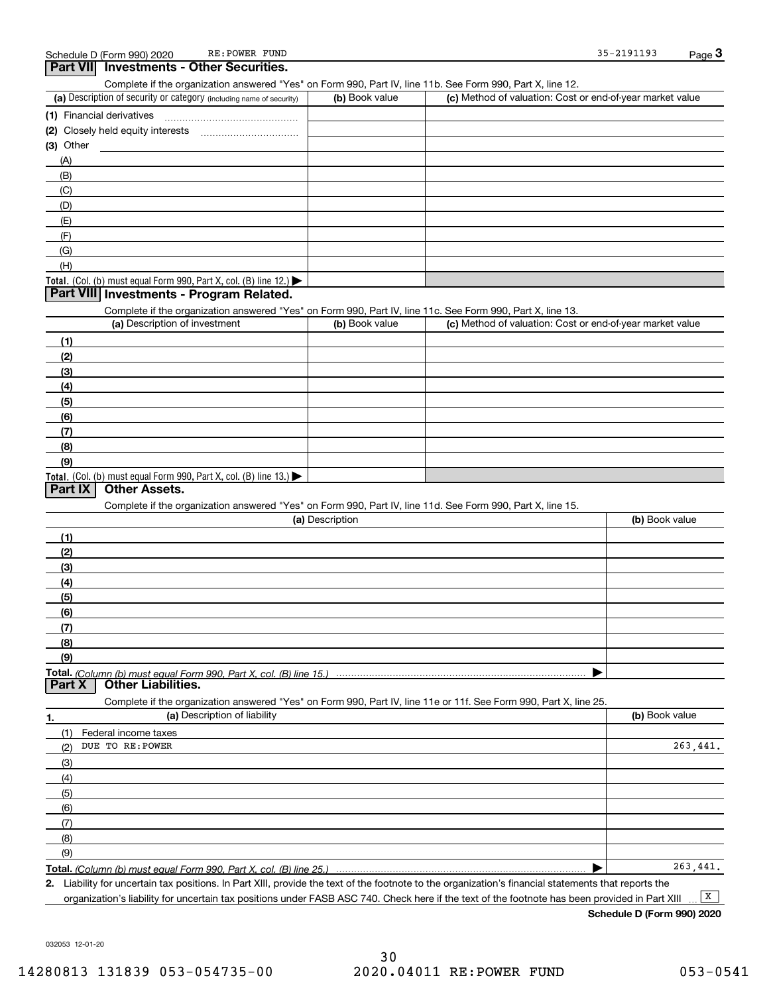| Part VII Investments - Other Securities.                                                                                                                                           |                 |                                                           |                |
|------------------------------------------------------------------------------------------------------------------------------------------------------------------------------------|-----------------|-----------------------------------------------------------|----------------|
| Complete if the organization answered "Yes" on Form 990, Part IV, line 11b. See Form 990, Part X, line 12.<br>(a) Description of security or category (including name of security) | (b) Book value  | (c) Method of valuation: Cost or end-of-year market value |                |
| (1) Financial derivatives                                                                                                                                                          |                 |                                                           |                |
|                                                                                                                                                                                    |                 |                                                           |                |
| $(3)$ Other                                                                                                                                                                        |                 |                                                           |                |
| (A)                                                                                                                                                                                |                 |                                                           |                |
| (B)                                                                                                                                                                                |                 |                                                           |                |
| (C)                                                                                                                                                                                |                 |                                                           |                |
| (D)                                                                                                                                                                                |                 |                                                           |                |
| (E)                                                                                                                                                                                |                 |                                                           |                |
| (F)                                                                                                                                                                                |                 |                                                           |                |
| (G)                                                                                                                                                                                |                 |                                                           |                |
| (H)                                                                                                                                                                                |                 |                                                           |                |
| Total. (Col. (b) must equal Form 990, Part X, col. (B) line 12.)                                                                                                                   |                 |                                                           |                |
| Part VIII Investments - Program Related.                                                                                                                                           |                 |                                                           |                |
| Complete if the organization answered "Yes" on Form 990, Part IV, line 11c. See Form 990, Part X, line 13.                                                                         |                 |                                                           |                |
| (a) Description of investment                                                                                                                                                      | (b) Book value  | (c) Method of valuation: Cost or end-of-year market value |                |
| (1)                                                                                                                                                                                |                 |                                                           |                |
| (2)                                                                                                                                                                                |                 |                                                           |                |
| (3)                                                                                                                                                                                |                 |                                                           |                |
| (4)                                                                                                                                                                                |                 |                                                           |                |
| (5)                                                                                                                                                                                |                 |                                                           |                |
| (6)                                                                                                                                                                                |                 |                                                           |                |
| (7)                                                                                                                                                                                |                 |                                                           |                |
| (8)                                                                                                                                                                                |                 |                                                           |                |
| (9)                                                                                                                                                                                |                 |                                                           |                |
| Total. (Col. (b) must equal Form 990, Part X, col. (B) line 13.)                                                                                                                   |                 |                                                           |                |
| Part IX<br><b>Other Assets.</b>                                                                                                                                                    |                 |                                                           |                |
| Complete if the organization answered "Yes" on Form 990, Part IV, line 11d. See Form 990, Part X, line 15.                                                                         |                 |                                                           |                |
|                                                                                                                                                                                    | (a) Description |                                                           | (b) Book value |
| (1)                                                                                                                                                                                |                 |                                                           |                |
| (2)                                                                                                                                                                                |                 |                                                           |                |
| (3)                                                                                                                                                                                |                 |                                                           |                |
| (4)                                                                                                                                                                                |                 |                                                           |                |
| (5)                                                                                                                                                                                |                 |                                                           |                |
| (6)                                                                                                                                                                                |                 |                                                           |                |
| (7)                                                                                                                                                                                |                 |                                                           |                |
| (8)                                                                                                                                                                                |                 |                                                           |                |
| (9)                                                                                                                                                                                |                 |                                                           |                |
| Total. (Column (b) must equal Form 990. Part X. col. (B) line 15.)                                                                                                                 |                 |                                                           |                |
| Part X<br><b>Other Liabilities.</b>                                                                                                                                                |                 |                                                           |                |
| Complete if the organization answered "Yes" on Form 990, Part IV, line 11e or 11f. See Form 990, Part X, line 25.                                                                  |                 |                                                           |                |
| (a) Description of liability<br>1.                                                                                                                                                 |                 |                                                           | (b) Book value |
| (1)<br>Federal income taxes                                                                                                                                                        |                 |                                                           |                |
| DUE TO RE: POWER<br>(2)                                                                                                                                                            |                 |                                                           | 263,441.       |
| (3)                                                                                                                                                                                |                 |                                                           |                |
| (4)                                                                                                                                                                                |                 |                                                           |                |
| (5)                                                                                                                                                                                |                 |                                                           |                |
| (6)                                                                                                                                                                                |                 |                                                           |                |
| (7)                                                                                                                                                                                |                 |                                                           |                |
| (8)                                                                                                                                                                                |                 |                                                           |                |
| (9)                                                                                                                                                                                |                 |                                                           |                |
| Total. (Column (b) must equal Form 990, Part X, col. (B) line 25.)                                                                                                                 |                 |                                                           | 263,441.       |

2. Liability for uncertain tax positions. In Part XIII, provide the text of the footnote to the organization's financial statements that reports the organization's liability for uncertain tax positions under FASB ASC 740. Check here if the text of the footnote has been provided in Part XIII  $\boxed{\mathbf{X}}$ 

Schedule D (Form 990) 2020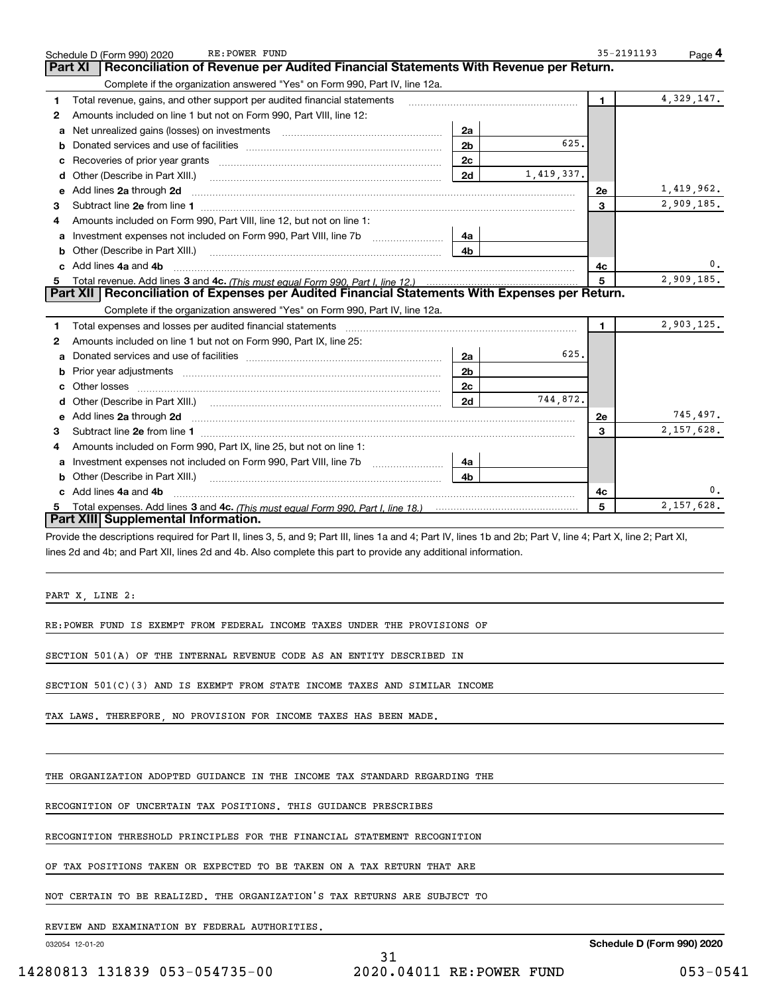|   | RE: POWER FUND<br>Schedule D (Form 990) 2020                                                                                                                                                                                        |                |            | 35-2191193   | Page 4     |
|---|-------------------------------------------------------------------------------------------------------------------------------------------------------------------------------------------------------------------------------------|----------------|------------|--------------|------------|
|   | Reconciliation of Revenue per Audited Financial Statements With Revenue per Return.<br>Part XI                                                                                                                                      |                |            |              |            |
|   | Complete if the organization answered "Yes" on Form 990, Part IV, line 12a.                                                                                                                                                         |                |            |              |            |
| 1 | Total revenue, gains, and other support per audited financial statements                                                                                                                                                            |                |            | 1.           | 4,329,147. |
| 2 | Amounts included on line 1 but not on Form 990, Part VIII, line 12:                                                                                                                                                                 |                |            |              |            |
|   | a Net unrealized gains (losses) on investments [111] [12] Net unrealized gains (losses) on investments [11] $\cdot$                                                                                                                 | 2a             |            |              |            |
| b |                                                                                                                                                                                                                                     | 2 <sub>b</sub> | 625.       |              |            |
| с |                                                                                                                                                                                                                                     | 2c             |            |              |            |
| d | Other (Describe in Part XIII.)                                                                                                                                                                                                      | 2d             | 1,419,337. |              |            |
|   | e Add lines 2a through 2d                                                                                                                                                                                                           |                |            | <b>2e</b>    | 1,419,962. |
| з |                                                                                                                                                                                                                                     |                |            | 3            | 2,909,185. |
| 4 | Amounts included on Form 990, Part VIII, line 12, but not on line 1:                                                                                                                                                                |                |            |              |            |
| a | Investment expenses not included on Form 990, Part VIII, line 7b                                                                                                                                                                    | 4a             |            |              |            |
| b | Other (Describe in Part XIII.) <b>Construction Contract Construction</b> Chern Construction Chern Chern Chern Chern Chern Chern Chern Chern Chern Chern Chern Chern Chern Chern Chern Chern Chern Chern Chern Chern Chern Chern Che | 4b             |            |              |            |
|   | c Add lines 4a and 4b                                                                                                                                                                                                               |                |            | 4c           | 0.         |
| 5 |                                                                                                                                                                                                                                     |                |            | 5            | 2,909.185. |
|   | Part XII   Reconciliation of Expenses per Audited Financial Statements With Expenses per Return.                                                                                                                                    |                |            |              |            |
|   | Complete if the organization answered "Yes" on Form 990, Part IV, line 12a.                                                                                                                                                         |                |            |              |            |
| 1 | Total expenses and losses per audited financial statements [11] [12] manuscription control expenses and losses per audited financial statements [12] manuscription of the statements [12] manuscription of the statements [12]      |                |            | $\mathbf{1}$ | 2,903,125. |
| 2 | Amounts included on line 1 but not on Form 990, Part IX, line 25:                                                                                                                                                                   |                |            |              |            |
|   |                                                                                                                                                                                                                                     | 2a             | 625.       |              |            |
| b |                                                                                                                                                                                                                                     | 2 <sub>b</sub> |            |              |            |
| c |                                                                                                                                                                                                                                     | 2c             |            |              |            |
| d | Other (Describe in Part XIII.)                                                                                                                                                                                                      | 2d             | 744.872.   |              |            |
|   | e Add lines 2a through 2d <b>[10]</b> Manuscription and the Add lines 2a through 2d <b>[10]</b> Manuscription <b>Address</b> 2a through 2d <b>[10]</b> Manuscription <b>Address 2</b>                                               |                |            | 2e           | 745,497.   |
| 3 |                                                                                                                                                                                                                                     |                |            | 3            | 2,157,628. |
| 4 | Amounts included on Form 990, Part IX, line 25, but not on line 1:                                                                                                                                                                  |                |            |              |            |
|   | <b>a</b> Investment expenses not included on Form 990, Part VIII, line 7b <i>mummummum</i>                                                                                                                                          | 4a             |            |              |            |
|   | <b>b</b> Other (Describe in Part XIII.)                                                                                                                                                                                             | 4b             |            |              |            |
|   | c Add lines 4a and 4b                                                                                                                                                                                                               |                |            | 4с           |            |
|   |                                                                                                                                                                                                                                     |                |            | 5            | 2.157.628. |
|   | Part XIII Supplemental Information.                                                                                                                                                                                                 |                |            |              |            |
|   | Provide the descriptions required for Part II, lines 3, 5, and 9; Part III, lines 1a and 4; Part IV, lines 1b and 2b; Part V, line 4; Part X, line 2; Part XI,                                                                      |                |            |              |            |
|   | lines 2d and 4b; and Part XII, lines 2d and 4b. Also complete this part to provide any additional information.                                                                                                                      |                |            |              |            |
|   |                                                                                                                                                                                                                                     |                |            |              |            |
|   |                                                                                                                                                                                                                                     |                |            |              |            |
|   | PART X, LINE 2:                                                                                                                                                                                                                     |                |            |              |            |
|   |                                                                                                                                                                                                                                     |                |            |              |            |
|   | RE:POWER FUND IS EXEMPT FROM FEDERAL INCOME TAXES UNDER THE PROVISIONS OF                                                                                                                                                           |                |            |              |            |
|   |                                                                                                                                                                                                                                     |                |            |              |            |
|   | SECTION 501(A) OF THE INTERNAL REVENUE CODE AS AN ENTITY DESCRIBED IN                                                                                                                                                               |                |            |              |            |
|   |                                                                                                                                                                                                                                     |                |            |              |            |

SECTION 501(C)(3) AND IS EXEMPT FROM STATE INCOME TAXES AND SIMILAR INCOME

TAX LAWS. THEREFORE, NO PROVISION FOR INCOME TAXES HAS BEEN MADE.

THE ORGANIZATION ADOPTED GUIDANCE IN THE INCOME TAX STANDARD REGARDING THE

RECOGNITION OF UNCERTAIN TAX POSITIONS. THIS GUIDANCE PRESCRIBES

RECOGNITION THRESHOLD PRINCIPLES FOR THE FINANCIAL STATEMENT RECOGNITION

OF TAX POSITIONS TAKEN OR EXPECTED TO BE TAKEN ON A TAX RETURN THAT ARE

NOT CERTAIN TO BE REALIZED. THE ORGANIZATION'S TAX RETURNS ARE SUBJECT TO

REVIEW AND EXAMINATION BY FEDERAL AUTHORITIES.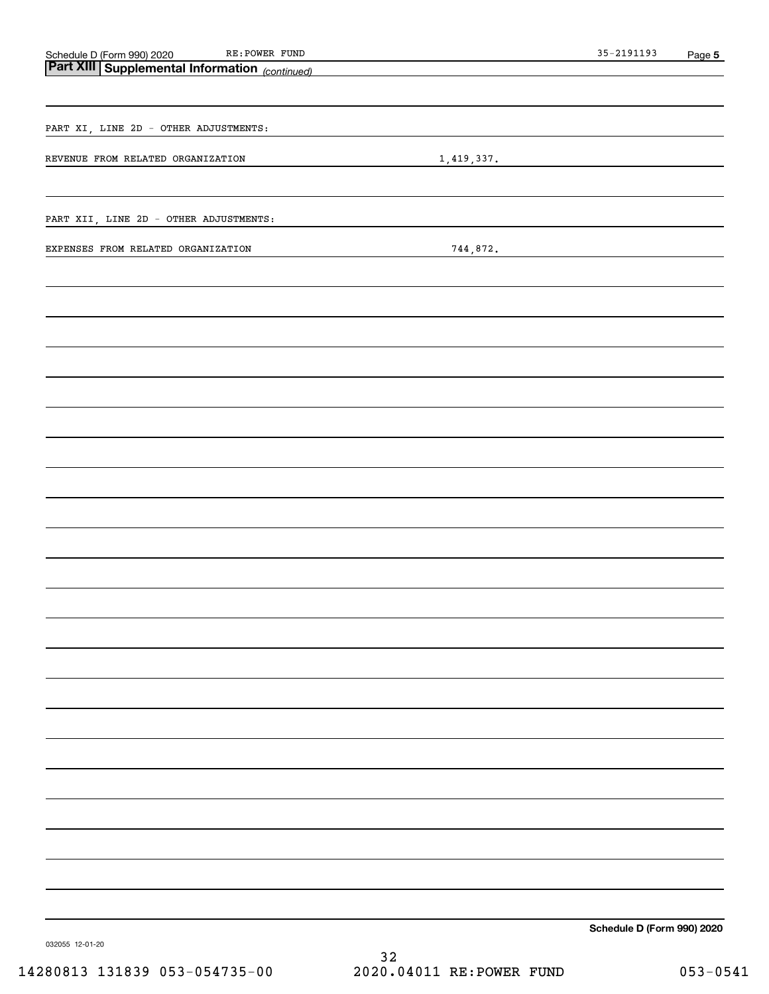|                                                                                                      |            | $35 - 2191193$             | Page 5 |
|------------------------------------------------------------------------------------------------------|------------|----------------------------|--------|
| Schedule D (Form 990) 2020 RE: POWER FUND<br><b>Part XIII   Supplemental Information</b> (continued) |            |                            |        |
|                                                                                                      |            |                            |        |
|                                                                                                      |            |                            |        |
| PART XI, LINE 2D - OTHER ADJUSTMENTS:                                                                |            |                            |        |
|                                                                                                      |            |                            |        |
| REVENUE FROM RELATED ORGANIZATION                                                                    | 1,419,337. |                            |        |
|                                                                                                      |            |                            |        |
|                                                                                                      |            |                            |        |
| PART XII, LINE 2D - OTHER ADJUSTMENTS:                                                               |            |                            |        |
|                                                                                                      |            |                            |        |
| EXPENSES FROM RELATED ORGANIZATION                                                                   | 744,872.   |                            |        |
|                                                                                                      |            |                            |        |
|                                                                                                      |            |                            |        |
|                                                                                                      |            |                            |        |
|                                                                                                      |            |                            |        |
|                                                                                                      |            |                            |        |
|                                                                                                      |            |                            |        |
|                                                                                                      |            |                            |        |
|                                                                                                      |            |                            |        |
|                                                                                                      |            |                            |        |
|                                                                                                      |            |                            |        |
|                                                                                                      |            |                            |        |
|                                                                                                      |            |                            |        |
|                                                                                                      |            |                            |        |
|                                                                                                      |            |                            |        |
|                                                                                                      |            |                            |        |
|                                                                                                      |            |                            |        |
|                                                                                                      |            |                            |        |
|                                                                                                      |            |                            |        |
|                                                                                                      |            |                            |        |
|                                                                                                      |            |                            |        |
|                                                                                                      |            |                            |        |
|                                                                                                      |            |                            |        |
|                                                                                                      |            |                            |        |
|                                                                                                      |            |                            |        |
|                                                                                                      |            |                            |        |
|                                                                                                      |            |                            |        |
|                                                                                                      |            |                            |        |
|                                                                                                      |            |                            |        |
|                                                                                                      |            |                            |        |
|                                                                                                      |            |                            |        |
|                                                                                                      |            |                            |        |
|                                                                                                      |            |                            |        |
|                                                                                                      |            |                            |        |
|                                                                                                      |            |                            |        |
|                                                                                                      |            |                            |        |
|                                                                                                      |            |                            |        |
|                                                                                                      |            |                            |        |
|                                                                                                      |            | Schedule D (Form 990) 2020 |        |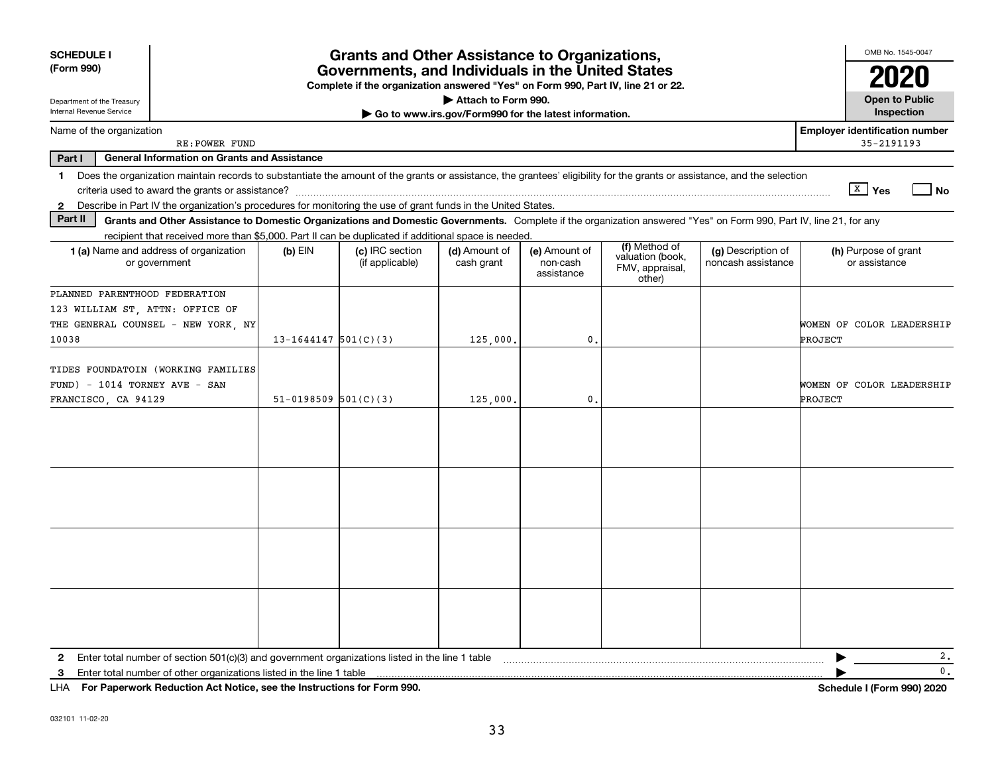| <b>SCHEDULE I</b><br>(Form 990)                                                                                                                                                                                                                                                                                 | <b>Grants and Other Assistance to Organizations,</b><br>Governments, and Individuals in the United States<br>Complete if the organization answered "Yes" on Form 990, Part IV, line 21 or 22. |                                    |                                                                              |                                         |                                                                |                                          |                                                     |  |  |
|-----------------------------------------------------------------------------------------------------------------------------------------------------------------------------------------------------------------------------------------------------------------------------------------------------------------|-----------------------------------------------------------------------------------------------------------------------------------------------------------------------------------------------|------------------------------------|------------------------------------------------------------------------------|-----------------------------------------|----------------------------------------------------------------|------------------------------------------|-----------------------------------------------------|--|--|
| Department of the Treasury<br>Internal Revenue Service                                                                                                                                                                                                                                                          |                                                                                                                                                                                               |                                    | Attach to Form 990.<br>Go to www.irs.gov/Form990 for the latest information. |                                         |                                                                |                                          | <b>Open to Public</b><br>Inspection                 |  |  |
| Name of the organization<br>RE: POWER FUND                                                                                                                                                                                                                                                                      |                                                                                                                                                                                               |                                    |                                                                              |                                         |                                                                |                                          | <b>Employer identification number</b><br>35-2191193 |  |  |
| Part I<br><b>General Information on Grants and Assistance</b>                                                                                                                                                                                                                                                   |                                                                                                                                                                                               |                                    |                                                                              |                                         |                                                                |                                          |                                                     |  |  |
| Does the organization maintain records to substantiate the amount of the grants or assistance, the grantees' eligibility for the grants or assistance, and the selection<br>1.<br>Describe in Part IV the organization's procedures for monitoring the use of grant funds in the United States.<br>$\mathbf{2}$ |                                                                                                                                                                                               |                                    |                                                                              |                                         |                                                                |                                          | $X$ Yes<br>  No                                     |  |  |
| Part II<br>Grants and Other Assistance to Domestic Organizations and Domestic Governments. Complete if the organization answered "Yes" on Form 990, Part IV, line 21, for any                                                                                                                                   |                                                                                                                                                                                               |                                    |                                                                              |                                         |                                                                |                                          |                                                     |  |  |
| recipient that received more than \$5,000. Part II can be duplicated if additional space is needed.                                                                                                                                                                                                             |                                                                                                                                                                                               |                                    |                                                                              |                                         |                                                                |                                          |                                                     |  |  |
| <b>1 (a)</b> Name and address of organization<br>or government                                                                                                                                                                                                                                                  | $(b)$ EIN                                                                                                                                                                                     | (c) IRC section<br>(if applicable) | (d) Amount of<br>cash grant                                                  | (e) Amount of<br>non-cash<br>assistance | (f) Method of<br>valuation (book,<br>FMV, appraisal,<br>other) | (g) Description of<br>noncash assistance | (h) Purpose of grant<br>or assistance               |  |  |
| PLANNED PARENTHOOD FEDERATION<br>123 WILLIAM ST, ATTN: OFFICE OF<br>THE GENERAL COUNSEL - NEW YORK, NY<br>10038                                                                                                                                                                                                 | $13 - 1644147$ 501(C)(3)                                                                                                                                                                      |                                    | 125,000.                                                                     | 0.                                      |                                                                |                                          | WOMEN OF COLOR LEADERSHIP<br>PROJECT                |  |  |
| TIDES FOUNDATOIN (WORKING FAMILIES<br>$FUND$ ) - 1014 TORNEY AVE - SAN<br>FRANCISCO, CA 94129                                                                                                                                                                                                                   | $51-0198509$ $501(C)(3)$                                                                                                                                                                      |                                    | 125,000.                                                                     | 0.                                      |                                                                |                                          | WOMEN OF COLOR LEADERSHIP<br>PROJECT                |  |  |
|                                                                                                                                                                                                                                                                                                                 |                                                                                                                                                                                               |                                    |                                                                              |                                         |                                                                |                                          |                                                     |  |  |
|                                                                                                                                                                                                                                                                                                                 |                                                                                                                                                                                               |                                    |                                                                              |                                         |                                                                |                                          |                                                     |  |  |
|                                                                                                                                                                                                                                                                                                                 |                                                                                                                                                                                               |                                    |                                                                              |                                         |                                                                |                                          |                                                     |  |  |
|                                                                                                                                                                                                                                                                                                                 |                                                                                                                                                                                               |                                    |                                                                              |                                         |                                                                |                                          |                                                     |  |  |
| 2                                                                                                                                                                                                                                                                                                               |                                                                                                                                                                                               |                                    |                                                                              |                                         |                                                                |                                          | 2.<br>▶                                             |  |  |
| 3                                                                                                                                                                                                                                                                                                               |                                                                                                                                                                                               |                                    |                                                                              |                                         |                                                                |                                          | $\mathbf{0}$ .                                      |  |  |
| $111A$ $F \cup D$ as social $D \cup L$ and $A \cup L$ and $A \cup L$ are the fundamental $f \cup F$ and $Q \cap D$                                                                                                                                                                                              |                                                                                                                                                                                               |                                    |                                                                              |                                         |                                                                |                                          | $1.1.1$ $1.17.1$ $0.001.000$                        |  |  |

LHA For Paperwork Reduction Act Notice, see the Instructions for Form 990. Schedule I (Form 990) 2020 LHA Form 990) 2020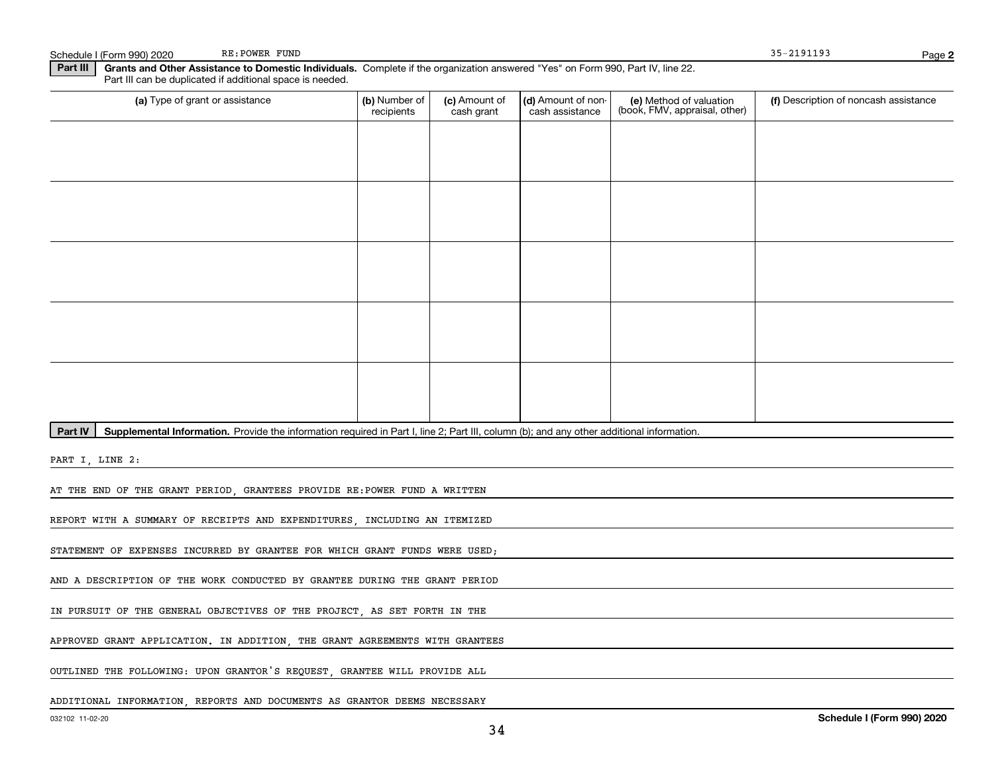Schedule I (Form 990) 2020 RE: POWER FUND REER (FORM AND READ FORM AND READ FORM AND READ FORM AND READ FORM AND READ FORM AND READ FORM AND READ FORM AND READ FORM AND READ FORM AND READY ASSAULT AND READY AND READY AND R

RE: POWER FUND

Page 2

Part III | Grants and Other Assistance to Domestic Individuals. Complete if the organization answered "Yes" on Form 990, Part IV, line 22. Part III can be duplicated if additional space is needed.

| (a) Type of grant or assistance                                                                                                                      | (b) Number of<br>recipients | (c) Amount of<br>cash grant | (d) Amount of non-<br>cash assistance | (e) Method of valuation<br>(book, FMV, appraisal, other) | (f) Description of noncash assistance |
|------------------------------------------------------------------------------------------------------------------------------------------------------|-----------------------------|-----------------------------|---------------------------------------|----------------------------------------------------------|---------------------------------------|
|                                                                                                                                                      |                             |                             |                                       |                                                          |                                       |
|                                                                                                                                                      |                             |                             |                                       |                                                          |                                       |
|                                                                                                                                                      |                             |                             |                                       |                                                          |                                       |
|                                                                                                                                                      |                             |                             |                                       |                                                          |                                       |
|                                                                                                                                                      |                             |                             |                                       |                                                          |                                       |
|                                                                                                                                                      |                             |                             |                                       |                                                          |                                       |
|                                                                                                                                                      |                             |                             |                                       |                                                          |                                       |
|                                                                                                                                                      |                             |                             |                                       |                                                          |                                       |
|                                                                                                                                                      |                             |                             |                                       |                                                          |                                       |
|                                                                                                                                                      |                             |                             |                                       |                                                          |                                       |
| Part IV<br>Supplemental Information. Provide the information required in Part I, line 2; Part III, column (b); and any other additional information. |                             |                             |                                       |                                                          |                                       |

PART I, LINE 2:

AT THE END OF THE GRANT PERIOD, GRANTEES PROVIDE RE:POWER FUND A WRITTEN

REPORT WITH A SUMMARY OF RECEIPTS AND EXPENDITURES, INCLUDING AN ITEMIZED

STATEMENT OF EXPENSES INCURRED BY GRANTEE FOR WHICH GRANT FUNDS WERE USED;

AND A DESCRIPTION OF THE WORK CONDUCTED BY GRANTEE DURING THE GRANT PERIOD

IN PURSUIT OF THE GENERAL OBJECTIVES OF THE PROJECT, AS SET FORTH IN THE

APPROVED GRANT APPLICATION. IN ADDITION, THE GRANT AGREEMENTS WITH GRANTEES

OUTLINED THE FOLLOWING: UPON GRANTOR'S REQUEST, GRANTEE WILL PROVIDE ALL

ADDITIONAL INFORMATION, REPORTS AND DOCUMENTS AS GRANTOR DEEMS NECESSARY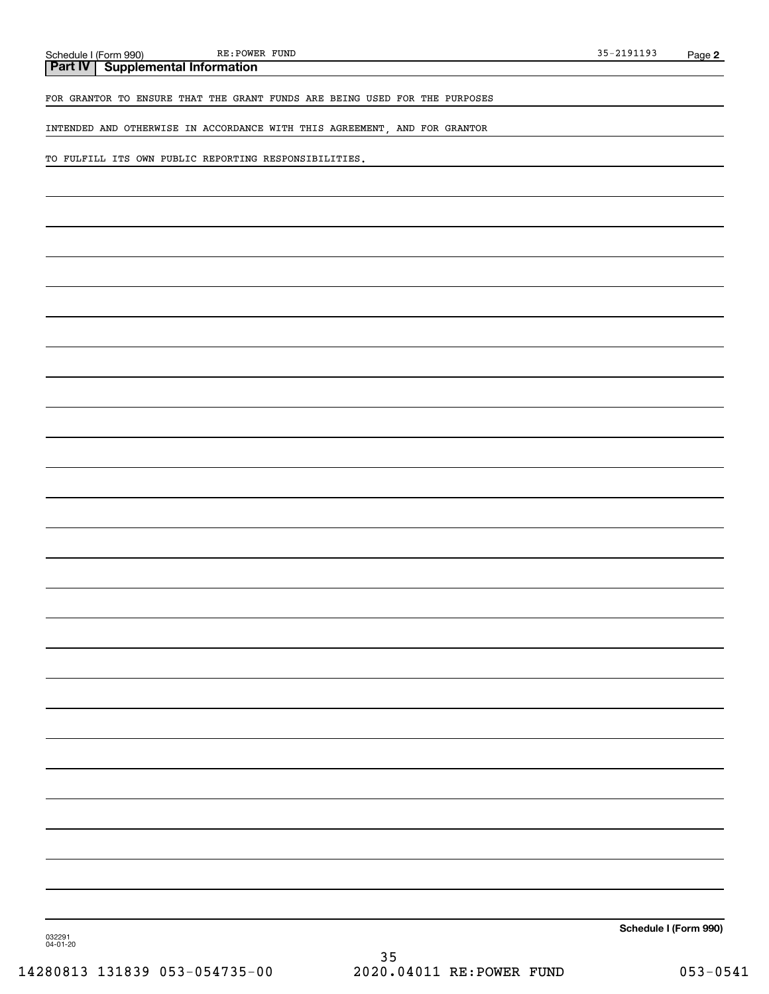RE: POWER FUND

**Part IV | Supplemental Information** 

FOR GRANTOR TO ENSURE THAT THE GRANT FUNDS ARE BEING USED FOR THE PURPOSES

INTENDED AND OTHERWISE IN ACCORDANCE WITH THIS AGREEMENT, AND FOR GRANTOR

TO FULFILL ITS OWN PUBLIC REPORTING RESPONSIBILITIES.

Schedule I (Form 990)

032291 04-01-20

35 14280813 131839 053-054735-00 2020.04011 RE:POWER FUND 053-0541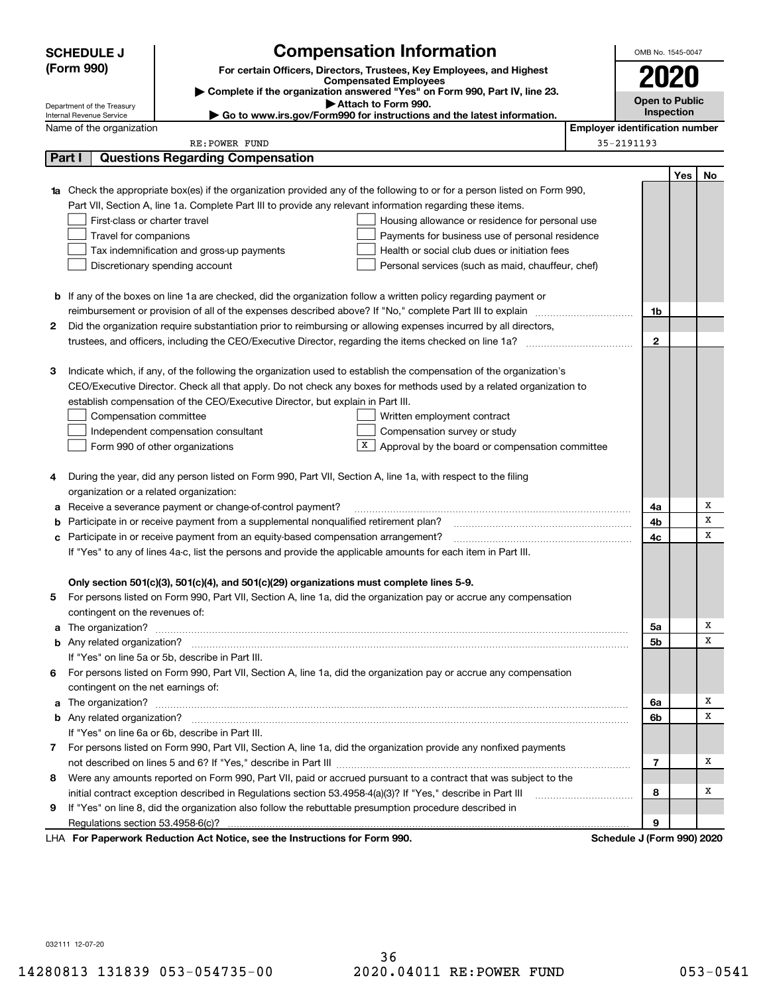|    | <b>SCHEDULE J</b>                                                                   | <b>Compensation Information</b>                                                                                        |                                       | OMB No. 1545-0047          |     |    |
|----|-------------------------------------------------------------------------------------|------------------------------------------------------------------------------------------------------------------------|---------------------------------------|----------------------------|-----|----|
|    | (Form 990)<br>For certain Officers, Directors, Trustees, Key Employees, and Highest |                                                                                                                        |                                       |                            |     |    |
|    |                                                                                     | <b>Compensated Employees</b>                                                                                           |                                       | 2020                       |     |    |
|    |                                                                                     | Complete if the organization answered "Yes" on Form 990, Part IV, line 23.<br>Attach to Form 990.                      |                                       | <b>Open to Public</b>      |     |    |
|    | Department of the Treasury<br>Internal Revenue Service                              | Go to www.irs.gov/Form990 for instructions and the latest information.                                                 |                                       | <b>Inspection</b>          |     |    |
|    | Name of the organization                                                            |                                                                                                                        | <b>Employer identification number</b> |                            |     |    |
|    |                                                                                     | RE: POWER FUND                                                                                                         |                                       | 35-2191193                 |     |    |
|    | Part I                                                                              | <b>Questions Regarding Compensation</b>                                                                                |                                       |                            |     |    |
|    |                                                                                     |                                                                                                                        |                                       |                            | Yes | No |
|    |                                                                                     | Check the appropriate box(es) if the organization provided any of the following to or for a person listed on Form 990, |                                       |                            |     |    |
|    |                                                                                     | Part VII, Section A, line 1a. Complete Part III to provide any relevant information regarding these items.             |                                       |                            |     |    |
|    | First-class or charter travel                                                       | Housing allowance or residence for personal use                                                                        |                                       |                            |     |    |
|    | Travel for companions                                                               | Payments for business use of personal residence                                                                        |                                       |                            |     |    |
|    |                                                                                     | Tax indemnification and gross-up payments<br>Health or social club dues or initiation fees                             |                                       |                            |     |    |
|    |                                                                                     | Discretionary spending account<br>Personal services (such as maid, chauffeur, chef)                                    |                                       |                            |     |    |
|    |                                                                                     |                                                                                                                        |                                       |                            |     |    |
|    |                                                                                     | <b>b</b> If any of the boxes on line 1a are checked, did the organization follow a written policy regarding payment or |                                       |                            |     |    |
|    |                                                                                     | reimbursement or provision of all of the expenses described above? If "No," complete Part III to explain               |                                       | 1b                         |     |    |
| 2  |                                                                                     | Did the organization require substantiation prior to reimbursing or allowing expenses incurred by all directors,       |                                       |                            |     |    |
|    |                                                                                     |                                                                                                                        |                                       | $\mathbf{2}$               |     |    |
|    |                                                                                     |                                                                                                                        |                                       |                            |     |    |
| З  |                                                                                     | Indicate which, if any, of the following the organization used to establish the compensation of the organization's     |                                       |                            |     |    |
|    |                                                                                     | CEO/Executive Director. Check all that apply. Do not check any boxes for methods used by a related organization to     |                                       |                            |     |    |
|    |                                                                                     | establish compensation of the CEO/Executive Director, but explain in Part III.                                         |                                       |                            |     |    |
|    | Compensation committee                                                              | Written employment contract                                                                                            |                                       |                            |     |    |
|    |                                                                                     | Compensation survey or study<br>Independent compensation consultant                                                    |                                       |                            |     |    |
|    |                                                                                     | Approval by the board or compensation committee<br>Form 990 of other organizations                                     |                                       |                            |     |    |
|    |                                                                                     |                                                                                                                        |                                       |                            |     |    |
| 4  |                                                                                     | During the year, did any person listed on Form 990, Part VII, Section A, line 1a, with respect to the filing           |                                       |                            |     |    |
|    | organization or a related organization:                                             |                                                                                                                        |                                       |                            |     |    |
| а  |                                                                                     | Receive a severance payment or change-of-control payment?                                                              |                                       | 4a                         |     | х  |
| b  |                                                                                     | Participate in or receive payment from a supplemental nonqualified retirement plan?                                    |                                       | 4b                         |     | X  |
| с  |                                                                                     | Participate in or receive payment from an equity-based compensation arrangement?                                       |                                       | 4с                         |     | x  |
|    |                                                                                     | If "Yes" to any of lines 4a-c, list the persons and provide the applicable amounts for each item in Part III.          |                                       |                            |     |    |
|    |                                                                                     |                                                                                                                        |                                       |                            |     |    |
|    |                                                                                     | Only section 501(c)(3), 501(c)(4), and 501(c)(29) organizations must complete lines 5-9.                               |                                       |                            |     |    |
| 5  |                                                                                     | For persons listed on Form 990, Part VII, Section A, line 1a, did the organization pay or accrue any compensation      |                                       |                            |     |    |
|    | contingent on the revenues of:                                                      |                                                                                                                        |                                       |                            |     |    |
| a  |                                                                                     |                                                                                                                        |                                       | 5a                         |     | х  |
|    |                                                                                     |                                                                                                                        |                                       | 5b                         |     | x  |
|    |                                                                                     | If "Yes" on line 5a or 5b, describe in Part III.                                                                       |                                       |                            |     |    |
| 6. |                                                                                     | For persons listed on Form 990, Part VII, Section A, line 1a, did the organization pay or accrue any compensation      |                                       |                            |     |    |
|    | contingent on the net earnings of:                                                  |                                                                                                                        |                                       |                            |     |    |
| a  |                                                                                     | The organization? <b>With the organization? Constitution of the organization</b> of the organization?                  |                                       | 6a                         |     | Х  |
|    |                                                                                     |                                                                                                                        |                                       | 6b                         |     | x  |
|    |                                                                                     | If "Yes" on line 6a or 6b, describe in Part III.                                                                       |                                       |                            |     |    |
|    |                                                                                     | 7 For persons listed on Form 990, Part VII, Section A, line 1a, did the organization provide any nonfixed payments     |                                       |                            |     |    |
|    |                                                                                     |                                                                                                                        |                                       | $\overline{7}$             |     | х  |
| 8  |                                                                                     | Were any amounts reported on Form 990, Part VII, paid or accrued pursuant to a contract that was subject to the        |                                       |                            |     |    |
|    |                                                                                     | initial contract exception described in Regulations section 53.4958-4(a)(3)? If "Yes," describe in Part III            |                                       | 8                          |     | х  |
| 9  |                                                                                     | If "Yes" on line 8, did the organization also follow the rebuttable presumption procedure described in                 |                                       |                            |     |    |
|    |                                                                                     |                                                                                                                        |                                       | 9                          |     |    |
|    |                                                                                     | LHA For Paperwork Reduction Act Notice, see the Instructions for Form 990.                                             |                                       | Schedule J (Form 990) 2020 |     |    |

032111 12-07-20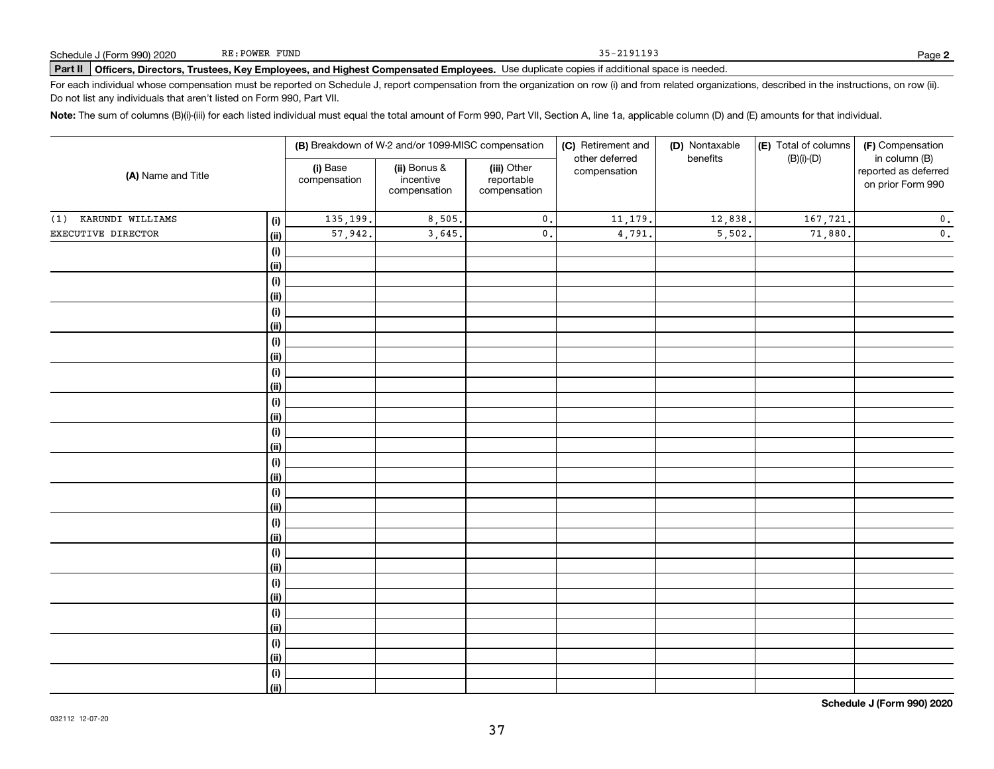# Part II | Officers, Directors, Trustees, Key Employees, and Highest Compensated Employees. Use duplicate copies if additional space is needed.

For each individual whose compensation must be reported on Schedule J, report compensation from the organization on row (i) and from related organizations, described in the instructions, on row (ii). Do not list any individuals that aren't listed on Form 990, Part VII.

Note: The sum of columns (B)(i)-(iii) for each listed individual must equal the total amount of Form 990, Part VII, Section A, line 1a, applicable column (D) and (E) amounts for that individual.

|                      |                    |                          | (B) Breakdown of W-2 and/or 1099-MISC compensation |                                           | (C) Retirement and             | (D) Nontaxable | (E) Total of columns | (F) Compensation                                           |  |  |
|----------------------|--------------------|--------------------------|----------------------------------------------------|-------------------------------------------|--------------------------------|----------------|----------------------|------------------------------------------------------------|--|--|
| (A) Name and Title   |                    | (i) Base<br>compensation | (ii) Bonus &<br>incentive<br>compensation          | (iii) Other<br>reportable<br>compensation | other deferred<br>compensation | benefits       | $(B)(i)-(D)$         | in column (B)<br>reported as deferred<br>on prior Form 990 |  |  |
| (1) KARUNDI WILLIAMS | (i)                | 135,199.                 | 8,505.                                             | $\mathbf 0$ .                             | 11,179.                        | 12,838.        | 167,721.             | $\mathbf 0$ .                                              |  |  |
| EXECUTIVE DIRECTOR   | <u>(ii)</u>        | 57,942.                  | 3,645.                                             | $\mathbf 0$ .                             | 4,791.                         | 5,502.         | 71,880.              | $\mathbf 0$ .                                              |  |  |
|                      | (i)                |                          |                                                    |                                           |                                |                |                      |                                                            |  |  |
|                      | <u>(ii)</u>        |                          |                                                    |                                           |                                |                |                      |                                                            |  |  |
|                      | (i)                |                          |                                                    |                                           |                                |                |                      |                                                            |  |  |
|                      | <u>(ii)</u>        |                          |                                                    |                                           |                                |                |                      |                                                            |  |  |
|                      | (i)                |                          |                                                    |                                           |                                |                |                      |                                                            |  |  |
|                      | <u>(ii)</u>        |                          |                                                    |                                           |                                |                |                      |                                                            |  |  |
|                      | (i)                |                          |                                                    |                                           |                                |                |                      |                                                            |  |  |
|                      | <u>(ii)</u>        |                          |                                                    |                                           |                                |                |                      |                                                            |  |  |
|                      | (i)                |                          |                                                    |                                           |                                |                |                      |                                                            |  |  |
|                      | <u>(ii)</u>        |                          |                                                    |                                           |                                |                |                      |                                                            |  |  |
|                      | (i)<br><u>(ii)</u> |                          |                                                    |                                           |                                |                |                      |                                                            |  |  |
|                      | (i)                |                          |                                                    |                                           |                                |                |                      |                                                            |  |  |
|                      | <u>(ii)</u>        |                          |                                                    |                                           |                                |                |                      |                                                            |  |  |
|                      | (i)                |                          |                                                    |                                           |                                |                |                      |                                                            |  |  |
|                      | <u>(ii)</u>        |                          |                                                    |                                           |                                |                |                      |                                                            |  |  |
|                      | (i)                |                          |                                                    |                                           |                                |                |                      |                                                            |  |  |
|                      | <u>(ii)</u>        |                          |                                                    |                                           |                                |                |                      |                                                            |  |  |
|                      | (i)                |                          |                                                    |                                           |                                |                |                      |                                                            |  |  |
|                      | <u>(ii)</u>        |                          |                                                    |                                           |                                |                |                      |                                                            |  |  |
|                      | (i)                |                          |                                                    |                                           |                                |                |                      |                                                            |  |  |
|                      | <u>(ii)</u>        |                          |                                                    |                                           |                                |                |                      |                                                            |  |  |
|                      | (i)                |                          |                                                    |                                           |                                |                |                      |                                                            |  |  |
|                      | <u>(ii)</u>        |                          |                                                    |                                           |                                |                |                      |                                                            |  |  |
|                      | (i)                |                          |                                                    |                                           |                                |                |                      |                                                            |  |  |
|                      | <u>(ii)</u>        |                          |                                                    |                                           |                                |                |                      |                                                            |  |  |
|                      | (i)                |                          |                                                    |                                           |                                |                |                      |                                                            |  |  |
|                      | <u>(ii)</u>        |                          |                                                    |                                           |                                |                |                      |                                                            |  |  |
|                      | (i)<br><u>(ii)</u> |                          |                                                    |                                           |                                |                |                      |                                                            |  |  |
|                      |                    |                          |                                                    |                                           |                                |                |                      |                                                            |  |  |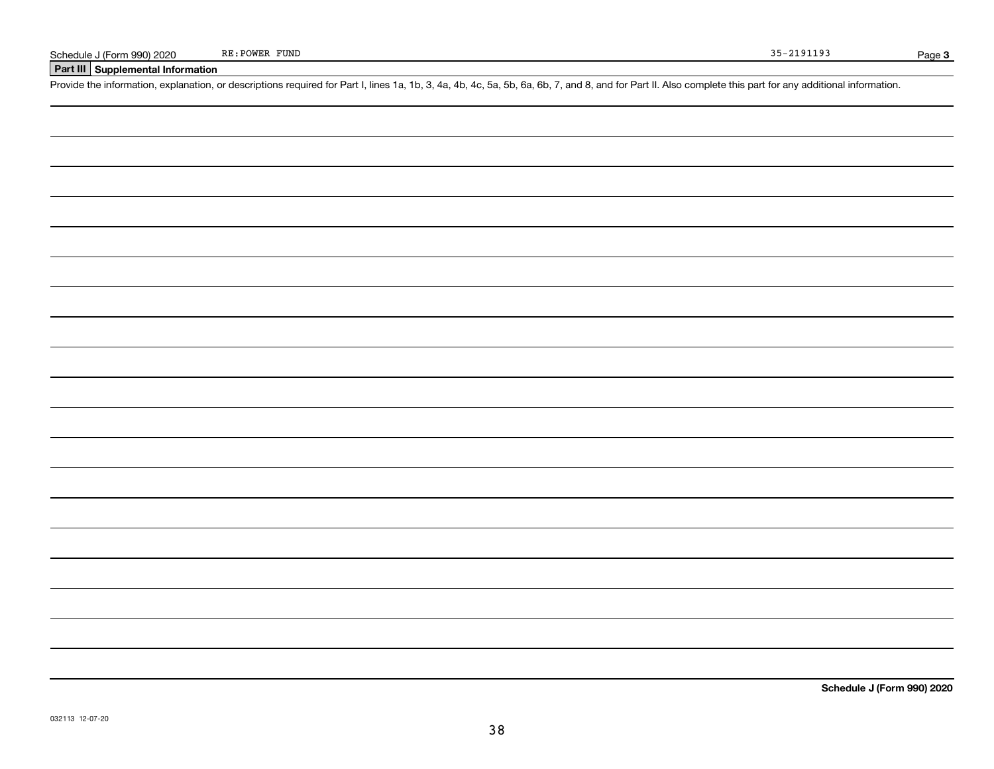## Part III Supplemental Information

Provide the information, explanation, or descriptions required for Part I, lines 1a, 1b, 3, 4a, 4b, 4c, 5a, 5b, 6a, 6b, 7, and 8, and for Part II. Also complete this part for any additional information.

Schedule J (Form 990) 2020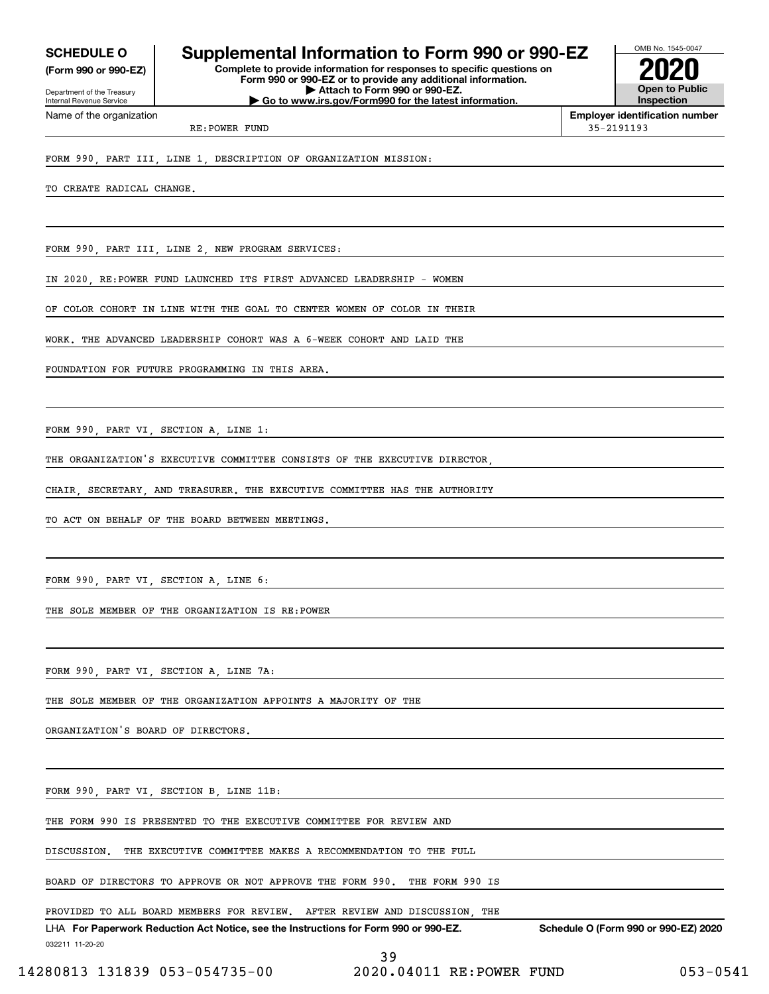(Form 990 or 990-EZ)

Department of the Treasury Internal Revenue Service Name of the organization

# SCHEDULE 0 | Supplemental Information to Form 990 or 990-EZ

Complete to provide information for responses to specific questions on Form 990 or 990-EZ or to provide any additional information. | Attach to Form 990 or 990-EZ. | Go to www.irs.gov/Form990 for the latest information.



Employer identification number

RE:POWER FUND 35-2191193

FORM 990, PART III, LINE 1, DESCRIPTION OF ORGANIZATION MISSION:

TO CREATE RADICAL CHANGE.

FORM 990, PART III, LINE 2, NEW PROGRAM SERVICES:

IN 2020, RE:POWER FUND LAUNCHED ITS FIRST ADVANCED LEADERSHIP - WOMEN

OF COLOR COHORT IN LINE WITH THE GOAL TO CENTER WOMEN OF COLOR IN THEIR

WORK. THE ADVANCED LEADERSHIP COHORT WAS A 6-WEEK COHORT AND LAID THE

FOUNDATION FOR FUTURE PROGRAMMING IN THIS AREA.

FORM 990, PART VI, SECTION A, LINE 1:

THE ORGANIZATION'S EXECUTIVE COMMITTEE CONSISTS OF THE EXECUTIVE DIRECTOR,

CHAIR, SECRETARY, AND TREASURER. THE EXECUTIVE COMMITTEE HAS THE AUTHORITY

TO ACT ON BEHALF OF THE BOARD BETWEEN MEETINGS.

FORM 990, PART VI, SECTION A, LINE 6:

THE SOLE MEMBER OF THE ORGANIZATION IS RE:POWER

FORM 990, PART VI, SECTION A, LINE 7A:

THE SOLE MEMBER OF THE ORGANIZATION APPOINTS A MAJORITY OF THE

ORGANIZATION'S BOARD OF DIRECTORS.

FORM 990, PART VI, SECTION B, LINE 11B:

THE FORM 990 IS PRESENTED TO THE EXECUTIVE COMMITTEE FOR REVIEW AND

DISCUSSION. THE EXECUTIVE COMMITTEE MAKES A RECOMMENDATION TO THE FULL

BOARD OF DIRECTORS TO APPROVE OR NOT APPROVE THE FORM 990. THE FORM 990 IS

PROVIDED TO ALL BOARD MEMBERS FOR REVIEW. AFTER REVIEW AND DISCUSSION, THE

032211 11-20-20 LHA For Paperwork Reduction Act Notice, see the Instructions for Form 990 or 990-EZ. Schedule O (Form 990 or 990-EZ) 2020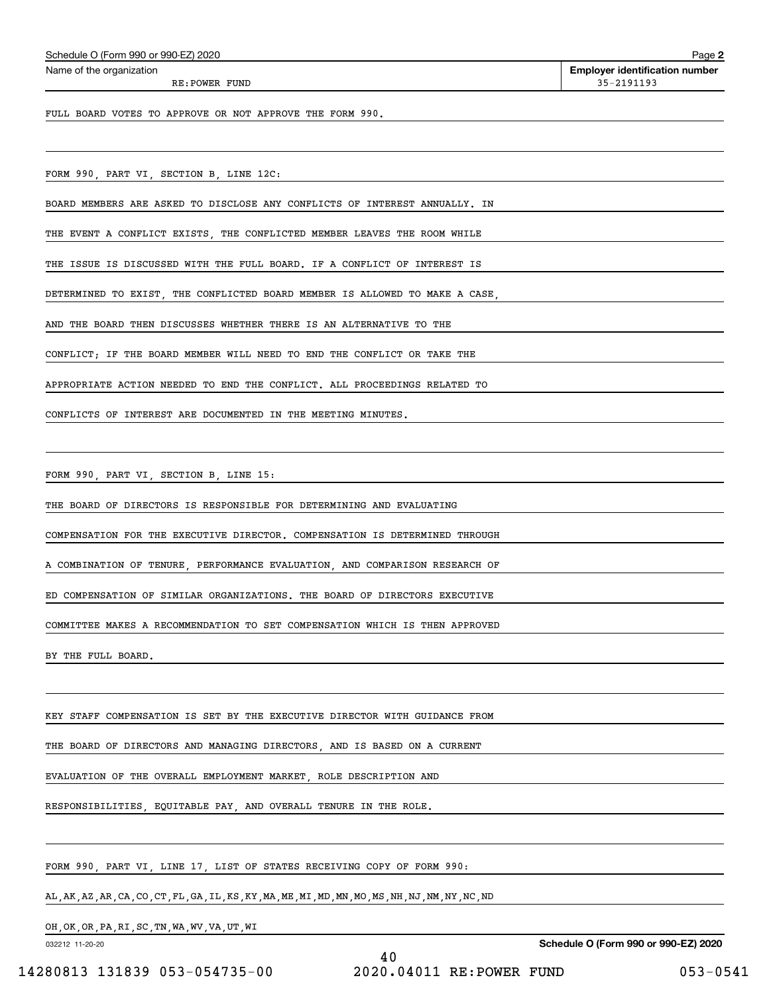| Schedule O (Form 990 or 990-EZ) 2020 | Page |
|--------------------------------------|------|
|--------------------------------------|------|

Name of the organization

RE:POWER FUND 35-2191193

Page 2 Employer identification number

FULL BOARD VOTES TO APPROVE OR NOT APPROVE THE FORM 990.

FORM 990, PART VI, SECTION B, LINE 12C:

BOARD MEMBERS ARE ASKED TO DISCLOSE ANY CONFLICTS OF INTEREST ANNUALLY. IN

THE EVENT A CONFLICT EXISTS, THE CONFLICTED MEMBER LEAVES THE ROOM WHILE

THE ISSUE IS DISCUSSED WITH THE FULL BOARD. IF A CONFLICT OF INTEREST IS

DETERMINED TO EXIST, THE CONFLICTED BOARD MEMBER IS ALLOWED TO MAKE A CASE,

AND THE BOARD THEN DISCUSSES WHETHER THERE IS AN ALTERNATIVE TO THE

CONFLICT; IF THE BOARD MEMBER WILL NEED TO END THE CONFLICT OR TAKE THE

APPROPRIATE ACTION NEEDED TO END THE CONFLICT. ALL PROCEEDINGS RELATED TO

CONFLICTS OF INTEREST ARE DOCUMENTED IN THE MEETING MINUTES.

FORM 990, PART VI, SECTION B, LINE 15:

THE BOARD OF DIRECTORS IS RESPONSIBLE FOR DETERMINING AND EVALUATING

COMPENSATION FOR THE EXECUTIVE DIRECTOR. COMPENSATION IS DETERMINED THROUGH

A COMBINATION OF TENURE, PERFORMANCE EVALUATION, AND COMPARISON RESEARCH OF

ED COMPENSATION OF SIMILAR ORGANIZATIONS. THE BOARD OF DIRECTORS EXECUTIVE

COMMITTEE MAKES A RECOMMENDATION TO SET COMPENSATION WHICH IS THEN APPROVED

BY THE FULL BOARD.

KEY STAFF COMPENSATION IS SET BY THE EXECUTIVE DIRECTOR WITH GUIDANCE FROM

THE BOARD OF DIRECTORS AND MANAGING DIRECTORS, AND IS BASED ON A CURRENT

EVALUATION OF THE OVERALL EMPLOYMENT MARKET, ROLE DESCRIPTION AND

RESPONSIBILITIES, EQUITABLE PAY, AND OVERALL TENURE IN THE ROLE.

FORM 990, PART VI, LINE 17, LIST OF STATES RECEIVING COPY OF FORM 990:

AL,AK,AZ,AR,CA,CO,CT,FL,GA,IL,KS,KY,MA,ME,MI,MD,MN,MO,MS,NH,NJ,NM,NY,NC,ND

OH,OK,OR,PA,RI,SC,TN,WA,WV,VA,UT,WI

032212 11-20-20

Schedule O (Form 990 or 990-EZ) 2020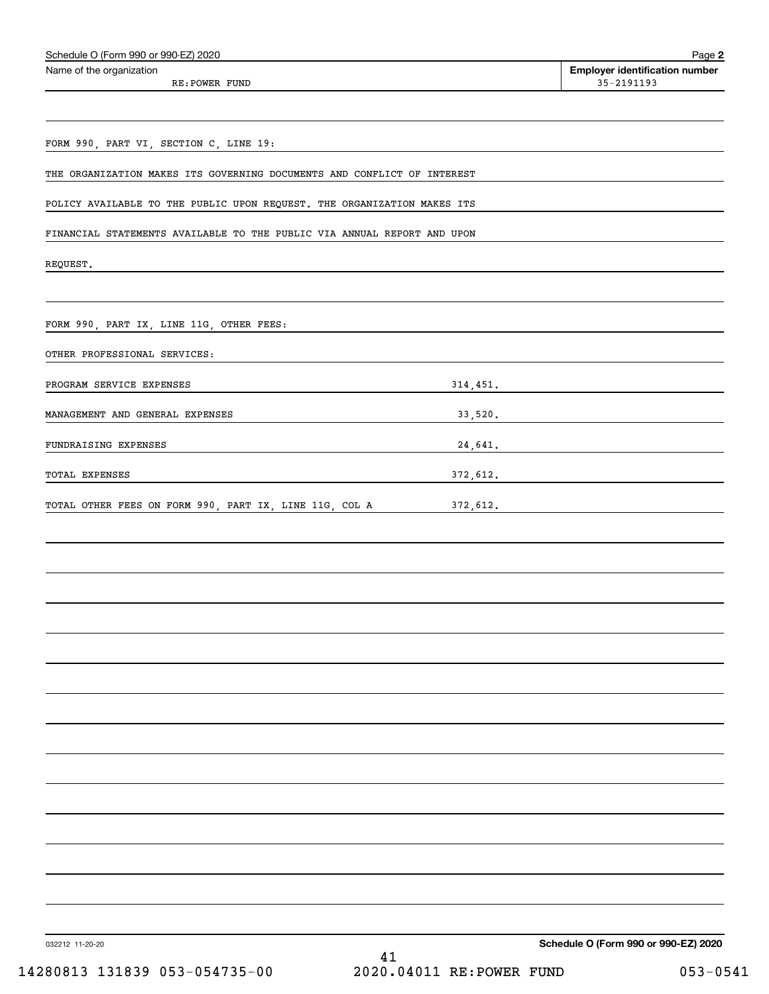| Schedule O (Form 990 or 990-EZ) 2020                                    | Page 2                                              |
|-------------------------------------------------------------------------|-----------------------------------------------------|
| Name of the organization                                                | <b>Employer identification number</b><br>35-2191193 |
| RE: POWER FUND                                                          |                                                     |
|                                                                         |                                                     |
| FORM 990, PART VI, SECTION C, LINE 19:                                  |                                                     |
| THE ORGANIZATION MAKES ITS GOVERNING DOCUMENTS AND CONFLICT OF INTEREST |                                                     |
|                                                                         |                                                     |
| POLICY AVAILABLE TO THE PUBLIC UPON REQUEST. THE ORGANIZATION MAKES ITS |                                                     |
| FINANCIAL STATEMENTS AVAILABLE TO THE PUBLIC VIA ANNUAL REPORT AND UPON |                                                     |
| REQUEST.                                                                |                                                     |
|                                                                         |                                                     |
|                                                                         |                                                     |
| FORM 990, PART IX, LINE 11G, OTHER FEES:                                |                                                     |
| OTHER PROFESSIONAL SERVICES:                                            |                                                     |
| PROGRAM SERVICE EXPENSES                                                | 314,451.                                            |
| MANAGEMENT AND GENERAL EXPENSES                                         | 33,520.                                             |
| FUNDRAISING EXPENSES                                                    |                                                     |
|                                                                         | 24,641.                                             |
| TOTAL EXPENSES                                                          | 372,612.                                            |
| TOTAL OTHER FEES ON FORM 990, PART IX, LINE 11G, COL A                  | 372,612.                                            |
|                                                                         |                                                     |
|                                                                         |                                                     |
|                                                                         |                                                     |
|                                                                         |                                                     |
|                                                                         |                                                     |
|                                                                         |                                                     |
|                                                                         |                                                     |
|                                                                         |                                                     |
|                                                                         |                                                     |
|                                                                         |                                                     |
|                                                                         |                                                     |
|                                                                         |                                                     |
|                                                                         |                                                     |
|                                                                         |                                                     |
|                                                                         |                                                     |
|                                                                         |                                                     |
|                                                                         |                                                     |
| 032212 11-20-20                                                         | Schedule O (Form 990 or 990-EZ) 2020                |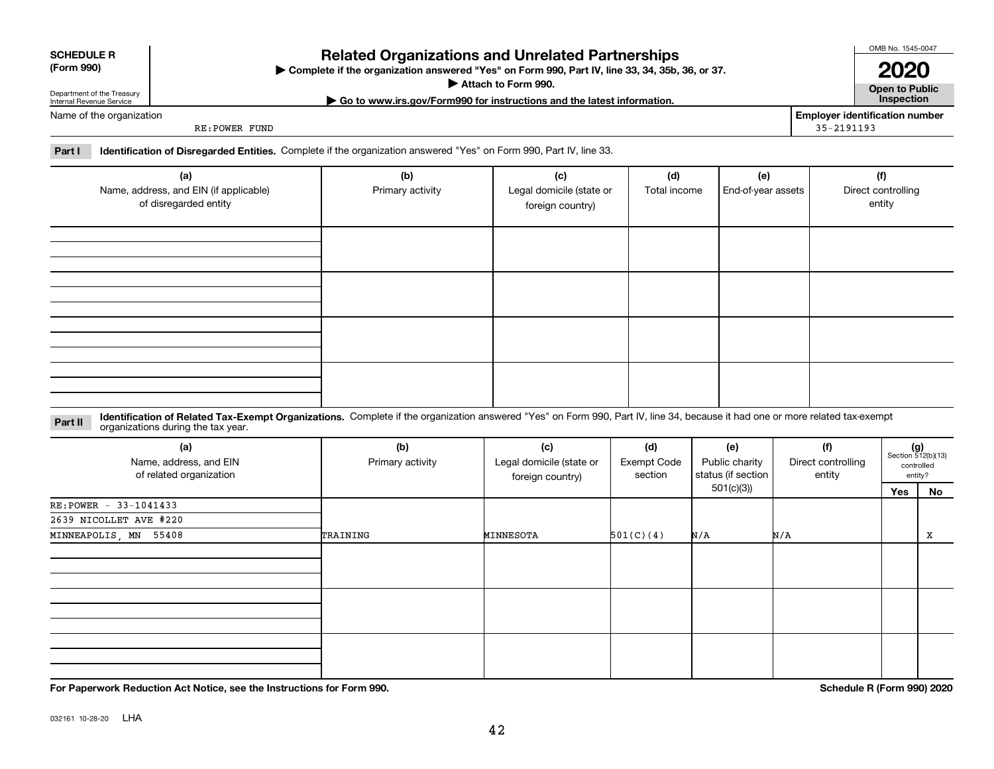| (Form 990) |  |
|------------|--|
|------------|--|

# SCHEDULE R

# Related Organizations and Unrelated Partnerships

(Form 990) Complete if the organization answered "Yes" on Form 990, Part IV, line 33, 34, 35b, 36, or 37. |

▶ Attach to Form 990. **Open to Public** 

| Go to www.irs.gov/Form990 for instructions and the latest information. Inspection

2020

OMB No. 1545-0047

Name of the organization

Department of the Treasury Internal Revenue Service

RE:POWER FUND

Employer identification number 35-2191193

Part I leentification of Disregarded Entities. Complete if the organization answered "Yes" on Form 990, Part IV, line 33.

| (a)<br>Name, address, and EIN (if applicable)<br>of disregarded entity | (b)<br>Primary activity | (c)<br>Legal domicile (state or<br>foreign country) | (d)<br>Total income | (e)<br>End-of-year assets | (f)<br>Direct controlling<br>entity |
|------------------------------------------------------------------------|-------------------------|-----------------------------------------------------|---------------------|---------------------------|-------------------------------------|
|                                                                        |                         |                                                     |                     |                           |                                     |
|                                                                        |                         |                                                     |                     |                           |                                     |
|                                                                        |                         |                                                     |                     |                           |                                     |
|                                                                        |                         |                                                     |                     |                           |                                     |

Part II Identification of Related Tax-Exempt Organizations. Complete if the organization answered "Yes" on Form 990, Part IV, line 34, because it had one or more related tax-exempt<br>Part II acconizations during the tax vear organizations during the tax year.

| (a)<br>Name, address, and EIN<br>of related organization | (b)<br>(c)<br>(d)<br>Legal domicile (state or<br>Primary activity<br><b>Exempt Code</b><br>section |           |           | (e)<br>Public charity<br>status (if section<br>foreign country) |     | (f)<br>Direct controlling<br>entity |    | $(g)$<br>Section 512(b)(13)<br>controlled<br>entity? |  |
|----------------------------------------------------------|----------------------------------------------------------------------------------------------------|-----------|-----------|-----------------------------------------------------------------|-----|-------------------------------------|----|------------------------------------------------------|--|
|                                                          |                                                                                                    |           |           | 501(c)(3)                                                       |     | Yes                                 | No |                                                      |  |
| RE: POWER - 33-1041433                                   |                                                                                                    |           |           |                                                                 |     |                                     |    |                                                      |  |
| 2639 NICOLLET AVE #220                                   |                                                                                                    |           |           |                                                                 |     |                                     |    |                                                      |  |
| MINNEAPOLIS, MN 55408                                    | TRAINING                                                                                           | MINNESOTA | 501(C)(4) | N/A                                                             | N/A |                                     | Х  |                                                      |  |
|                                                          |                                                                                                    |           |           |                                                                 |     |                                     |    |                                                      |  |
|                                                          |                                                                                                    |           |           |                                                                 |     |                                     |    |                                                      |  |
|                                                          |                                                                                                    |           |           |                                                                 |     |                                     |    |                                                      |  |

For Paperwork Reduction Act Notice, see the Instructions for Form 990. Schedule R (Form 990) 2020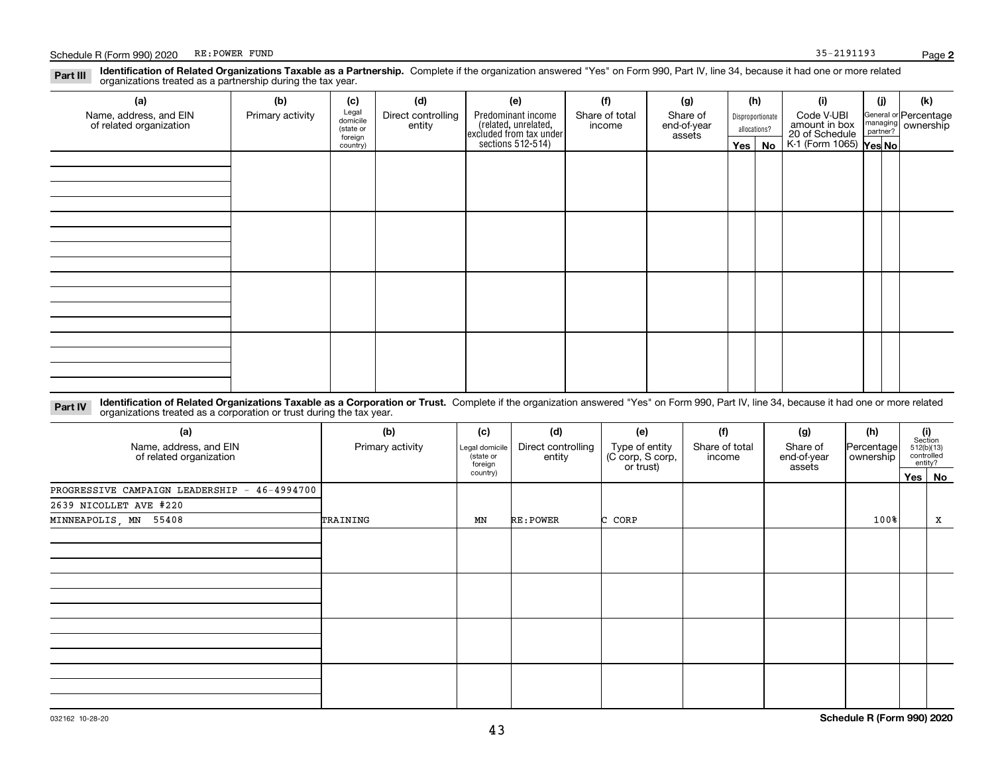#### Part III Identification of Related Organizations Taxable as a Partnership. Complete if the organization answered "Yes" on Form 990, Part IV, line 34, because it had one or more related<br>examples the complete included as a p organizations treated as a partnership during the tax year.

| (a)                                               | (b)              | (c)                  | (d)                          | (e)                                                                                        | (f)                      | (g)                     |     | (h)              | (i)                                                       | (j) | (k)                                                     |
|---------------------------------------------------|------------------|----------------------|------------------------------|--------------------------------------------------------------------------------------------|--------------------------|-------------------------|-----|------------------|-----------------------------------------------------------|-----|---------------------------------------------------------|
| Name, address, and EIN<br>of related organization | Primary activity | Legal<br>domicile    | Direct controlling<br>entity | Predominant income<br>(related, unrelated,<br>excluded from tax under<br>sections 512-514) | Share of total<br>income | Share of<br>end-of-year |     | Disproportionate | Code V-UBI                                                |     | General or Percentage<br>managing ownership<br>partner? |
|                                                   |                  | (state or<br>foreign |                              |                                                                                            |                          | assets                  |     | allocations?     |                                                           |     |                                                         |
|                                                   |                  | country)             |                              |                                                                                            |                          |                         | Yes | No               | amount in box<br>20 of Schedule<br>K-1 (Form 1065) Yes No |     |                                                         |
|                                                   |                  |                      |                              |                                                                                            |                          |                         |     |                  |                                                           |     |                                                         |
|                                                   |                  |                      |                              |                                                                                            |                          |                         |     |                  |                                                           |     |                                                         |
|                                                   |                  |                      |                              |                                                                                            |                          |                         |     |                  |                                                           |     |                                                         |
|                                                   |                  |                      |                              |                                                                                            |                          |                         |     |                  |                                                           |     |                                                         |
|                                                   |                  |                      |                              |                                                                                            |                          |                         |     |                  |                                                           |     |                                                         |
|                                                   |                  |                      |                              |                                                                                            |                          |                         |     |                  |                                                           |     |                                                         |
|                                                   |                  |                      |                              |                                                                                            |                          |                         |     |                  |                                                           |     |                                                         |
|                                                   |                  |                      |                              |                                                                                            |                          |                         |     |                  |                                                           |     |                                                         |
|                                                   |                  |                      |                              |                                                                                            |                          |                         |     |                  |                                                           |     |                                                         |
|                                                   |                  |                      |                              |                                                                                            |                          |                         |     |                  |                                                           |     |                                                         |
|                                                   |                  |                      |                              |                                                                                            |                          |                         |     |                  |                                                           |     |                                                         |
|                                                   |                  |                      |                              |                                                                                            |                          |                         |     |                  |                                                           |     |                                                         |
|                                                   |                  |                      |                              |                                                                                            |                          |                         |     |                  |                                                           |     |                                                         |
|                                                   |                  |                      |                              |                                                                                            |                          |                         |     |                  |                                                           |     |                                                         |
|                                                   |                  |                      |                              |                                                                                            |                          |                         |     |                  |                                                           |     |                                                         |
|                                                   |                  |                      |                              |                                                                                            |                          |                         |     |                  |                                                           |     |                                                         |
|                                                   |                  |                      |                              |                                                                                            |                          |                         |     |                  |                                                           |     |                                                         |

Part IV Identification of Related Organizations Taxable as a Corporation or Trust. Complete if the organization answered "Yes" on Form 990, Part IV, line 34, because it had one or more related organizations treated as a corporation or trust during the tax year.

| (a)<br>Name, address, and EIN<br>of related organization | (b)<br>Primary activity | (c)<br>Legal domicile<br>(state or<br>foreign | (d)<br>Direct controlling<br>entity | (e)<br>Type of entity<br>(C corp, S corp,<br>or trust) | (f)<br>Share of total<br>income | (g)<br>Share of<br>end-of-year<br>assets | (h)<br> Percentage <br>ownership | (i)<br>Section<br>512(b)(13)<br>controlled<br>entity? |
|----------------------------------------------------------|-------------------------|-----------------------------------------------|-------------------------------------|--------------------------------------------------------|---------------------------------|------------------------------------------|----------------------------------|-------------------------------------------------------|
|                                                          |                         | country)                                      |                                     |                                                        |                                 |                                          |                                  | Yes   No                                              |
| PROGRESSIVE CAMPAIGN LEADERSHIP - 46-4994700             |                         |                                               |                                     |                                                        |                                 |                                          |                                  |                                                       |
| 2639 NICOLLET AVE #220                                   |                         |                                               |                                     |                                                        |                                 |                                          |                                  |                                                       |
| MINNEAPOLIS, MN 55408                                    | TRAINING                | MN                                            | RE:POWER                            | CORP<br>r                                              |                                 |                                          | 100%                             | X                                                     |
|                                                          |                         |                                               |                                     |                                                        |                                 |                                          |                                  |                                                       |
|                                                          |                         |                                               |                                     |                                                        |                                 |                                          |                                  |                                                       |
|                                                          |                         |                                               |                                     |                                                        |                                 |                                          |                                  |                                                       |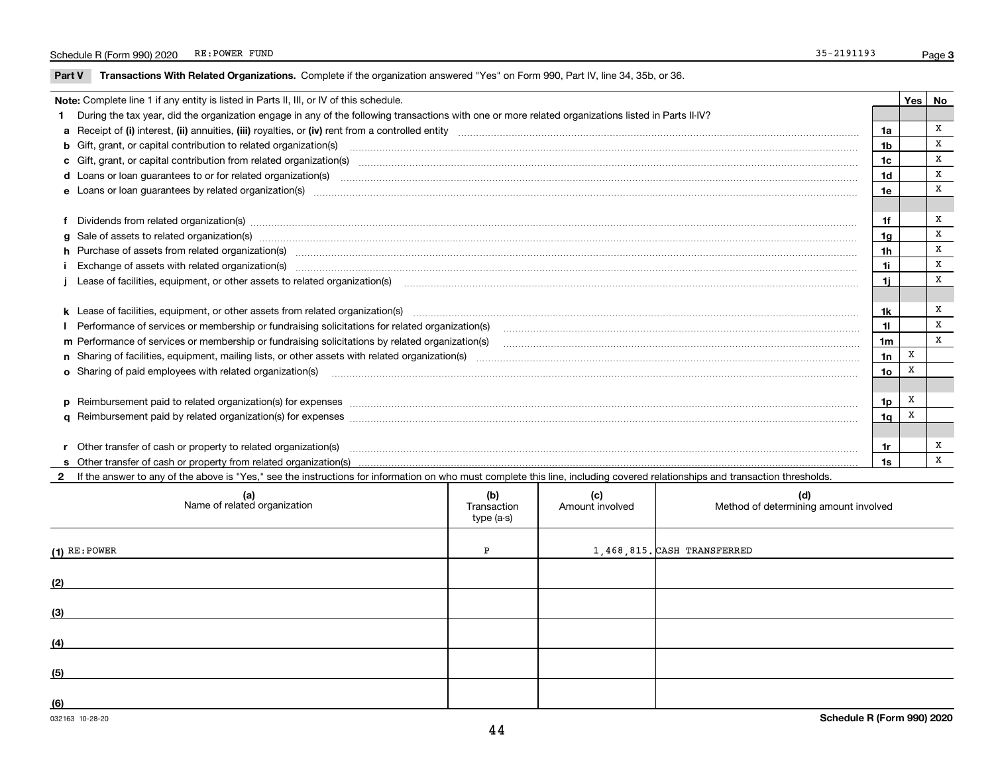$\overline{\phantom{a}}$ 

Part V Transactions With Related Organizations. Complete if the organization answered "Yes" on Form 990, Part IV, line 34, 35b, or 36.

| Note: Complete line 1 if any entity is listed in Parts II, III, or IV of this schedule.<br>Yes   No                                                                                                                            |                 |   |   |  |  |
|--------------------------------------------------------------------------------------------------------------------------------------------------------------------------------------------------------------------------------|-----------------|---|---|--|--|
| During the tax year, did the organization engage in any of the following transactions with one or more related organizations listed in Parts II-IV?                                                                            |                 |   |   |  |  |
|                                                                                                                                                                                                                                | 1a              |   | x |  |  |
| b Gift, grant, or capital contribution to related organization(s) material contracts and contribution to related organization(s)                                                                                               | 1b              |   | X |  |  |
| c Gift, grant, or capital contribution from related organization(s) manufaction contribution from related organization(s) manufaction contribution from related organization(s) manufaction contribution from related organiza | 1c              |   | X |  |  |
|                                                                                                                                                                                                                                | 1 <sub>d</sub>  |   | X |  |  |
|                                                                                                                                                                                                                                | 1e              |   | X |  |  |
|                                                                                                                                                                                                                                |                 |   |   |  |  |
| f Dividends from related organization(s) manufactured and contract and contract of the contract of the contract of the contract of the contract of the contract of the contract of the contract of the contract of the contrac | 1f              |   | X |  |  |
| g Sale of assets to related organization(s) www.communicallycommunicallycommunicallycommunicallycommunicallycommunicallycommunicallycommunicallycommunicallycommunicallycommunicallycommunicallycommunicallycommunicallycommun | 1g              |   | X |  |  |
| h Purchase of assets from related organization(s) manufactured and content and content and content and content and content and content and content and content and content and content and content and content and content and | 1 <sub>h</sub>  |   | X |  |  |
|                                                                                                                                                                                                                                | 1i              |   | X |  |  |
|                                                                                                                                                                                                                                | 1i              |   | X |  |  |
|                                                                                                                                                                                                                                |                 |   |   |  |  |
|                                                                                                                                                                                                                                | 1k              |   | х |  |  |
| Performance of services or membership or fundraising solicitations for related organization(s) [11] processors content in the content of services or membership or fundraising solicitations for related organization(s) [11]  | 11              |   | X |  |  |
|                                                                                                                                                                                                                                | 1m              |   | X |  |  |
|                                                                                                                                                                                                                                | 1n              | X |   |  |  |
| o Sharing of paid employees with related organization(s) manufactured and content to the content of the content of the content of the content of the content of the content of the content of the content of the content of th | 10 <sub>o</sub> | X |   |  |  |
|                                                                                                                                                                                                                                |                 |   |   |  |  |
| p Reimbursement paid to related organization(s) for expenses [1111] and the content of the content of the content of the content of the content of the content of the content of the content of the content of the content of  | 1p              | X |   |  |  |
|                                                                                                                                                                                                                                | 1q              | X |   |  |  |
|                                                                                                                                                                                                                                |                 |   |   |  |  |
|                                                                                                                                                                                                                                | 1r              |   | х |  |  |
|                                                                                                                                                                                                                                | 1s              |   | x |  |  |

2 If the answer to any of the above is "Yes," see the instructions for information on who must complete this line, including covered relationships and transaction thresholds.

| (a)<br>Name of related organization | (b)<br>Transaction<br>type (a-s) | (c)<br>Amount involved | (d)<br>Method of determining amount involved |
|-------------------------------------|----------------------------------|------------------------|----------------------------------------------|
| $(1)$ RE: POWER                     | P                                |                        | $1,468,815$ . CASH TRANSFERRED               |
| (2)                                 |                                  |                        |                                              |
| (3)                                 |                                  |                        |                                              |
| (4)                                 |                                  |                        |                                              |
| (5)                                 |                                  |                        |                                              |
| (6)                                 |                                  |                        |                                              |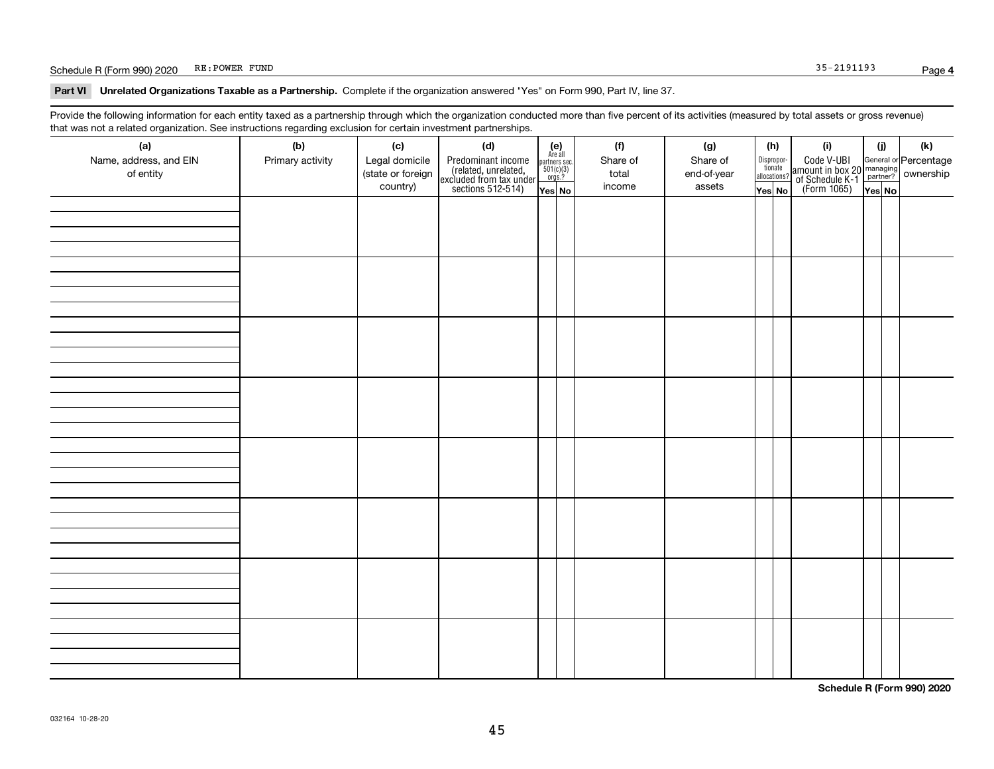#### Schedule R (Form 990) 2020 RE: POWER FUND Page Case of the Schedule R (Form 990) 2020 RE: POWER FUND

Part VI Unrelated Organizations Taxable as a Partnership. Complete if the organization answered "Yes" on Form 990, Part IV, line 37.

Provide the following information for each entity taxed as a partnership through which the organization conducted more than five percent of its activities (measured by total assets or gross revenue) that was not a related organization. See instructions regarding exclusion for certain investment partnerships.

| (a)                    | .<br>(b)         | (c)               | <br><br>(d)                                                                                |                                                                                                                  | (f)      | (g)         | (h)                   | (i)                                                                                                    | (i)    | $(\mathsf{k})$ |
|------------------------|------------------|-------------------|--------------------------------------------------------------------------------------------|------------------------------------------------------------------------------------------------------------------|----------|-------------|-----------------------|--------------------------------------------------------------------------------------------------------|--------|----------------|
| Name, address, and EIN | Primary activity | Legal domicile    |                                                                                            | $\begin{array}{c} \textbf{(e)}\\ \text{Are all} \\ \text{partners sec.}\\ 501(c)(3)\\ \text{orgs.?} \end{array}$ | Share of | Share of    | Dispropor-<br>tionate |                                                                                                        |        |                |
| of entity              |                  | (state or foreign | Predominant income<br>(related, unrelated,<br>excluded from tax under<br>sections 512-514) |                                                                                                                  | total    | end-of-year | allocations?          | Code V-UBI<br>amount in box 20 managing<br>of Schedule K-1 partner? ownership<br>(Form 1065)<br>ves No |        |                |
|                        |                  | country)          |                                                                                            | Yes No                                                                                                           | income   | assets      | Yes No                |                                                                                                        | Yes No |                |
|                        |                  |                   |                                                                                            |                                                                                                                  |          |             |                       |                                                                                                        |        |                |
|                        |                  |                   |                                                                                            |                                                                                                                  |          |             |                       |                                                                                                        |        |                |
|                        |                  |                   |                                                                                            |                                                                                                                  |          |             |                       |                                                                                                        |        |                |
|                        |                  |                   |                                                                                            |                                                                                                                  |          |             |                       |                                                                                                        |        |                |
|                        |                  |                   |                                                                                            |                                                                                                                  |          |             |                       |                                                                                                        |        |                |
|                        |                  |                   |                                                                                            |                                                                                                                  |          |             |                       |                                                                                                        |        |                |
|                        |                  |                   |                                                                                            |                                                                                                                  |          |             |                       |                                                                                                        |        |                |
|                        |                  |                   |                                                                                            |                                                                                                                  |          |             |                       |                                                                                                        |        |                |
|                        |                  |                   |                                                                                            |                                                                                                                  |          |             |                       |                                                                                                        |        |                |
|                        |                  |                   |                                                                                            |                                                                                                                  |          |             |                       |                                                                                                        |        |                |
|                        |                  |                   |                                                                                            |                                                                                                                  |          |             |                       |                                                                                                        |        |                |
|                        |                  |                   |                                                                                            |                                                                                                                  |          |             |                       |                                                                                                        |        |                |
|                        |                  |                   |                                                                                            |                                                                                                                  |          |             |                       |                                                                                                        |        |                |
|                        |                  |                   |                                                                                            |                                                                                                                  |          |             |                       |                                                                                                        |        |                |
|                        |                  |                   |                                                                                            |                                                                                                                  |          |             |                       |                                                                                                        |        |                |
|                        |                  |                   |                                                                                            |                                                                                                                  |          |             |                       |                                                                                                        |        |                |
|                        |                  |                   |                                                                                            |                                                                                                                  |          |             |                       |                                                                                                        |        |                |
|                        |                  |                   |                                                                                            |                                                                                                                  |          |             |                       |                                                                                                        |        |                |
|                        |                  |                   |                                                                                            |                                                                                                                  |          |             |                       |                                                                                                        |        |                |
|                        |                  |                   |                                                                                            |                                                                                                                  |          |             |                       |                                                                                                        |        |                |
|                        |                  |                   |                                                                                            |                                                                                                                  |          |             |                       |                                                                                                        |        |                |
|                        |                  |                   |                                                                                            |                                                                                                                  |          |             |                       |                                                                                                        |        |                |
|                        |                  |                   |                                                                                            |                                                                                                                  |          |             |                       |                                                                                                        |        |                |
|                        |                  |                   |                                                                                            |                                                                                                                  |          |             |                       |                                                                                                        |        |                |
|                        |                  |                   |                                                                                            |                                                                                                                  |          |             |                       |                                                                                                        |        |                |
|                        |                  |                   |                                                                                            |                                                                                                                  |          |             |                       |                                                                                                        |        |                |
|                        |                  |                   |                                                                                            |                                                                                                                  |          |             |                       |                                                                                                        |        |                |
|                        |                  |                   |                                                                                            |                                                                                                                  |          |             |                       |                                                                                                        |        |                |
|                        |                  |                   |                                                                                            |                                                                                                                  |          |             |                       |                                                                                                        |        |                |
|                        |                  |                   |                                                                                            |                                                                                                                  |          |             |                       |                                                                                                        |        |                |

Schedule R (Form 990) 2020